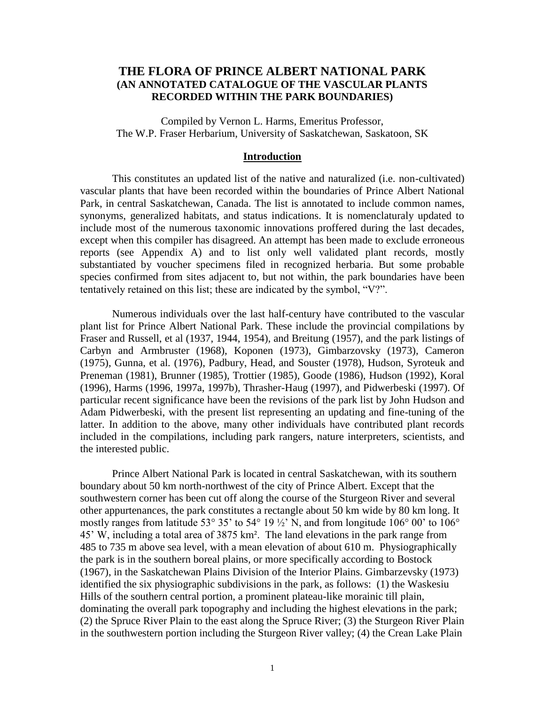# **THE FLORA OF PRINCE ALBERT NATIONAL PARK (AN ANNOTATED CATALOGUE OF THE VASCULAR PLANTS RECORDED WITHIN THE PARK BOUNDARIES)**

Compiled by Vernon L. Harms, Emeritus Professor, The W.P. Fraser Herbarium, University of Saskatchewan, Saskatoon, SK

#### **Introduction**

This constitutes an updated list of the native and naturalized (i.e. non-cultivated) vascular plants that have been recorded within the boundaries of Prince Albert National Park, in central Saskatchewan, Canada. The list is annotated to include common names, synonyms, generalized habitats, and status indications. It is nomenclaturaly updated to include most of the numerous taxonomic innovations proffered during the last decades, except when this compiler has disagreed. An attempt has been made to exclude erroneous reports (see Appendix A) and to list only well validated plant records, mostly substantiated by voucher specimens filed in recognized herbaria. But some probable species confirmed from sites adjacent to, but not within, the park boundaries have been tentatively retained on this list; these are indicated by the symbol, "V?".

Numerous individuals over the last half-century have contributed to the vascular plant list for Prince Albert National Park. These include the provincial compilations by Fraser and Russell, et al (1937, 1944, 1954), and Breitung (1957), and the park listings of Carbyn and Armbruster (1968), Koponen (1973), Gimbarzovsky (1973), Cameron (1975), Gunna, et al*.* (1976), Padbury, Head, and Souster (1978), Hudson, Syroteuk and Preneman (1981), Brunner (1985), Trottier (1985), Goode (1986), Hudson (1992), Koral (1996), Harms (1996, 1997a, 1997b), Thrasher-Haug (1997), and Pidwerbeski (1997). Of particular recent significance have been the revisions of the park list by John Hudson and Adam Pidwerbeski, with the present list representing an updating and fine-tuning of the latter. In addition to the above, many other individuals have contributed plant records included in the compilations, including park rangers, nature interpreters, scientists, and the interested public.

Prince Albert National Park is located in central Saskatchewan, with its southern boundary about 50 km north-northwest of the city of Prince Albert. Except that the southwestern corner has been cut off along the course of the Sturgeon River and several other appurtenances, the park constitutes a rectangle about 50 km wide by 80 km long. It mostly ranges from latitude 53° 35' to 54° 19 ½' N, and from longitude 106° 00' to 106° 45' W, including a total area of 3875 km². The land elevations in the park range from 485 to 735 m above sea level, with a mean elevation of about 610 m. Physiographically the park is in the southern boreal plains, or more specifically according to Bostock (1967), in the Saskatchewan Plains Division of the Interior Plains. Gimbarzevsky (1973) identified the six physiographic subdivisions in the park, as follows: (1) the Waskesiu Hills of the southern central portion, a prominent plateau-like morainic till plain, dominating the overall park topography and including the highest elevations in the park; (2) the Spruce River Plain to the east along the Spruce River; (3) the Sturgeon River Plain in the southwestern portion including the Sturgeon River valley; (4) the Crean Lake Plain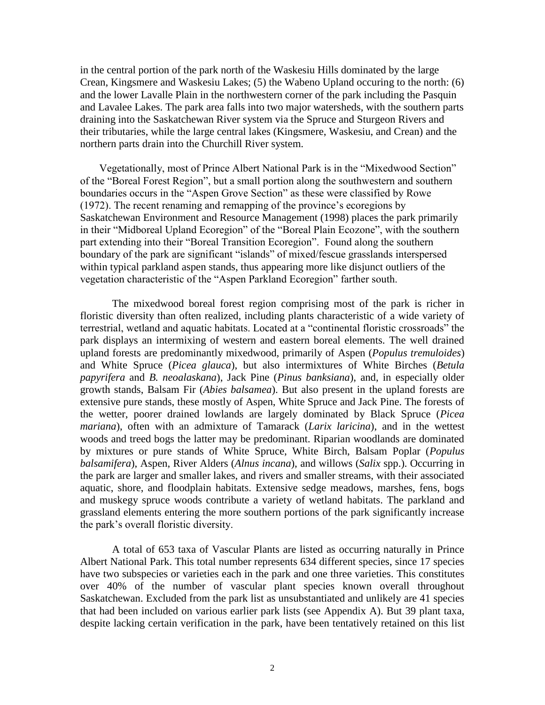in the central portion of the park north of the Waskesiu Hills dominated by the large Crean, Kingsmere and Waskesiu Lakes; (5) the Wabeno Upland occuring to the north: (6) and the lower Lavalle Plain in the northwestern corner of the park including the Pasquin and Lavalee Lakes. The park area falls into two major watersheds, with the southern parts draining into the Saskatchewan River system via the Spruce and Sturgeon Rivers and their tributaries, while the large central lakes (Kingsmere, Waskesiu, and Crean) and the northern parts drain into the Churchill River system.

Vegetationally, most of Prince Albert National Park is in the "Mixedwood Section" of the "Boreal Forest Region", but a small portion along the southwestern and southern boundaries occurs in the "Aspen Grove Section" as these were classified by Rowe (1972). The recent renaming and remapping of the province's ecoregions by Saskatchewan Environment and Resource Management (1998) places the park primarily in their "Midboreal Upland Ecoregion" of the "Boreal Plain Ecozone", with the southern part extending into their "Boreal Transition Ecoregion". Found along the southern boundary of the park are significant "islands" of mixed/fescue grasslands interspersed within typical parkland aspen stands, thus appearing more like disjunct outliers of the vegetation characteristic of the "Aspen Parkland Ecoregion" farther south.

The mixedwood boreal forest region comprising most of the park is richer in floristic diversity than often realized, including plants characteristic of a wide variety of terrestrial, wetland and aquatic habitats. Located at a "continental floristic crossroads" the park displays an intermixing of western and eastern boreal elements. The well drained upland forests are predominantly mixedwood, primarily of Aspen (*Populus tremuloides*) and White Spruce (*Picea glauca*), but also intermixtures of White Birches (*Betula papyrifera* and *B. neoalaskana*), Jack Pine (*Pinus banksiana*), and, in especially older growth stands, Balsam Fir (*Abies balsamea*). But also present in the upland forests are extensive pure stands, these mostly of Aspen, White Spruce and Jack Pine. The forests of the wetter, poorer drained lowlands are largely dominated by Black Spruce (*Picea mariana*), often with an admixture of Tamarack (*Larix laricina*), and in the wettest woods and treed bogs the latter may be predominant. Riparian woodlands are dominated by mixtures or pure stands of White Spruce, White Birch, Balsam Poplar (*Populus balsamifera*), Aspen, River Alders (*Alnus incana*), and willows (*Salix* spp.). Occurring in the park are larger and smaller lakes, and rivers and smaller streams, with their associated aquatic, shore, and floodplain habitats. Extensive sedge meadows, marshes, fens, bogs and muskegy spruce woods contribute a variety of wetland habitats. The parkland and grassland elements entering the more southern portions of the park significantly increase the park's overall floristic diversity.

A total of 653 taxa of Vascular Plants are listed as occurring naturally in Prince Albert National Park. This total number represents 634 different species, since 17 species have two subspecies or varieties each in the park and one three varieties. This constitutes over 40% of the number of vascular plant species known overall throughout Saskatchewan. Excluded from the park list as unsubstantiated and unlikely are 41 species that had been included on various earlier park lists (see Appendix A). But 39 plant taxa, despite lacking certain verification in the park, have been tentatively retained on this list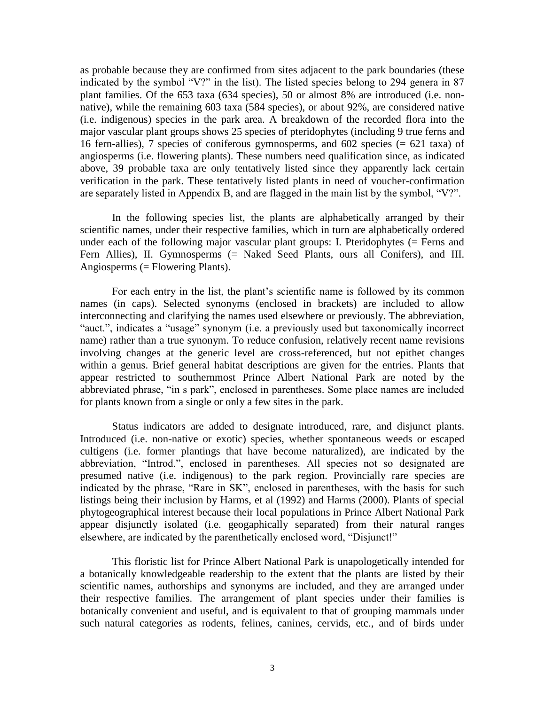as probable because they are confirmed from sites adjacent to the park boundaries (these indicated by the symbol "V?" in the list). The listed species belong to 294 genera in 87 plant families. Of the 653 taxa (634 species), 50 or almost 8% are introduced (i.e. nonnative), while the remaining 603 taxa (584 species), or about 92%, are considered native (i.e. indigenous) species in the park area. A breakdown of the recorded flora into the major vascular plant groups shows 25 species of pteridophytes (including 9 true ferns and 16 fern-allies), 7 species of coniferous gymnosperms, and 602 species (= 621 taxa) of angiosperms (i.e. flowering plants). These numbers need qualification since, as indicated above, 39 probable taxa are only tentatively listed since they apparently lack certain verification in the park. These tentatively listed plants in need of voucher-confirmation are separately listed in Appendix B, and are flagged in the main list by the symbol, "V?".

In the following species list, the plants are alphabetically arranged by their scientific names, under their respective families, which in turn are alphabetically ordered under each of the following major vascular plant groups: I. Pteridophytes (= Ferns and Fern Allies), II. Gymnosperms (= Naked Seed Plants, ours all Conifers), and III. Angiosperms (= Flowering Plants).

For each entry in the list, the plant's scientific name is followed by its common names (in caps). Selected synonyms (enclosed in brackets) are included to allow interconnecting and clarifying the names used elsewhere or previously. The abbreviation, "auct.", indicates a "usage" synonym (i.e. a previously used but taxonomically incorrect name) rather than a true synonym. To reduce confusion, relatively recent name revisions involving changes at the generic level are cross-referenced, but not epithet changes within a genus. Brief general habitat descriptions are given for the entries. Plants that appear restricted to southernmost Prince Albert National Park are noted by the abbreviated phrase, "in s park", enclosed in parentheses. Some place names are included for plants known from a single or only a few sites in the park.

Status indicators are added to designate introduced, rare, and disjunct plants. Introduced (i.e. non-native or exotic) species, whether spontaneous weeds or escaped cultigens (i.e. former plantings that have become naturalized), are indicated by the abbreviation, "Introd.", enclosed in parentheses. All species not so designated are presumed native (i.e. indigenous) to the park region. Provincially rare species are indicated by the phrase, "Rare in SK", enclosed in parentheses, with the basis for such listings being their inclusion by Harms, et al (1992) and Harms (2000). Plants of special phytogeographical interest because their local populations in Prince Albert National Park appear disjunctly isolated (i.e. geogaphically separated) from their natural ranges elsewhere, are indicated by the parenthetically enclosed word, "Disjunct!"

This floristic list for Prince Albert National Park is unapologetically intended for a botanically knowledgeable readership to the extent that the plants are listed by their scientific names, authorships and synonyms are included, and they are arranged under their respective families. The arrangement of plant species under their families is botanically convenient and useful, and is equivalent to that of grouping mammals under such natural categories as rodents, felines, canines, cervids, etc., and of birds under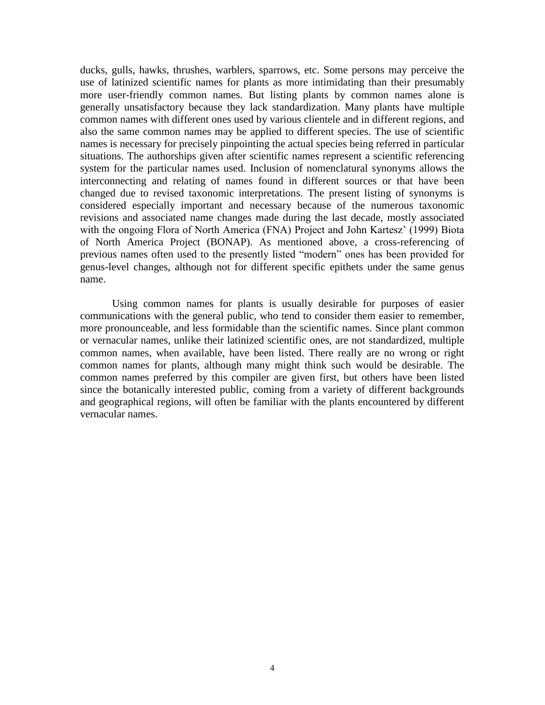ducks, gulls, hawks, thrushes, warblers, sparrows, etc. Some persons may perceive the use of latinized scientific names for plants as more intimidating than their presumably more user-friendly common names. But listing plants by common names alone is generally unsatisfactory because they lack standardization. Many plants have multiple common names with different ones used by various clientele and in different regions, and also the same common names may be applied to different species. The use of scientific names is necessary for precisely pinpointing the actual species being referred in particular situations. The authorships given after scientific names represent a scientific referencing system for the particular names used. Inclusion of nomenclatural synonyms allows the interconnecting and relating of names found in different sources or that have been changed due to revised taxonomic interpretations. The present listing of synonyms is considered especially important and necessary because of the numerous taxonomic revisions and associated name changes made during the last decade, mostly associated with the ongoing Flora of North America (FNA) Project and John Kartesz' (1999) Biota of North America Project (BONAP). As mentioned above, a cross-referencing of previous names often used to the presently listed "modern" ones has been provided for genus-level changes, although not for different specific epithets under the same genus name.

Using common names for plants is usually desirable for purposes of easier communications with the general public, who tend to consider them easier to remember, more pronounceable, and less formidable than the scientific names. Since plant common or vernacular names, unlike their latinized scientific ones, are not standardized, multiple common names, when available, have been listed. There really are no wrong or right common names for plants, although many might think such would be desirable. The common names preferred by this compiler are given first, but others have been listed since the botanically interested public, coming from a variety of different backgrounds and geographical regions, will often be familiar with the plants encountered by different vernacular names.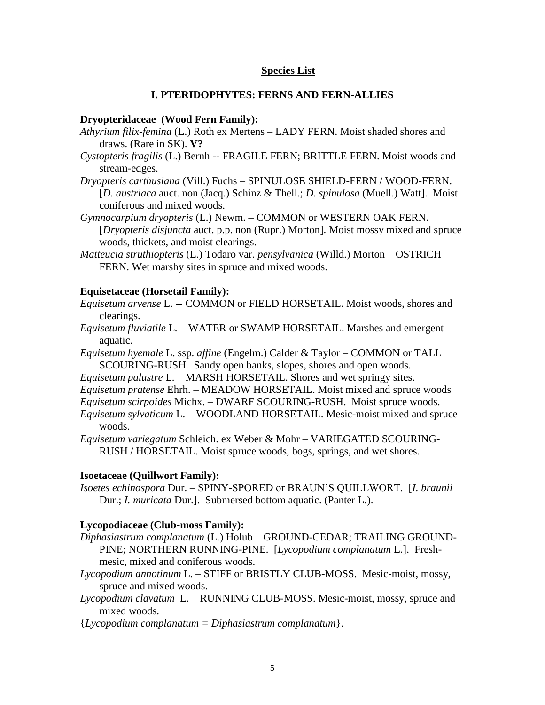### **Species List**

### **I. PTERIDOPHYTES: FERNS AND FERN-ALLIES**

#### **Dryopteridaceae (Wood Fern Family):**

- *Athyrium filix-femina* (L.) Roth ex Mertens LADY FERN. Moist shaded shores and draws. (Rare in SK). **V?**
- *Cystopteris fragilis* (L.) Bernh -- FRAGILE FERN; BRITTLE FERN. Moist woods and stream-edges.
- *Dryopteris carthusiana* (Vill.) Fuchs SPINULOSE SHIELD-FERN / WOOD-FERN. [*D. austriaca* auct. non (Jacq.) Schinz & Thell.; *D. spinulosa* (Muell.) Watt]. Moist coniferous and mixed woods.
- *Gymnocarpium dryopteris* (L.) Newm. COMMON or WESTERN OAK FERN. [*Dryopteris disjuncta* auct. p.p. non (Rupr.) Morton]. Moist mossy mixed and spruce woods, thickets, and moist clearings.
- *Matteucia struthiopteris* (L.) Todaro var. *pensylvanica* (Willd.) Morton OSTRICH FERN. Wet marshy sites in spruce and mixed woods.

#### **Equisetaceae (Horsetail Family):**

- *Equisetum arvense* L. -- COMMON or FIELD HORSETAIL. Moist woods, shores and clearings.
- *Equisetum fluviatile* L*. –* WATER or SWAMP HORSETAIL. Marshes and emergent aquatic.
- *Equisetum hyemale* L. ssp. *affine* (Engelm.) Calder & Taylor COMMON or TALL SCOURING-RUSH. Sandy open banks, slopes, shores and open woods.

*Equisetum palustre* L. – MARSH HORSETAIL. Shores and wet springy sites.

- *Equisetum pratense* Ehrh. MEADOW HORSETAIL. Moist mixed and spruce woods
- *Equisetum scirpoides* Michx. DWARF SCOURING-RUSH. Moist spruce woods.
- *Equisetum sylvaticum* L. WOODLAND HORSETAIL. Mesic-moist mixed and spruce woods.
- *Equisetum variegatum* Schleich. ex Weber & Mohr VARIEGATED SCOURING-RUSH / HORSETAIL. Moist spruce woods, bogs, springs, and wet shores.

#### **Isoetaceae (Quillwort Family):**

*Isoetes echinospora* Dur. – SPINY-SPORED or BRAUN'S QUILLWORT.[*I. braunii*  Dur.; *I. muricata* Dur.]. Submersed bottom aquatic. (Panter L.).

#### **Lycopodiaceae (Club-moss Family):**

- *Diphasiastrum complanatum* (L.) Holub GROUND-CEDAR; TRAILING GROUND-PINE; NORTHERN RUNNING-PINE. [*Lycopodium complanatum* L.]. Freshmesic, mixed and coniferous woods.
- *Lycopodium annotinum* L*. –* STIFF or BRISTLY CLUB-MOSS. Mesic-moist, mossy, spruce and mixed woods.
- *Lycopodium clavatum* L. RUNNING CLUB-MOSS. Mesic-moist, mossy, spruce and mixed woods.
- {*Lycopodium complanatum = Diphasiastrum complanatum*}.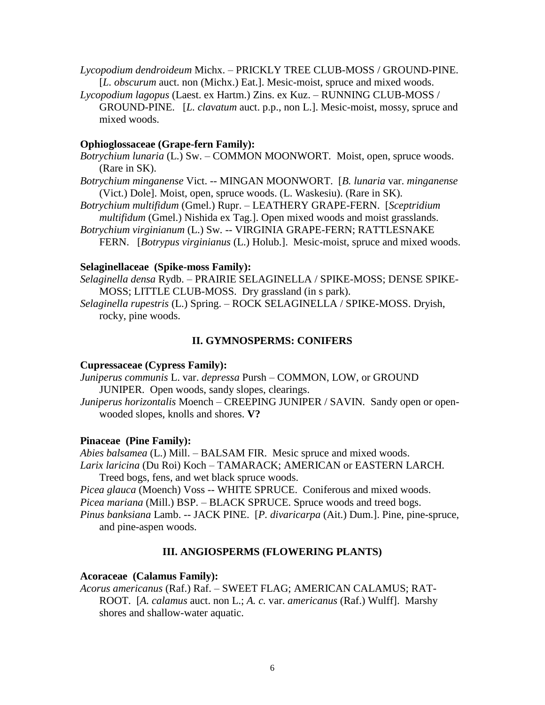*Lycopodium dendroideum* Michx. – PRICKLY TREE CLUB-MOSS / GROUND-PINE. [*L. obscurum* auct. non (Michx.) Eat.]. Mesic-moist, spruce and mixed woods.

*Lycopodium lagopus* (Laest. ex Hartm.) Zins. ex Kuz. – RUNNING CLUB-MOSS / GROUND-PINE. [*L. clavatum* auct. p.p., non L.]. Mesic-moist, mossy, spruce and mixed woods.

## **Ophioglossaceae (Grape-fern Family):**

- *Botrychium lunaria* (L.) Sw. COMMON MOONWORT*.* Moist, open, spruce woods. (Rare in SK).
- *Botrychium minganense* Vict. -- MINGAN MOONWORT. [*B. lunaria* var. *minganense* (Vict.) Dole]. Moist, open, spruce woods. (L. Waskesiu). (Rare in SK).
- *Botrychium multifidum* (Gmel.) Rupr. LEATHERY GRAPE-FERN. [*Sceptridium multifidum* (Gmel.) Nishida ex Tag.]. Open mixed woods and moist grasslands.
- *Botrychium virginianum* (L.) Sw*.* -- VIRGINIA GRAPE-FERN; RATTLESNAKE FERN. [*Botrypus virginianus* (L.) Holub.]. Mesic-moist, spruce and mixed woods.

### **Selaginellaceae (Spike-moss Family):**

*Selaginella densa* Rydb. – PRAIRIE SELAGINELLA / SPIKE-MOSS; DENSE SPIKE-MOSS; LITTLE CLUB-MOSS. Dry grassland (in s park).

*Selaginella rupestris* (L.) Spring. – ROCK SELAGINELLA / SPIKE-MOSS. Dryish, rocky, pine woods.

### **II. GYMNOSPERMS: CONIFERS**

### **Cupressaceae (Cypress Family):**

*Juniperus communis* L. var. *depressa* Pursh – COMMON, LOW, or GROUND JUNIPER. Open woods, sandy slopes, clearings.

*Juniperus horizontalis* Moench – CREEPING JUNIPER / SAVIN*.* Sandy open or openwooded slopes, knolls and shores. **V?**

### **Pinaceae (Pine Family):**

*Abies balsamea* (L.) Mill. – BALSAM FIR. Mesic spruce and mixed woods. *Larix laricina* (Du Roi) Koch – TAMARACK; AMERICAN or EASTERN LARCH*.*  Treed bogs, fens, and wet black spruce woods.

*Picea glauca* (Moench) Voss -- WHITE SPRUCE. Coniferous and mixed woods. *Picea mariana* (Mill.) BSP. – BLACK SPRUCE. Spruce woods and treed bogs. *Pinus banksiana* Lamb. *--* JACK PINE. [*P. divaricarpa* (Ait.) Dum.]. Pine, pine-spruce,

and pine-aspen woods.

## **III. ANGIOSPERMS (FLOWERING PLANTS)**

### **Acoraceae (Calamus Family):**

*Acorus americanus* (Raf.) Raf. – SWEET FLAG; AMERICAN CALAMUS; RAT-ROOT. [*A. calamus* auct. non L.; *A. c.* var. *americanus* (Raf.) Wulff]. Marshy shores and shallow-water aquatic.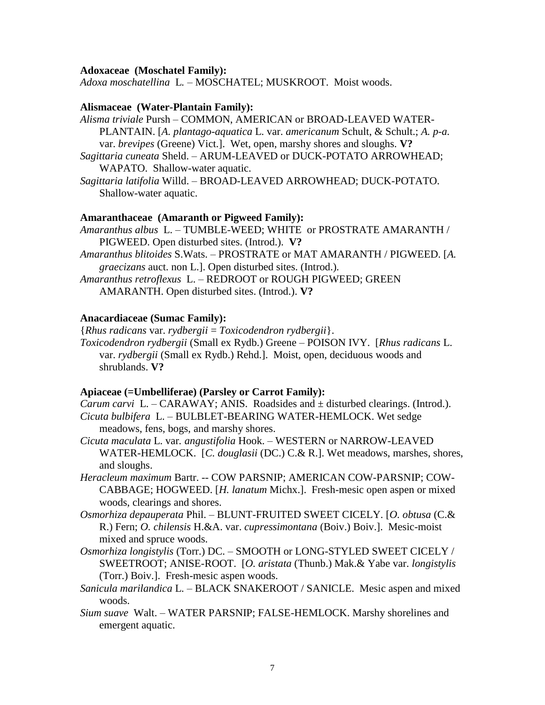#### **Adoxaceae (Moschatel Family):**

*Adoxa moschatellina* L*. –* MOSCHATEL; MUSKROOT. Moist woods.

#### **Alismaceae (Water-Plantain Family):**

- *Alisma triviale* Pursh COMMON, AMERICAN or BROAD-LEAVED WATER-PLANTAIN. [*A. plantago-aquatica* L. var. *americanum* Schult, & Schult.; *A. p-a.*  var. *brevipes* (Greene) Vict.]. Wet, open, marshy shores and sloughs. **V?**
- *Sagittaria cuneata* Sheld. ARUM-LEAVED or DUCK-POTATO ARROWHEAD; WAPATO. Shallow-water aquatic.
- *Sagittaria latifolia* Willd. BROAD-LEAVED ARROWHEAD; DUCK-POTATO. Shallow-water aquatic.

#### **Amaranthaceae (Amaranth or Pigweed Family):**

- *Amaranthus albus* L. TUMBLE-WEED; WHITE or PROSTRATE AMARANTH / PIGWEED. Open disturbed sites. (Introd.). **V?**
- *Amaranthus blitoides* S.Wats. PROSTRATE or MAT AMARANTH / PIGWEED. [*A. graecizans* auct. non L.]. Open disturbed sites. (Introd.).
- *Amaranthus retroflexus* L. REDROOT or ROUGH PIGWEED; GREEN AMARANTH. Open disturbed sites. (Introd.). **V?**

### **Anacardiaceae (Sumac Family):**

{*Rhus radicans* var. *rydbergii* = *Toxicodendron rydbergii*}. *Toxicodendron rydbergii* (Small ex Rydb.) Greene – POISON IVY. [*Rhus radicans* L. var. *rydbergii* (Small ex Rydb.) Rehd.]. Moist, open, deciduous woods and shrublands. **V?**

## **Apiaceae (=Umbelliferae) (Parsley or Carrot Family):**

*Carum carvi L. – CARAWAY; ANIS. Roadsides and*  $\pm$  *disturbed clearings. (Introd.). Cicuta bulbifera* L. – BULBLET-BEARING WATER-HEMLOCK. Wet sedge meadows, fens, bogs, and marshy shores.

- *Cicuta maculata* L. var*. angustifolia* Hook. WESTERN or NARROW-LEAVED WATER-HEMLOCK. [*C. douglasii* (DC.) C.& R.]. Wet meadows, marshes, shores, and sloughs.
- *Heracleum maximum* Bartr. *--* COW PARSNIP; AMERICAN COW-PARSNIP; COW-CABBAGE; HOGWEED. [*H. lanatum* Michx.]. Fresh-mesic open aspen or mixed woods, clearings and shores.
- *Osmorhiza depauperata* Phil. BLUNT-FRUITED SWEET CICELY. [*O. obtusa* (C.& R.) Fern; *O. chilensis* H.&A. var. *cupressimontana* (Boiv.) Boiv.]. Mesic-moist mixed and spruce woods.
- *Osmorhiza longistylis* (Torr.) DC. SMOOTH or LONG-STYLED SWEET CICELY / SWEETROOT; ANISE-ROOT. [*O. aristata* (Thunb.) Mak.& Yabe var. *longistylis* (Torr.) Boiv.]. Fresh-mesic aspen woods.
- *Sanicula marilandica* L. BLACK SNAKEROOT / SANICLE. Mesic aspen and mixed woods.
- *Sium suave* Walt. WATER PARSNIP; FALSE-HEMLOCK. Marshy shorelines and emergent aquatic.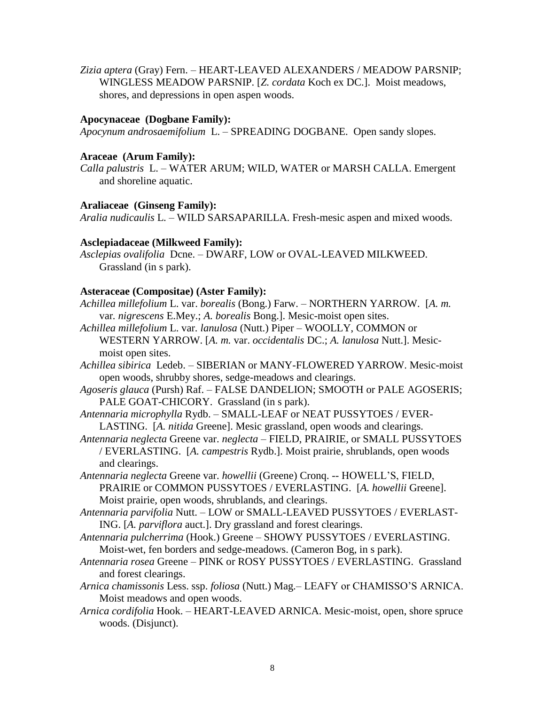*Zizia aptera* (Gray) Fern. – HEART-LEAVED ALEXANDERS / MEADOW PARSNIP; WINGLESS MEADOW PARSNIP. [*Z. cordata* Koch ex DC.]. Moist meadows, shores, and depressions in open aspen woods.

### **Apocynaceae (Dogbane Family):**

*Apocynum androsaemifolium* L. – SPREADING DOGBANE. Open sandy slopes.

### **Araceae (Arum Family):**

*Calla palustris* L. – WATER ARUM; WILD, WATER or MARSH CALLA. Emergent and shoreline aquatic.

### **Araliaceae (Ginseng Family):**

*Aralia nudicaulis* L. – WILD SARSAPARILLA. Fresh-mesic aspen and mixed woods.

### **Asclepiadaceae (Milkweed Family):**

*Asclepias ovalifolia* Dcne. – DWARF, LOW or OVAL-LEAVED MILKWEED. Grassland (in s park).

### **Asteraceae (Compositae) (Aster Family):**

- *Achillea millefolium* L. var. *borealis* (Bong.) Farw. NORTHERN YARROW. [*A. m.* var*. nigrescens* E.Mey.; *A. borealis* Bong.]. Mesic-moist open sites.
- *Achillea millefolium* L. var*. lanulosa* (Nutt.) Piper WOOLLY, COMMON or WESTERN YARROW. [*A. m.* var. *occidentalis* DC.; *A. lanulosa* Nutt.]. Mesicmoist open sites.
- *Achillea sibirica* Ledeb. SIBERIAN or MANY-FLOWERED YARROW. Mesic-moist open woods, shrubby shores, sedge-meadows and clearings.
- *Agoseris glauca* (Pursh) Raf. FALSE DANDELION; SMOOTH or PALE AGOSERIS; PALE GOAT-CHICORY. Grassland (in s park).
- *Antennaria microphylla* Rydb. SMALL-LEAF or NEAT PUSSYTOES / EVER-LASTING. [*A. nitida* Greene]. Mesic grassland, open woods and clearings.
- *Antennaria neglecta* Greene var. *neglecta* FIELD, PRAIRIE, or SMALL PUSSYTOES / EVERLASTING. [*A. campestris* Rydb.]. Moist prairie, shrublands, open woods and clearings.
- *Antennaria neglecta* Greene var. *howellii* (Greene) Cronq. -- HOWELL'S, FIELD, PRAIRIE or COMMON PUSSYTOES / EVERLASTING. [*A. howellii* Greene]. Moist prairie, open woods, shrublands, and clearings.
- *Antennaria parvifolia* Nutt. LOW or SMALL-LEAVED PUSSYTOES / EVERLAST-ING. [*A. parviflora* auct.]. Dry grassland and forest clearings.
- *Antennaria pulcherrima* (Hook.) Greene SHOWY PUSSYTOES / EVERLASTING. Moist-wet, fen borders and sedge-meadows. (Cameron Bog, in s park).
- *Antennaria rosea* Greene PINK or ROSY PUSSYTOES / EVERLASTING. Grassland and forest clearings.
- *Arnica chamissonis* Less. ssp. *foliosa* (Nutt.) Mag.– LEAFY or CHAMISSO'S ARNICA. Moist meadows and open woods.
- *Arnica cordifolia* Hook. HEART-LEAVED ARNICA. Mesic-moist, open, shore spruce woods. (Disjunct).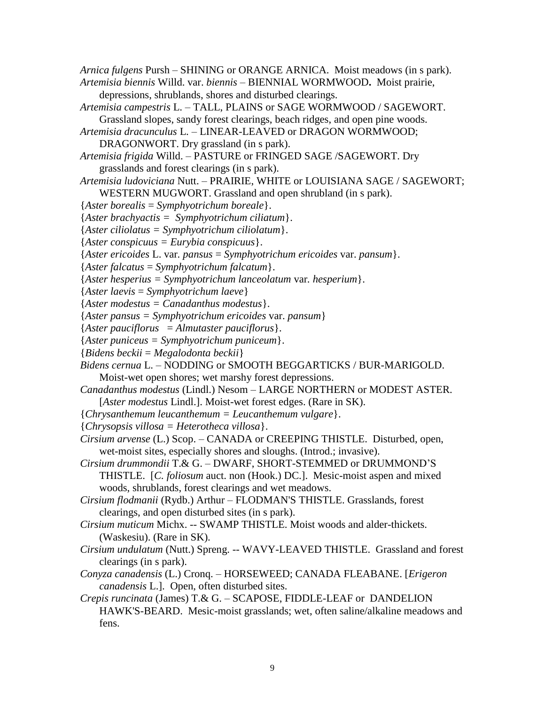*Arnica fulgens* Pursh – SHINING or ORANGE ARNICA. Moist meadows (in s park).

- *Artemisia biennis* Willd. var. *biennis* BIENNIAL WORMWOOD**.** Moist prairie, depressions, shrublands, shores and disturbed clearings.
- *Artemisia campestris* L. TALL, PLAINS or SAGE WORMWOOD / SAGEWORT. Grassland slopes, sandy forest clearings, beach ridges, and open pine woods.
- *Artemisia dracunculus* L. *–* LINEAR-LEAVED or DRAGON WORMWOOD; DRAGONWORT. Dry grassland (in s park).
- *Artemisia frigida* Willd. PASTURE or FRINGED SAGE /SAGEWORT. Dry grasslands and forest clearings (in s park).
- *Artemisia ludoviciana* Nutt. *–* PRAIRIE, WHITE or LOUISIANA SAGE / SAGEWORT; WESTERN MUGWORT. Grassland and open shrubland (in s park).
- {*Aster borealis* = *Symphyotrichum boreale*}.
- {*Aster brachyactis = Symphyotrichum ciliatum*}.
- {*Aster ciliolatus = Symphyotrichum ciliolatum*}.
- {*Aster conspicuus = Eurybia conspicuus*}.
- {*Aster ericoides* L. var*. pansus* = *Symphyotrichum ericoides* var. *pansum*}.
- {*Aster falcatus* = *Symphyotrichum falcatum*}.
- {*Aster hesperius = Symphyotrichum lanceolatum* var*. hesperium*}.
- {*Aster laevis* = *Symphyotrichum laeve*}
- {*Aster modestus = Canadanthus modestus*}.
- {*Aster pansus = Symphyotrichum ericoides* var. *pansum*}
- {*Aster pauciflorus* = *Almutaster pauciflorus*}.
- {*Aster puniceus = Symphyotrichum puniceum*}.
- {*Bidens beckii* = *Megalodonta beckii*}
- *Bidens cernua* L. NODDING or SMOOTH BEGGARTICKS / BUR-MARIGOLD. Moist-wet open shores; wet marshy forest depressions.
- *Canadanthus modestus* (Lindl.) Nesom LARGE NORTHERN or MODEST ASTER. [*Aster modestus* Lindl.]. Moist-wet forest edges. (Rare in SK).
- {*Chrysanthemum leucanthemum = Leucanthemum vulgare*}.
- {*Chrysopsis villosa = Heterotheca villosa*}.
- *Cirsium arvense* (L.) Scop. CANADA or CREEPING THISTLE. Disturbed, open, wet-moist sites, especially shores and sloughs. (Introd.; invasive).
- *Cirsium drummondii* T.& G. DWARF, SHORT-STEMMED or DRUMMOND'S THISTLE. [*C. foliosum* auct. non (Hook.) DC.]. Mesic-moist aspen and mixed woods, shrublands, forest clearings and wet meadows.
- *Cirsium flodmanii* (Rydb.) Arthur FLODMAN'S THISTLE. Grasslands, forest clearings, and open disturbed sites (in s park).
- *Cirsium muticum* Michx. -- SWAMP THISTLE. Moist woods and alder-thickets. (Waskesiu). (Rare in SK).
- *Cirsium undulatum* (Nutt.) Spreng. -- WAVY-LEAVED THISTLE. Grassland and forest clearings (in s park).
- *Conyza canadensis* (L.) Cronq. HORSEWEED; CANADA FLEABANE. [*Erigeron canadensis* L.]. Open, often disturbed sites.
- *Crepis runcinata* (James) T.& G. SCAPOSE, FIDDLE-LEAF or DANDELION HAWK'S-BEARD. Mesic-moist grasslands; wet, often saline/alkaline meadows and fens.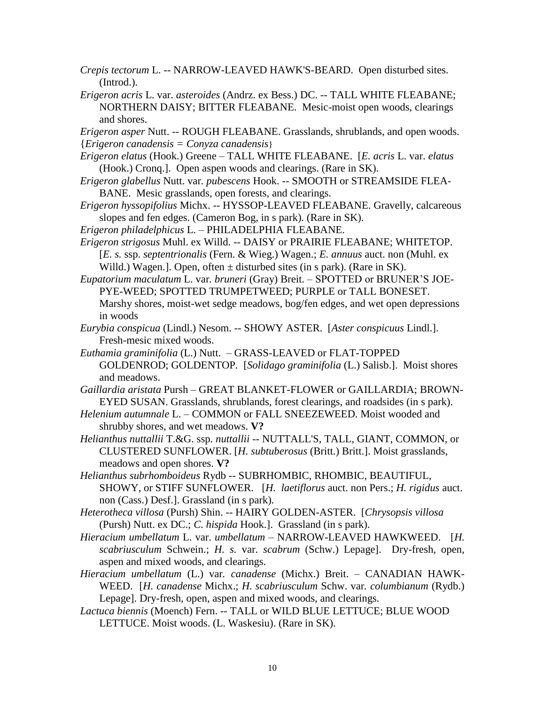- *Crepis tectorum* L. -- NARROW-LEAVED HAWK'S-BEARD. Open disturbed sites. (Introd.).
- *Erigeron acris* L. var. *asteroides* (Andrz. ex Bess.) DC. -- TALL WHITE FLEABANE; NORTHERN DAISY; BITTER FLEABANE. Mesic-moist open woods, clearings and shores.

*Erigeron asper* Nutt. -- ROUGH FLEABANE. Grasslands, shrublands, and open woods. {*Erigeron canadensis = Conyza canadensis*}

- *Erigeron elatus* (Hook.) Greene TALL WHITE FLEABANE. [*E. acris* L. var. *elatus*  (Hook.) Cronq.]. Open aspen woods and clearings. (Rare in SK).
- *Erigeron glabellus* Nutt. var*. pubescens* Hook. -- SMOOTH or STREAMSIDE FLEA-BANE. Mesic grasslands, open forests, and clearings.
- *Erigeron hyssopifolius* Michx. *--* HYSSOP-LEAVED FLEABANE. Gravelly, calcareous slopes and fen edges. (Cameron Bog, in s park). (Rare in SK).
- *Erigeron philadelphicus* L. PHILADELPHIA FLEABANE.
- *Erigeron strigosus* Muhl. ex Willd. -- DAISY or PRAIRIE FLEABANE; WHITETOP. [*E. s.* ssp. *septentrionalis* (Fern. & Wieg.) Wagen.; *E. annuus* auct. non (Muhl. ex Willd.) Wagen.]. Open, often  $\pm$  disturbed sites (in s park). (Rare in SK).
- *Eupatorium maculatum* L. var*. bruneri* (Gray) Breit. SPOTTED or BRUNER'S JOE-PYE-WEED; SPOTTED TRUMPETWEED; PURPLE or TALL BONESET. Marshy shores, moist-wet sedge meadows, bog/fen edges, and wet open depressions in woods
- *Eurybia conspicua* (Lindl.) Nesom. -- SHOWY ASTER. [*Aster conspicuus* Lindl.]. Fresh-mesic mixed woods.
- *Euthamia graminifolia* (L.) Nutt. *–* GRASS-LEAVED or FLAT-TOPPED GOLDENROD; GOLDENTOP*.* [*Solidago graminifolia* (L.) Salisb.]. Moist shores and meadows.
- *Gaillardia aristata* Pursh GREAT BLANKET-FLOWER or GAILLARDIA; BROWN-EYED SUSAN. Grasslands, shrublands, forest clearings, and roadsides (in s park).
- *Helenium autumnale* L. *–* COMMON or FALL SNEEZEWEED. Moist wooded and shrubby shores, and wet meadows. **V?**
- *Helianthus nuttallii* T.&G. ssp*. nuttallii --* NUTTALL'S, TALL, GIANT, COMMON, or CLUSTERED SUNFLOWER. [*H. subtuberosus* (Britt.) Britt.]. Moist grasslands, meadows and open shores. **V?**
- *Helianthus subrhomboideus* Rydb *--* SUBRHOMBIC, RHOMBIC, BEAUTIFUL, SHOWY, or STIFF SUNFLOWER. [*H. laetiflorus* auct. non Pers.; *H. rigidus* auct. non (Cass.) Desf.]. Grassland (in s park).
- *Heterotheca villosa* (Pursh) Shin. *--* HAIRY GOLDEN-ASTER. [*Chrysopsis villosa*  (Pursh) Nutt. ex DC.; *C. hispida* Hook.]. Grassland (in s park).
- *Hieracium umbellatum* L. var. *umbellatum* NARROW-LEAVED HAWKWEED. [*H. scabriusculum* Schwein.; *H. s.* var. *scabrum* (Schw.) Lepage]. Dry-fresh, open, aspen and mixed woods, and clearings.
- *Hieracium umbellatum* (L.) var*. canadense* (Michx.) Breit. *–* CANADIAN HAWK-WEED. [*H. canadense* Michx.; *H. scabriusculum* Schw. var*. columbianum* (Rydb.) Lepage]. Dry-fresh, open, aspen and mixed woods, and clearings.
- *Lactuca biennis* (Moench) Fern. -- TALL or WILD BLUE LETTUCE; BLUE WOOD LETTUCE. Moist woods. (L. Waskesiu). (Rare in SK).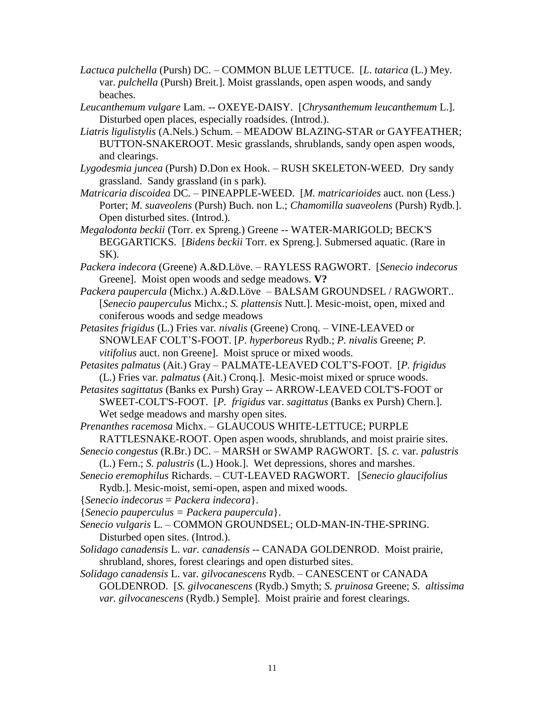- *Lactuca pulchella* (Pursh) DC. COMMON BLUE LETTUCE. [*L*. *tatarica* (L.) Mey. var. *pulchella* (Pursh) Breit.]. Moist grasslands, open aspen woods, and sandy beaches.
- *Leucanthemum vulgare* Lam. -- OXEYE-DAISY. [*Chrysanthemum leucanthemum* L.]. Disturbed open places, especially roadsides. (Introd.).
- *Liatris ligulistylis* (A.Nels.) Schum. MEADOW BLAZING-STAR or GAYFEATHER; BUTTON-SNAKEROOT. Mesic grasslands, shrublands, sandy open aspen woods, and clearings.
- *Lygodesmia juncea* (Pursh) D.Don ex Hook. RUSH SKELETON-WEED. Dry sandy grassland. Sandy grassland (in s park).
- *Matricaria discoidea* DC*. –* PINEAPPLE-WEED. [*M. matricarioides* auct. non (Less.) Porter; *M. suaveolens* (Pursh) Buch. non L.; *Chamomilla suaveolens* (Pursh) Rydb*.*]. Open disturbed sites. (Introd.).
- *Megalodonta beckii* (Torr. ex Spreng.) Greene -- WATER-MARIGOLD; BECK'S BEGGARTICKS. [*Bidens beckii* Torr. ex Spreng.]. Submersed aquatic. (Rare in SK).
- *Packera indecora* (Greene) A.&D.Löve. RAYLESS RAGWORT. [*Senecio indecorus* Greene]. Moist open woods and sedge meadows. **V?**
- *Packera paupercula* (Michx.) A.&D.Löve BALSAM GROUNDSEL / RAGWORT.. [*Senecio pauperculus* Michx.; *S. plattensis* Nutt.]. Mesic-moist, open, mixed and coniferous woods and sedge meadows
- *Petasites frigidus* (L.) Fries var*. nivalis* (Greene) Cronq. VINE-LEAVED or SNOWLEAF COLT'S-FOOT. [*P. hyperboreus* Rydb.; *P. nivalis* Greene; *P. vitifolius* auct. non Greene]. Moist spruce or mixed woods.
- *Petasites palmatus* (Ait.) Gray *–* PALMATE-LEAVED COLT'S-FOOT. [*P. frigidus*  (L.) Fries var*. palmatus* (Ait.) Cronq.]. Mesic-moist mixed or spruce woods.
- *Petasites sagittatus* (Banks ex Pursh) Gray -- ARROW-LEAVED COLT'S-FOOT or SWEET-COLT'S-FOOT. [*P. frigidus* var. *sagittatus* (Banks ex Pursh) Chern.]. Wet sedge meadows and marshy open sites.
- *Prenanthes racemosa* Michx. *–* GLAUCOUS WHITE-LETTUCE; PURPLE RATTLESNAKE-ROOT. Open aspen woods, shrublands, and moist prairie sites.
- *Senecio congestus* (R.Br.) DC. MARSH or SWAMP RAGWORT. [*S. c.* var. *palustris*  (L.) Fern.; *S. palustris* (L.) Hook.]. Wet depressions, shores and marshes.
- *Senecio eremophilus* Richards. *–* CUT-LEAVED RAGWORT*.* [*Senecio glaucifolius*  Rydb.]. Mesic-moist, semi-open, aspen and mixed woods.
- {*Senecio indecorus* = *Packera indecora*}.
- {*Senecio pauperculus = Packera paupercula*}.
- *Senecio vulgaris* L. COMMON GROUNDSEL; OLD-MAN-IN-THE-SPRING. Disturbed open sites. (Introd.).
- *Solidago canadensis* L. *var. canadensis --* CANADA GOLDENROD. Moist prairie, shrubland, shores, forest clearings and open disturbed sites.
- *Solidago canadensis* L. var*. gilvocanescens* Rydb. *–* CANESCENT or CANADA GOLDENROD. [*S. gilvocanescens* (Rydb.) Smyth; *S. pruinosa* Greene; *S. altissima var. gilvocanescens* (Rydb.) Semple]. Moist prairie and forest clearings.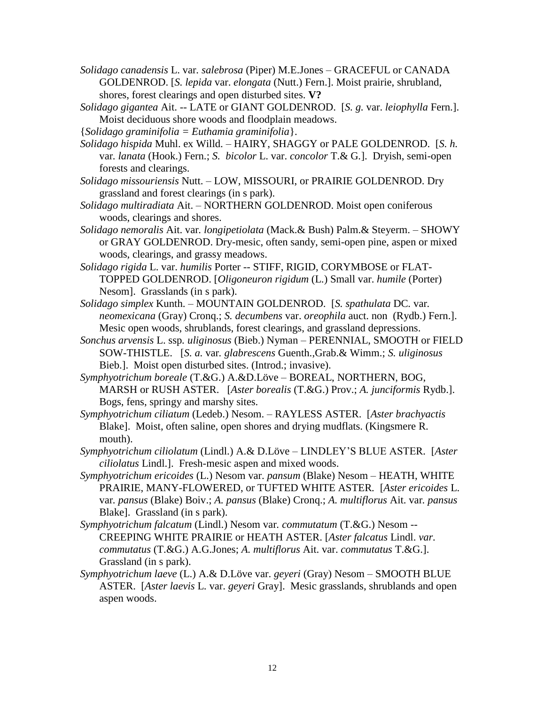- *Solidago canadensis* L. var*. salebrosa* (Piper) M.E.Jones GRACEFUL or CANADA GOLDENROD. [*S. lepida* var. *elongata* (Nutt.) Fern.]. Moist prairie, shrubland, shores, forest clearings and open disturbed sites. **V?**
- *Solidago gigantea* Ait. -- LATE or GIANT GOLDENROD. [*S. g.* var. *leiophylla* Fern.]. Moist deciduous shore woods and floodplain meadows.
- {*Solidago graminifolia = Euthamia graminifolia*}.
- *Solidago hispida* Muhl. ex Willd. HAIRY, SHAGGY or PALE GOLDENROD. [*S. h.*  var*. lanata* (Hook.) Fern.; *S. bicolor* L. var. *concolor* T.& G*.*]. Dryish, semi-open forests and clearings.
- *Solidago missouriensis* Nutt. *–* LOW, MISSOURI, or PRAIRIE GOLDENROD. Dry grassland and forest clearings (in s park).
- *Solidago multiradiata* Ait. NORTHERN GOLDENROD. Moist open coniferous woods, clearings and shores.
- *Solidago nemoralis* Ait. var*. longipetiolata* (Mack.& Bush) Palm.& Steyerm. SHOWY or GRAY GOLDENROD. Dry-mesic, often sandy, semi-open pine, aspen or mixed woods, clearings, and grassy meadows.
- *Solidago rigida* L. var. *humilis* Porter *--* STIFF, RIGID, CORYMBOSE or FLAT-TOPPED GOLDENROD. [*Oligoneuron rigidum* (L.) Small var. *humile* (Porter) Nesom].Grasslands (in s park).
- *Solidago simplex* Kunth. *–* MOUNTAIN GOLDENROD. [*S. spathulata* DC*.* var*. neomexicana* (Gray) Cronq.; *S. decumbens* var. *oreophila* auct. non (Rydb.) Fern.]. Mesic open woods, shrublands, forest clearings, and grassland depressions.
- *Sonchus arvensis* L. ssp*. uliginosus* (Bieb.) Nyman PERENNIAL, SMOOTH or FIELD SOW-THISTLE. [*S. a.* var*. glabrescens* Guenth.,Grab.& Wimm.; *S. uliginosus*  Bieb.]. Moist open disturbed sites. (Introd.; invasive).
- *Symphyotrichum boreale* (T.&G.) A.&D.Löve BOREAL, NORTHERN, BOG, MARSH or RUSH ASTER. [*Aster borealis* (T.&G.) Prov.; *A. junciformis* Rydb.]. Bogs, fens, springy and marshy sites.
- *Symphyotrichum ciliatum* (Ledeb.) Nesom. RAYLESS ASTER. [*Aster brachyactis* Blake]. Moist, often saline, open shores and drying mudflats. (Kingsmere R. mouth).
- *Symphyotrichum ciliolatum* (Lindl.) A.& D.Löve LINDLEY'S BLUE ASTER*.* [*Aster ciliolatus* Lindl.]. Fresh-mesic aspen and mixed woods.
- *Symphyotrichum ericoides* (L.) Nesom var. *pansum* (Blake) Nesom *–* HEATH, WHITE PRAIRIE, MANY-FLOWERED, or TUFTED WHITE ASTER*.* [*Aster ericoides* L. var*. pansus* (Blake) Boiv.; *A. pansus* (Blake) Cronq.; *A. multiflorus* Ait. var*. pansus*  Blake]. Grassland (in s park).
- *Symphyotrichum falcatum* (Lindl.) Nesom var*. commutatum* (T.&G.) Nesom *--* CREEPING WHITE PRAIRIE or HEATH ASTER. [*Aster falcatus* Lindl. *var. commutatus* (T.&G.) A.G.Jones; *A. multiflorus* Ait. var. *commutatus* T.&G.]. Grassland (in s park).
- *Symphyotrichum laeve* (L.) A.& D.Löve var. *geyeri* (Gray) Nesom SMOOTH BLUE ASTER. [*Aster laevis* L. var. *geyeri* Gray]. Mesic grasslands, shrublands and open aspen woods.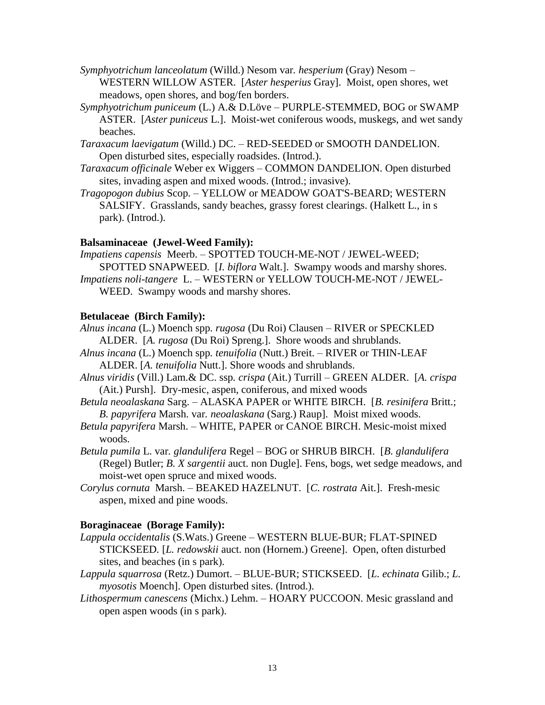- *Symphyotrichum lanceolatum* (Willd.) Nesom var*. hesperium* (Gray) Nesom *–* WESTERN WILLOW ASTER. [*Aster hesperius* Gray]. Moist, open shores, wet meadows, open shores, and bog/fen borders.
- *Symphyotrichum puniceum* (L.) A.& D.Löve PURPLE-STEMMED, BOG or SWAMP ASTER. [*Aster puniceus* L.]. Moist-wet coniferous woods, muskegs, and wet sandy beaches.
- *Taraxacum laevigatum* (Willd.) DC. RED-SEEDED or SMOOTH DANDELION. Open disturbed sites, especially roadsides. (Introd.).
- *Taraxacum officinale* Weber ex Wiggers COMMON DANDELION. Open disturbed sites, invading aspen and mixed woods. (Introd.; invasive).
- *Tragopogon dubius* Scop. YELLOW or MEADOW GOAT'S-BEARD; WESTERN SALSIFY. Grasslands, sandy beaches, grassy forest clearings. (Halkett L., in s park). (Introd.).

## **Balsaminaceae (Jewel-Weed Family):**

*Impatiens capensis* Meerb. – SPOTTED TOUCH-ME-NOT / JEWEL-WEED; SPOTTED SNAPWEED. [*I. biflora* Walt.]. Swampy woods and marshy shores. *Impatiens noli-tangere* L. – WESTERN or YELLOW TOUCH-ME-NOT / JEWEL-WEED. Swampy woods and marshy shores.

## **Betulaceae (Birch Family):**

- *Alnus incana* (L.) Moench spp*. rugosa* (Du Roi) Clausen RIVER or SPECKLED ALDER. [*A. rugosa* (Du Roi) Spreng.]. Shore woods and shrublands.
- *Alnus incana* (L.) Moench spp*. tenuifolia* (Nutt.) Breit. *–* RIVER or THIN-LEAF ALDER. [*A. tenuifolia* Nutt.]. Shore woods and shrublands.
- *Alnus viridis* (Vill.) Lam.& DC. ssp*. crispa* (Ait.) Turrill *–* GREEN ALDER. [*A. crispa*  (Ait.) Pursh]. Dry-mesic, aspen, coniferous, and mixed woods
- *Betula neoalaskana* Sarg. ALASKA PAPER or WHITE BIRCH. [*B. resinifera* Britt.; *B. papyrifera* Marsh. var*. neoalaskana* (Sarg.) Raup]. Moist mixed woods.
- *Betula papyrifera* Marsh. *–* WHITE, PAPER or CANOE BIRCH. Mesic-moist mixed woods.
- *Betula pumila* L. var*. glandulifera* Regel BOG or SHRUB BIRCH. [*B. glandulifera* (Regel) Butler; *B. X sargentii* auct. non Dugle]. Fens, bogs, wet sedge meadows, and moist-wet open spruce and mixed woods.
- *Corylus cornuta* Marsh. BEAKED HAZELNUT. [*C. rostrata* Ait.]. Fresh-mesic aspen, mixed and pine woods.

# **Boraginaceae (Borage Family):**

- *Lappula occidentalis* (S.Wats.) Greene *–* WESTERN BLUE-BUR; FLAT-SPINED STICKSEED*.* [*L. redowskii* auct. non (Hornem.) Greene]. Open, often disturbed sites, and beaches (in s park).
- *Lappula squarrosa* (Retz.) Dumort. BLUE-BUR; STICKSEED. [*L. echinata* Gilib.; *L. myosotis* Moench]. Open disturbed sites. (Introd.).
- *Lithospermum canescens* (Michx.) Lehm. *–* HOARY PUCCOON*.* Mesic grassland and open aspen woods (in s park).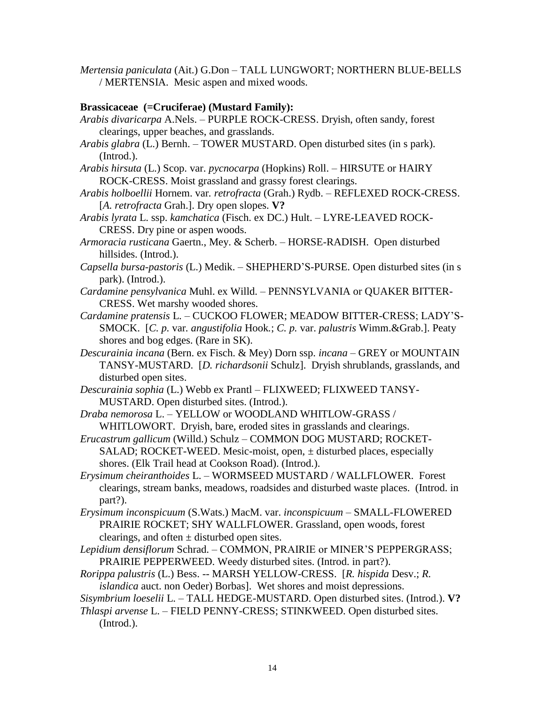*Mertensia paniculata* (Ait.) G.Don *–* TALL LUNGWORT; NORTHERN BLUE-BELLS / MERTENSIA. Mesic aspen and mixed woods.

## **Brassicaceae (=Cruciferae) (Mustard Family):**

- *Arabis divaricarpa* A.Nels. PURPLE ROCK-CRESS. Dryish, often sandy, forest clearings, upper beaches, and grasslands.
- *Arabis glabra* (L.) Bernh. TOWER MUSTARD. Open disturbed sites (in s park). (Introd.).
- *Arabis hirsuta* (L.) Scop. var. *pycnocarpa* (Hopkins) Roll. HIRSUTE or HAIRY ROCK-CRESS. Moist grassland and grassy forest clearings.
- *Arabis holboellii* Hornem. var*. retrofracta* (Grah.) Rydb. REFLEXED ROCK-CRESS. [*A. retrofracta* Grah.]. Dry open slopes. **V?**
- *Arabis lyrata* L. ssp. *kamchatica* (Fisch. ex DC.) Hult. LYRE-LEAVED ROCK-CRESS. Dry pine or aspen woods.
- *Armoracia rusticana* Gaertn., Mey. & Scherb. HORSE-RADISH. Open disturbed hillsides. (Introd.).
- *Capsella bursa-pastoris* (L.) Medik. SHEPHERD'S-PURSE. Open disturbed sites (in s park). (Introd.).
- *Cardamine pensylvanica* Muhl. ex Willd. PENNSYLVANIA or QUAKER BITTER-CRESS. Wet marshy wooded shores.
- *Cardamine pratensis* L. *–* CUCKOO FLOWER; MEADOW BITTER-CRESS; LADY'S-SMOCK. [*C. p.* var*. angustifolia* Hook*.*; *C. p.* var. *palustris* Wimm.&Grab.]. Peaty shores and bog edges. (Rare in SK).
- *Descurainia incana* (Bern. ex Fisch. & Mey) Dorn ssp. *incana –* GREY or MOUNTAIN TANSY-MUSTARD. [*D. richardsonii* Schulz]. Dryish shrublands, grasslands, and disturbed open sites.
- *Descurainia sophia* (L.) Webb ex Prantl FLIXWEED; FLIXWEED TANSY-MUSTARD. Open disturbed sites. (Introd.).
- *Draba nemorosa* L. YELLOW or WOODLAND WHITLOW-GRASS / WHITLOWORT. Dryish, bare, eroded sites in grasslands and clearings.
- *Erucastrum gallicum* (Willd.) Schulz *–* COMMON DOG MUSTARD; ROCKET-SALAD; ROCKET-WEED. Mesic-moist, open,  $\pm$  disturbed places, especially shores. (Elk Trail head at Cookson Road). (Introd.).
- *Erysimum cheiranthoides* L. WORMSEED MUSTARD / WALLFLOWER. Forest clearings, stream banks, meadows, roadsides and disturbed waste places. (Introd. in part?).
- *Erysimum inconspicuum* (S.Wats.) MacM. var. *inconspicuum –* SMALL-FLOWERED PRAIRIE ROCKET; SHY WALLFLOWER. Grassland, open woods, forest clearings, and often  $\pm$  disturbed open sites.
- *Lepidium densiflorum* Schrad. COMMON, PRAIRIE or MINER'S PEPPERGRASS; PRAIRIE PEPPERWEED. Weedy disturbed sites. (Introd. in part?).
- *Rorippa palustris* (L.) Bess. *-* MARSH YELLOW-CRESS. [*R. hispida* Desv.; *R. islandica* auct. non Oeder) Borbas]. Wet shores and moist depressions.
- *Sisymbrium loeselii* L. TALL HEDGE-MUSTARD. Open disturbed sites. (Introd.). **V?**
- *Thlaspi arvense* L. *–* FIELD PENNY-CRESS; STINKWEED. Open disturbed sites. (Introd.).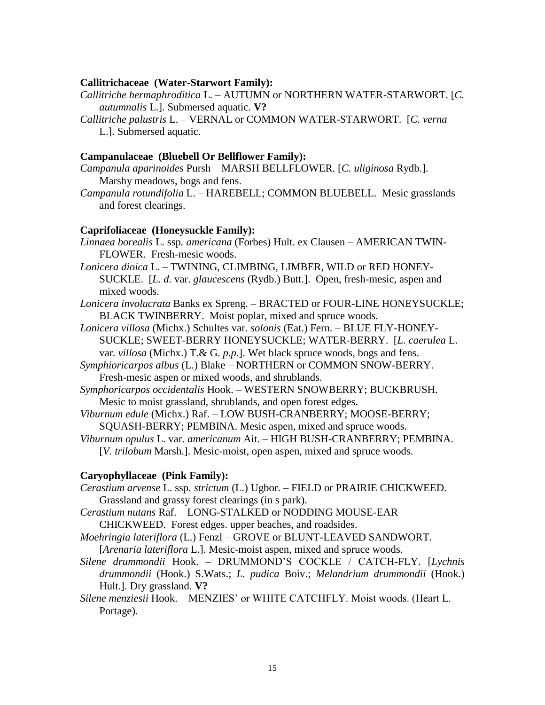### **Callitrichaceae (Water-Starwort Family):**

- *Callitriche hermaphroditica* L. AUTUMN or NORTHERN WATER-STARWORT. [*C. autumnalis* L.]. Submersed aquatic. **V?**
- *Callitriche palustris* L. VERNAL or COMMON WATER-STARWORT. [*C. verna*  L.]. Submersed aquatic.

## **Campanulaceae (Bluebell Or Bellflower Family):**

- *Campanula aparinoides* Pursh MARSH BELLFLOWER. [*C. uliginosa* Rydb.]. Marshy meadows, bogs and fens.
- *Campanula rotundifolia* L. HAREBELL; COMMON BLUEBELL. Mesic grasslands and forest clearings.

### **Caprifoliaceae (Honeysuckle Family):**

- *Linnaea borealis* L. ssp*. americana* (Forbes) Hult. ex Clausen AMERICAN TWIN-FLOWER. Fresh-mesic woods.
- *Lonicera dioica* L. TWINING, CLIMBING, LIMBER, WILD or RED HONEY-SUCKLE. [*L. d.* var. *glaucescens* (Rydb.) Butt.]. Open, fresh-mesic, aspen and mixed woods.
- *Lonicera involucrata* Banks ex Spreng. BRACTED or FOUR-LINE HONEYSUCKLE; BLACK TWINBERRY. Moist poplar, mixed and spruce woods.
- *Lonicera villosa* (Michx.) Schultes var*. solonis* (Eat.) Fern. BLUE FLY-HONEY-SUCKLE; SWEET-BERRY HONEYSUCKLE; WATER-BERRY. [*L. caerulea* L. var*. villosa* (Michx.) T.& G. *p.p*.]. Wet black spruce woods, bogs and fens.
- *Symphioricarpos albus* (L.) Blake *–* NORTHERN or COMMON SNOW-BERRY. Fresh-mesic aspen or mixed woods, and shrublands.
- *Symphoricarpos occidentalis* Hook. *–* WESTERN SNOWBERRY; BUCKBRUSH. Mesic to moist grassland, shrublands, and open forest edges.
- *Viburnum edule* (Michx.) Raf. LOW BUSH-CRANBERRY; MOOSE-BERRY; SQUASH-BERRY; PEMBINA. Mesic aspen, mixed and spruce woods.
- *Viburnum opulus* L. var. *americanum* Ait. HIGH BUSH-CRANBERRY; PEMBINA. [*V. trilobum* Marsh.]. Mesic-moist, open aspen, mixed and spruce woods.

### **Caryophyllaceae (Pink Family):**

- *Cerastium arvense* L. ssp*. strictum* (L.) Ugbor. *–* FIELD or PRAIRIE CHICKWEED. Grassland and grassy forest clearings (in s park).
- *Cerastium nutans* Raf. *–* LONG-STALKED or NODDING MOUSE-EAR CHICKWEED. Forest edges. upper beaches, and roadsides.
- *Moehringia lateriflora* (L.) Fenzl GROVE or BLUNT-LEAVED SANDWORT. [*Arenaria lateriflora* L.]. Mesic-moist aspen, mixed and spruce woods.
- *Silene drummondii* Hook. *–* DRUMMOND'S COCKLE / CATCH-FLY. [*Lychnis drummondii* (Hook.) S.Wats.; *L. pudica* Boiv.; *Melandrium drummondii* (Hook.) Hult.]. Dry grassland. **V?**
- *Silene menziesii* Hook. MENZIES' or WHITE CATCHFLY. Moist woods. (Heart L. Portage).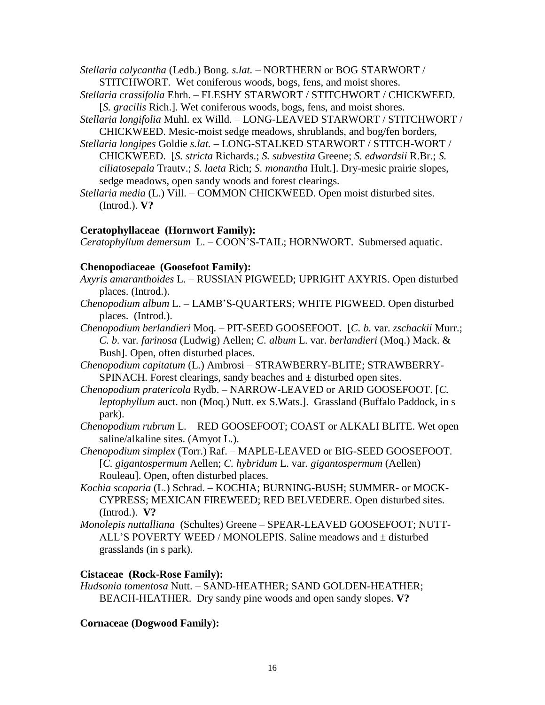*Stellaria calycantha* (Ledb.) Bong. *s.lat.* – NORTHERN or BOG STARWORT / STITCHWORT. Wet coniferous woods, bogs, fens, and moist shores.

- *Stellaria crassifolia* Ehrh. *–* FLESHY STARWORT / STITCHWORT / CHICKWEED. [*S. gracilis* Rich.]. Wet coniferous woods, bogs, fens, and moist shores.
- *Stellaria longifolia* Muhl. ex Willd. *–* LONG-LEAVED STARWORT / STITCHWORT / CHICKWEED. Mesic-moist sedge meadows, shrublands, and bog/fen borders,
- *Stellaria longipes* Goldie *s.lat. –* LONG-STALKED STARWORT / STITCH-WORT / CHICKWEED. [*S. stricta* Richards.; *S. subvestita* Greene; *S. edwardsii* R.Br.; *S. ciliatosepala* Trautv.; *S. laeta* Rich; *S. monantha* Hult.]. Dry-mesic prairie slopes, sedge meadows, open sandy woods and forest clearings.

*Stellaria media* (L.) Vill. *–* COMMON CHICKWEED. Open moist disturbed sites. (Introd.). **V?**

# **Ceratophyllaceae (Hornwort Family):**

*Ceratophyllum demersum* L. – COON'S-TAIL; HORNWORT.Submersed aquatic.

# **Chenopodiaceae (Goosefoot Family):**

- *Axyris amaranthoides* L. RUSSIAN PIGWEED; UPRIGHT AXYRIS. Open disturbed places. (Introd.).
- *Chenopodium album* L. LAMB'S-QUARTERS; WHITE PIGWEED. Open disturbed places. (Introd.).
- *Chenopodium berlandieri* Moq. PIT-SEED GOOSEFOOT. [*C. b.* var. *zschackii* Murr.; *C. b.* var*. farinosa* (Ludwig) Aellen; *C. album* L. var. *berlandieri* (Moq.) Mack. & Bush]. Open, often disturbed places.
- *Chenopodium capitatum* (L.) Ambrosi STRAWBERRY-BLITE; STRAWBERRY-SPINACH. Forest clearings, sandy beaches and  $\pm$  disturbed open sites.
- *Chenopodium pratericola* Rydb. NARROW-LEAVED or ARID GOOSEFOOT. [*C. leptophyllum* auct. non (Moq.) Nutt. ex S.Wats.]. Grassland (Buffalo Paddock, in s park).
- *Chenopodium rubrum* L. RED GOOSEFOOT; COAST or ALKALI BLITE. Wet open saline/alkaline sites. (Amyot L.).
- *Chenopodium simplex* (Torr.) Raf. MAPLE-LEAVED or BIG-SEED GOOSEFOOT. [*C. gigantospermum* Aellen; *C. hybridum* L. var*. gigantospermum* (Aellen) Rouleau]. Open, often disturbed places.
- *Kochia scoparia* (L.) Schrad. KOCHIA; BURNING-BUSH; SUMMER- or MOCK-CYPRESS; MEXICAN FIREWEED; RED BELVEDERE. Open disturbed sites. (Introd.). **V?**
- *Monolepis nuttalliana* (Schultes) Greene SPEAR-LEAVED GOOSEFOOT; NUTT-ALL'S POVERTY WEED / MONOLEPIS. Saline meadows and ± disturbed grasslands (in s park).

# **Cistaceae (Rock-Rose Family):**

*Hudsonia tomentosa* Nutt. – SAND-HEATHER; SAND GOLDEN-HEATHER; BEACH-HEATHER. Dry sandy pine woods and open sandy slopes. **V?**

# **Cornaceae (Dogwood Family):**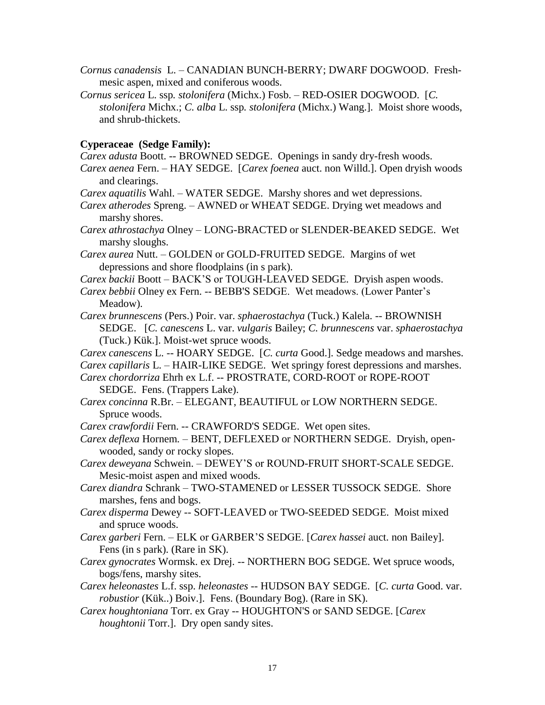- *Cornus canadensis* L. CANADIAN BUNCH-BERRY; DWARF DOGWOOD. Freshmesic aspen, mixed and coniferous woods.
- *Cornus sericea* L. ssp*. stolonifera* (Michx.) Fosb. RED-OSIER DOGWOOD. [*C. stolonifera* Michx.; *C. alba* L. ssp*. stolonifera* (Michx.) Wang.]. Moist shore woods, and shrub-thickets.

### **Cyperaceae (Sedge Family):**

*Carex adusta* Boott. -- BROWNED SEDGE. Openings in sandy dry-fresh woods.

- *Carex aenea* Fern. HAY SEDGE. [*Carex foenea* auct. non Willd.]. Open dryish woods and clearings.
- *Carex aquatilis* Wahl. *–* WATER SEDGE. Marshy shores and wet depressions.
- *Carex atherodes* Spreng. AWNED or WHEAT SEDGE. Drying wet meadows and marshy shores.
- *Carex athrostachya* Olney LONG-BRACTED or SLENDER-BEAKED SEDGE. Wet marshy sloughs.
- *Carex aurea* Nutt. GOLDEN or GOLD-FRUITED SEDGE. Margins of wet depressions and shore floodplains (in s park).
- *Carex backii* Boott BACK'S or TOUGH-LEAVED SEDGE. Dryish aspen woods.
- *Carex bebbii* Olney ex Fern. -- BEBB'S SEDGE. Wet meadows. (Lower Panter's Meadow).
- *Carex brunnescens* (Pers.) Poir. var. *sphaerostachya* (Tuck.) Kalela. -- BROWNISH SEDGE. [*C. canescens* L. var. *vulgaris* Bailey; *C. brunnescens* var. *sphaerostachya*  (Tuck.) Kük.]. Moist-wet spruce woods.
- *Carex canescens* L. *--* HOARY SEDGE. [*C. curta* Good.]. Sedge meadows and marshes.
- *Carex capillaris* L. HAIR-LIKE SEDGE. Wet springy forest depressions and marshes.
- *Carex chordorriza* Ehrh ex L.f. -- PROSTRATE, CORD-ROOT or ROPE-ROOT SEDGE. Fens. (Trappers Lake).
- *Carex concinna* R.Br. ELEGANT, BEAUTIFUL or LOW NORTHERN SEDGE. Spruce woods.

*Carex crawfordii* Fern. -- CRAWFORD'S SEDGE. Wet open sites.

- *Carex deflexa* Hornem*. –* BENT, DEFLEXED or NORTHERN SEDGE. Dryish, openwooded, sandy or rocky slopes.
- *Carex deweyana* Schwein. *–* DEWEY'S or ROUND-FRUIT SHORT-SCALE SEDGE. Mesic-moist aspen and mixed woods.
- *Carex diandra* Schrank TWO-STAMENED or LESSER TUSSOCK SEDGE. Shore marshes, fens and bogs.
- *Carex disperma* Dewey -- SOFT-LEAVED or TWO-SEEDED SEDGE. Moist mixed and spruce woods.
- *Carex garberi* Fern. ELK or GARBER'S SEDGE. [*Carex hassei* auct. non Bailey]. Fens (in s park). (Rare in SK).
- *Carex gynocrates* Wormsk. ex Drej. *--* NORTHERN BOG SEDGE*.* Wet spruce woods, bogs/fens, marshy sites.
- *Carex heleonastes* L.f. ssp. *heleonastes* -- HUDSON BAY SEDGE. [*C. curta* Good. var. *robustior* (Kük..) Boiv.]. Fens. (Boundary Bog). (Rare in SK).
- *Carex houghtoniana* Torr. ex Gray -- HOUGHTON'S or SAND SEDGE. [*Carex houghtonii* Torr.]. Dry open sandy sites.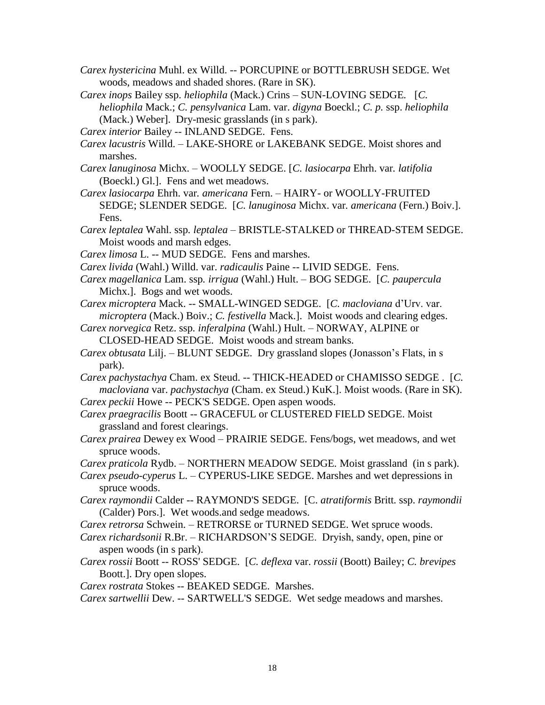- *Carex hystericina* Muhl. ex Willd. -- PORCUPINE or BOTTLEBRUSH SEDGE. Wet woods, meadows and shaded shores. (Rare in SK).
- *Carex inops* Bailey ssp. *heliophila* (Mack.) Crins SUN-LOVING SEDGE*.* [*C. heliophila* Mack.; *C. pensylvanica* Lam. var. *digyna* Boeckl.; *C. p.* ssp. *heliophila* (Mack.) Weber]. Dry-mesic grasslands (in s park).
- *Carex interior* Bailey -- INLAND SEDGE. Fens.
- *Carex lacustris* Willd. LAKE-SHORE or LAKEBANK SEDGE. Moist shores and marshes.
- *Carex lanuginosa* Michx. WOOLLY SEDGE. [*C. lasiocarpa* Ehrh. var*. latifolia*  (Boeckl.) Gl.]. Fens and wet meadows.
- *Carex lasiocarpa* Ehrh. var*. americana* Fern. *–* HAIRY- or WOOLLY-FRUITED SEDGE; SLENDER SEDGE.[*C. lanuginosa* Michx. var*. americana* (Fern.) Boiv.]. Fens.
- *Carex leptalea* Wahl. ssp*. leptalea –* BRISTLE-STALKED or THREAD-STEM SEDGE. Moist woods and marsh edges.
- *Carex limosa* L. -- MUD SEDGE. Fens and marshes.
- *Carex livida* (Wahl.) Willd. var. *radicaulis* Paine *--* LIVID SEDGE. Fens.
- *Carex magellanica* Lam. ssp*. irrigua* (Wahl.) Hult. BOG SEDGE. [*C. paupercula* Michx.]. Bogs and wet woods.
- *Carex microptera* Mack. -- SMALL-WINGED SEDGE. [*C. macloviana* d'Urv. var. *microptera* (Mack.) Boiv.; *C. festivella* Mack.]. Moist woods and clearing edges.
- *Carex norvegica* Retz. ssp*. inferalpina* (Wahl.) Hult. NORWAY, ALPINE or CLOSED-HEAD SEDGE. Moist woods and stream banks.
- *Carex obtusata* Lilj. BLUNT SEDGE. Dry grassland slopes (Jonasson's Flats, in s park).
- *Carex pachystachya* Cham. ex Steud. -- THICK-HEADED or CHAMISSO SEDGE . [*C. macloviana* var. *pachystachya* (Cham. ex Steud.) KuK.]. Moist woods. (Rare in SK). *Carex peckii* Howe -- PECK'S SEDGE. Open aspen woods.
- *Carex praegracilis* Boott -- GRACEFUL or CLUSTERED FIELD SEDGE. Moist grassland and forest clearings.
- *Carex prairea* Dewey ex Wood *–* PRAIRIE SEDGE. Fens/bogs, wet meadows, and wet spruce woods.

*Carex praticola* Rydb. *–* NORTHERN MEADOW SEDGE*.* Moist grassland (in s park).

- *Carex pseudo-cyperus* L. *–* CYPERUS-LIKE SEDGE. Marshes and wet depressions in spruce woods.
- *Carex raymondii* Calder -- RAYMOND'S SEDGE. [C. *atratiformis* Britt*.* ssp. *raymondii* (Calder) Pors.]. Wet woods.and sedge meadows.
- *Carex retrorsa* Schwein. *–* RETRORSE or TURNED SEDGE. Wet spruce woods.
- *Carex richardsonii* R.Br. RICHARDSON'S SEDGE. Dryish, sandy, open, pine or aspen woods (in s park).
- *Carex rossii* Boott -- ROSS' SEDGE. [*C. deflexa* var. *rossii* (Boott) Bailey; *C. brevipes* Boott.]. Dry open slopes.
- *Carex rostrata* Stokes -- BEAKED SEDGE. Marshes.

*Carex sartwellii* Dew. *-*- SARTWELL'S SEDGE. Wet sedge meadows and marshes.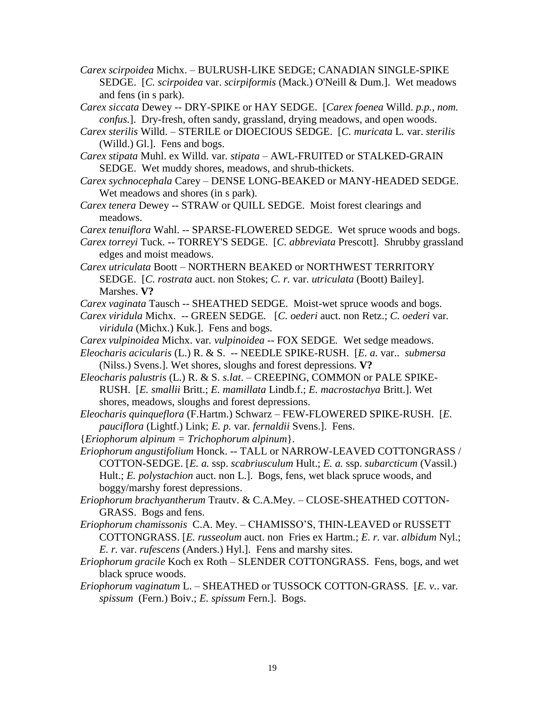- *Carex scirpoidea* Michx. BULRUSH-LIKE SEDGE; CANADIAN SINGLE-SPIKE SEDGE. [*C. scirpoidea* var. *scirpiformis* (Mack.) O'Neill & Dum.]. Wet meadows and fens (in s park).
- *Carex siccata* Dewey -- DRY-SPIKE or HAY SEDGE. [*Carex foenea* Willd. *p.p., nom. confus.*]. Dry-fresh, often sandy, grassland, drying meadows, and open woods.
- *Carex sterilis* Willd. STERILE or DIOECIOUS SEDGE. [*C. muricata* L*.* var. *sterilis* (Willd.) Gl.]. Fens and bogs.
- *Carex stipata* Muhl. ex Willd. var*. stipata –* AWL-FRUITED or STALKED-GRAIN SEDGE. Wet muddy shores, meadows, and shrub-thickets.
- *Carex sychnocephala* Carey *–* DENSE LONG-BEAKED or MANY-HEADED SEDGE. Wet meadows and shores (in s park).
- *Carex tenera* Dewey -- STRAW or QUILL SEDGE. Moist forest clearings and meadows.
- *Carex tenuiflora* Wahl. -- SPARSE-FLOWERED SEDGE. Wet spruce woods and bogs.
- *Carex torreyi* Tuck. -- TORREY'S SEDGE. [*C. abbreviata* Prescott]. Shrubby grassland edges and moist meadows.
- *Carex utriculata* Boott *–* NORTHERN BEAKED or NORTHWEST TERRITORY SEDGE. [*C. rostrata* auct. non Stokes; *C. r.* var. *utriculata* (Boott) Bailey]. Marshes. **V?**
- *Carex vaginata* Tausch -- SHEATHED SEDGE. Moist-wet spruce woods and bogs.
- *Carex viridula* Michx. *--* GREEN SEDGE*.* [*C. oederi* auct. non Retz.; *C. oederi* var*. viridula* (Michx.) Kuk.]. Fens and bogs.
- *Carex vulpinoidea* Michx. var*. vulpinoidea --* FOX SEDGE*.* Wet sedge meadows.
- *Eleocharis acicularis* (L.) R. & S. *--* NEEDLE SPIKE-RUSH. [*E. a.* var.. *submersa* (Nilss.) Svens.]. Wet shores, sloughs and forest depressions. **V?**
- *Eleocharis palustris* (L.) R. & S. *s.lat*. *–* CREEPING, COMMON or PALE SPIKE-RUSH. [*E. smallii* Britt.; *E. mamillata* Lindb.f.; *E. macrostachya* Britt.]. Wet shores, meadows, sloughs and forest depressions.
- *Eleocharis quinqueflora* (F.Hartm.) Schwarz *–* FEW-FLOWERED SPIKE-RUSH. [*E. pauciflora* (Lightf.) Link; *E. p.* var. *fernaldii* Svens.]. Fens.
- {*Eriophorum alpinum = Trichophorum alpinum*}.
- *Eriophorum angustifolium* Honck. -- TALL or NARROW-LEAVED COTTONGRASS / COTTON-SEDGE. [*E. a.* ssp. *scabriusculum* Hult.; *E. a.* ssp. *subarcticum* (Vassil.) Hult.; *E. polystachion* auct. non L.]. Bogs, fens, wet black spruce woods, and boggy/marshy forest depressions.
- *Eriophorum brachyantherum* Trautv. & C.A.Mey. *–* CLOSE-SHEATHED COTTON-GRASS. Bogs and fens.
- *Eriophorum chamissonis* C.A. Mey. CHAMISSO'S, THIN-LEAVED or RUSSETT COTTONGRASS. [*E. russeolum* auct. nonFries ex Hartm*.*; *E. r.* var. *albidum* Nyl.; *E. r.* var. *rufescens* (Anders.) Hyl.]. Fens and marshy sites.
- *Eriophorum gracile* Koch ex Roth *–* SLENDER COTTONGRASS. Fens, bogs, and wet black spruce woods.
- *Eriophorum vaginatum* L. *–* SHEATHED or TUSSOCK COTTON-GRASS. [*E. v.*. var*. spissum* (Fern.) Boiv.; *E. spissum* Fern.]. Bogs.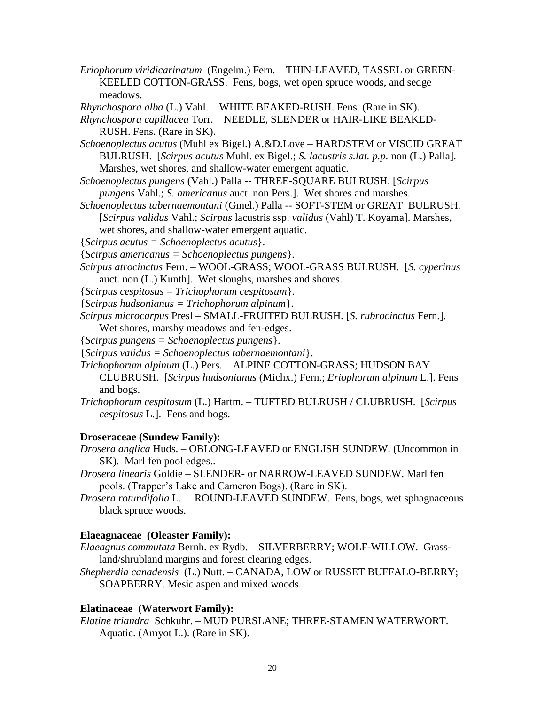*Eriophorum viridicarinatum* (Engelm.) Fern. *–* THIN-LEAVED, TASSEL or GREEN-KEELED COTTON-GRASS. Fens, bogs, wet open spruce woods, and sedge meadows.

*Rhynchospora alba* (L.) Vahl. – WHITE BEAKED-RUSH. Fens. (Rare in SK).

- *Rhynchospora capillacea* Torr. *–* NEEDLE, SLENDER or HAIR-LIKE BEAKED-RUSH. Fens. (Rare in SK).
- *Schoenoplectus acutus* (Muhl ex Bigel.) A.&D.Love *–* HARDSTEM or VISCID GREAT BULRUSH. [*Scirpus acutus* Muhl. ex Bigel.; *S. lacustris s.lat. p.p.* non (L.) Palla]. Marshes, wet shores, and shallow-water emergent aquatic.
- *Schoenoplectus pungens* (Vahl.) Palla -- THREE-SQUARE BULRUSH. [*Scirpus pungens* Vahl.; *S. americanus* auct. non Pers.]. Wet shores and marshes.
- *Schoenoplectus tabernaemontani* (Gmel.) Palla *--* SOFT-STEM or GREAT BULRUSH. [*Scirpus validus* Vahl.; *Scirpus* lacustris ssp. *validus* (Vahl) T. Koyama]. Marshes, wet shores, and shallow-water emergent aquatic.

{*Scirpus acutus = Schoenoplectus acutus*}.

{*Scirpus americanus = Schoenoplectus pungens*}.

- *Scirpus atrocinctus* Fern. WOOL-GRASS; WOOL-GRASS BULRUSH.[*S. cyperinus*  auct. non (L.) Kunth]. Wet sloughs, marshes and shores.
- {*Scirpus cespitosus* = *Trichophorum cespitosum*}.
- {*Scirpus hudsonianus = Trichophorum alpinum*}.
- *Scirpus microcarpus* Presl SMALL-FRUITED BULRUSH. [*S. rubrocinctus* Fern.].

Wet shores, marshy meadows and fen-edges.

- {*Scirpus pungens = Schoenoplectus pungens*}.
- {*Scirpus validus = Schoenoplectus tabernaemontani*}.
- *Trichophorum alpinum* (L.) Pers. ALPINE COTTON-GRASS; HUDSON BAY CLUBRUSH. [*Scirpus hudsonianus* (Michx.) Fern.; *Eriophorum alpinum* L.]. Fens and bogs.
- *Trichophorum cespitosum* (L.) Hartm. TUFTED BULRUSH / CLUBRUSH. [*Scirpus cespitosus* L.]. Fens and bogs.

## **Droseraceae (Sundew Family):**

- *Drosera anglica* Huds. OBLONG-LEAVED or ENGLISH SUNDEW*.* (Uncommon in SK). Marl fen pool edges..
- *Drosera linearis* Goldie *–* SLENDER- or NARROW-LEAVED SUNDEW. Marl fen pools. (Trapper's Lake and Cameron Bogs). (Rare in SK).
- *Drosera rotundifolia* L*. –* ROUND-LEAVED SUNDEW. Fens, bogs, wet sphagnaceous black spruce woods.

## **Elaeagnaceae (Oleaster Family):**

- *Elaeagnus commutata* Bernh. ex Rydb. SILVERBERRY; WOLF-WILLOW. Grassland/shrubland margins and forest clearing edges.
- *Shepherdia canadensis* (L.) Nutt. CANADA, LOW or RUSSET BUFFALO-BERRY; SOAPBERRY. Mesic aspen and mixed woods.

## **Elatinaceae (Waterwort Family):**

*Elatine triandra* Schkuhr. – MUD PURSLANE; THREE-STAMEN WATERWORT. Aquatic. (Amyot L.). (Rare in SK).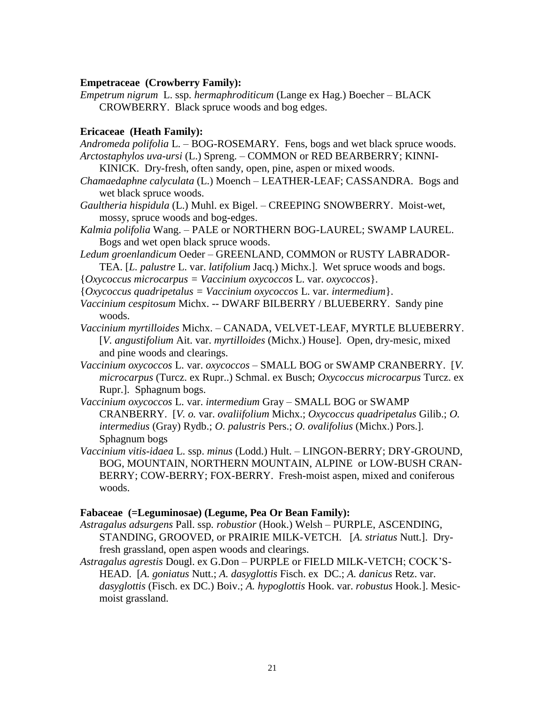### **Empetraceae (Crowberry Family):**

*Empetrum nigrum* L. ssp*. hermaphroditicum* (Lange ex Hag.) Boecher – BLACK CROWBERRY. Black spruce woods and bog edges.

#### **Ericaceae (Heath Family):**

- *Andromeda polifolia* L. *–* BOG-ROSEMARY*.* Fens, bogs and wet black spruce woods. *Arctostaphylos uva-ursi* (L.) Spreng. – COMMON or RED BEARBERRY; KINNI-
	- KINICK. Dry-fresh, often sandy, open, pine, aspen or mixed woods.
- *Chamaedaphne calyculata* (L.) Moench LEATHER-LEAF; CASSANDRA. Bogs and wet black spruce woods.
- *Gaultheria hispidula* (L.) Muhl. ex Bigel. CREEPING SNOWBERRY. Moist-wet, mossy, spruce woods and bog-edges.
- *Kalmia polifolia* Wang. PALE or NORTHERN BOG-LAUREL; SWAMP LAUREL. Bogs and wet open black spruce woods.
- *Ledum groenlandicum* Oeder GREENLAND, COMMON or RUSTY LABRADOR-TEA. [*L. palustre* L. var. *latifolium* Jacq.) Michx.]. Wet spruce woods and bogs.
- {*Oxycoccus microcarpus = Vaccinium oxycoccos* L. var. *oxycoccos*}.
- {*Oxycoccus quadripetalus = Vaccinium oxycoccos* L. var. *intermedium*}.
- *Vaccinium cespitosum* Michx. *--* DWARF BILBERRY / BLUEBERRY. Sandy pine woods.
- *Vaccinium myrtilloides* Michx. CANADA, VELVET-LEAF, MYRTLE BLUEBERRY. [*V. angustifolium* Ait. var. *myrtilloides* (Michx.) House]. Open, dry-mesic, mixed and pine woods and clearings.
- *Vaccinium oxycoccos* L. var. *oxycoccos* SMALL BOG or SWAMP CRANBERRY. [*V. microcarpus* (Turcz. ex Rupr..) Schmal. ex Busch; *Oxycoccus microcarpus* Turcz. ex Rupr.]. Sphagnum bogs.
- *Vaccinium oxycoccos* L. var. *intermedium* Gray SMALL BOG or SWAMP CRANBERRY. [*V. o.* var. *ovaliifolium* Michx.; *Oxycoccus quadripetalus* Gilib.; *O. intermedius* (Gray) Rydb.; *O. palustris* Pers.; *O. ovalifolius* (Michx.) Pors.]. Sphagnum bogs
- *Vaccinium vitis-idaea* L. ssp. *minus* (Lodd.) Hult. LINGON-BERRY; DRY-GROUND, BOG, MOUNTAIN, NORTHERN MOUNTAIN, ALPINE or LOW-BUSH CRAN-BERRY; COW-BERRY; FOX-BERRY. Fresh-moist aspen, mixed and coniferous woods.

#### **Fabaceae (=Leguminosae) (Legume, Pea Or Bean Family):**

- *Astragalus adsurgens* Pall. ssp*. robustior* (Hook.) Welsh PURPLE, ASCENDING, STANDING, GROOVED, or PRAIRIE MILK-VETCH. [*A. striatus* Nutt.]. Dryfresh grassland, open aspen woods and clearings.
- *Astragalus agrestis* Dougl. ex G.Don PURPLE or FIELD MILK-VETCH; COCK'S-HEAD. [*A. goniatus* Nutt.; *A. dasyglottis* Fisch. ex DC.; *A. danicus* Retz. var. *dasyglottis* (Fisch. ex DC.) Boiv.; *A. hypoglottis* Hook. var. *robustus* Hook.]. Mesicmoist grassland.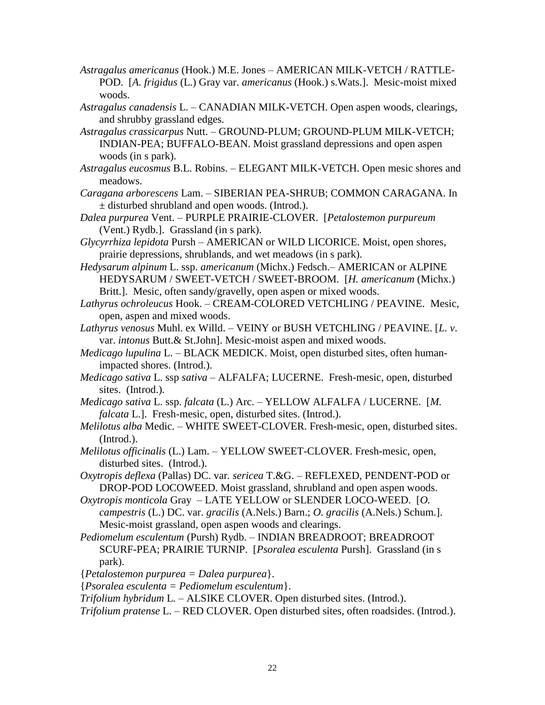- *Astragalus americanus* (Hook.) M.E. Jones AMERICAN MILK-VETCH / RATTLE-POD. [*A. frigidus* (L.) Gray var. *americanus* (Hook.) s.Wats.]. Mesic-moist mixed woods.
- *Astragalus canadensis* L. CANADIAN MILK-VETCH. Open aspen woods, clearings, and shrubby grassland edges.
- *Astragalus crassicarpus* Nutt. *–* GROUND-PLUM; GROUND-PLUM MILK-VETCH; INDIAN-PEA; BUFFALO-BEAN. Moist grassland depressions and open aspen woods (in s park).
- *Astragalus eucosmus* B.L. Robins. ELEGANT MILK-VETCH. Open mesic shores and meadows.
- *Caragana arborescens* Lam. SIBERIAN PEA-SHRUB; COMMON CARAGANA. In ± disturbed shrubland and open woods. (Introd.).
- *Dalea purpurea* Vent. PURPLE PRAIRIE-CLOVER. [*Petalostemon purpureum*  (Vent.) Rydb.]. Grassland (in s park).
- *Glycyrrhiza lepidota* Pursh AMERICAN or WILD LICORICE. Moist, open shores, prairie depressions, shrublands, and wet meadows (in s park).
- *Hedysarum alpinum* L. ssp. *americanum* (Michx.) Fedsch.– AMERICAN or ALPINE HEDYSARUM / SWEET-VETCH / SWEET-BROOM. [*H. americanum* (Michx.) Britt.]. Mesic, often sandy/gravelly, open aspen or mixed woods.
- *Lathyrus ochroleucus* Hook. CREAM-COLORED VETCHLING / PEAVINE*.* Mesic, open, aspen and mixed woods.
- *Lathyrus venosus* Muhl. ex Willd. VEINY or BUSH VETCHLING / PEAVINE. [*L. v*. var. *intonus* Butt.& St.John]. Mesic-moist aspen and mixed woods.
- *Medicago lupulina* L. BLACK MEDICK. Moist, open disturbed sites, often humanimpacted shores. (Introd.).
- *Medicago sativa* L. ssp *sativa –* ALFALFA; LUCERNE. Fresh-mesic, open, disturbed sites. (Introd.).
- *Medicago sativa* L. ssp. *falcata* (L.) Arc. YELLOW ALFALFA / LUCERNE. [*M. falcata* L.]. Fresh-mesic, open, disturbed sites. (Introd.).
- *Melilotus alba* Medic. WHITE SWEET-CLOVER. Fresh-mesic, open, disturbed sites. (Introd.).
- *Melilotus officinalis* (L.) Lam. *–* YELLOW SWEET-CLOVER. Fresh-mesic, open, disturbed sites. (Introd.).
- *Oxytropis deflexa* (Pallas) DC. var*. sericea* T.&G. *–* REFLEXED, PENDENT-POD or DROP-POD LOCOWEED. Moist grassland, shrubland and open aspen woods.
- *Oxytropis monticola* Gray LATE YELLOW or SLENDER LOCO-WEED. [*O. campestris* (L.) DC. var. *gracilis* (A.Nels.) Barn.; *O. gracilis* (A.Nels.) Schum.]. Mesic-moist grassland, open aspen woods and clearings.
- *Pediomelum esculentum* (Pursh) Rydb. INDIAN BREADROOT; BREADROOT SCURF-PEA; PRAIRIE TURNIP. [*Psoralea esculenta* Pursh]. Grassland (in s park).
- {*Petalostemon purpurea = Dalea purpurea*}.
- {*Psoralea esculenta = Pediomelum esculentum*}.
- *Trifolium hybridum* L. ALSIKE CLOVER. Open disturbed sites. (Introd.).
- *Trifolium pratense* L. RED CLOVER. Open disturbed sites, often roadsides. (Introd.).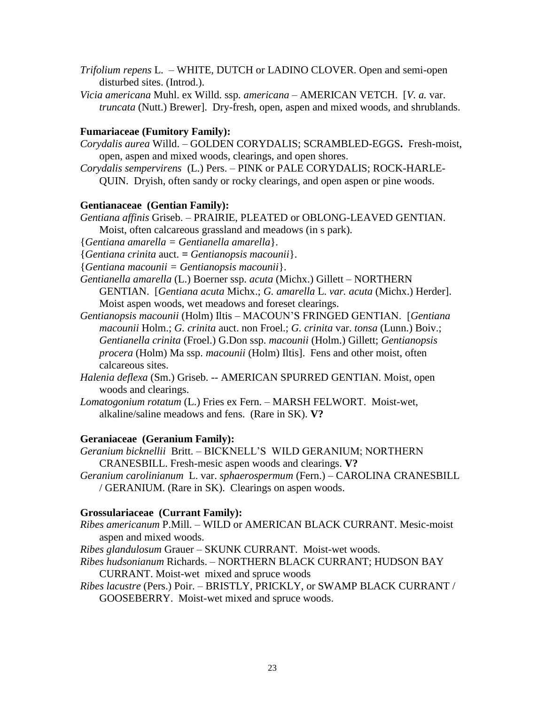- *Trifolium repens* L. *–* WHITE, DUTCH or LADINO CLOVER. Open and semi-open disturbed sites. (Introd.).
- *Vicia americana* Muhl. ex Willd. ssp*. americana –* AMERICAN VETCH. [*V. a.* var. *truncata* (Nutt.) Brewer]. Dry-fresh, open, aspen and mixed woods, and shrublands.

## **Fumariaceae (Fumitory Family):**

- *Corydalis aurea* Willd. *–* GOLDEN CORYDALIS; SCRAMBLED-EGGS**.** Fresh-moist, open, aspen and mixed woods, clearings, and open shores.
- *Corydalis sempervirens* (L.) Pers. PINK or PALE CORYDALIS; ROCK-HARLE-QUIN. Dryish, often sandy or rocky clearings, and open aspen or pine woods.

## **Gentianaceae (Gentian Family):**

*Gentiana affinis* Griseb. – PRAIRIE, PLEATED or OBLONG-LEAVED GENTIAN.

Moist, often calcareous grassland and meadows (in s park).

{*Gentiana amarella = Gentianella amarella*}.

{*Gentiana crinita* auct. *= Gentianopsis macounii*}.

{*Gentiana macounii = Gentianopsis macounii*}.

- *Gentianella amarella* (L.) Boerner ssp. *acuta* (Michx.) Gillett NORTHERN GENTIAN.[*Gentiana acuta* Michx.; *G. amarella* L. *var. acuta* (Michx.) Herder]. Moist aspen woods, wet meadows and foreset clearings.
- *Gentianopsis macounii* (Holm) Iltis MACOUN'S FRINGED GENTIAN. [*Gentiana macounii* Holm.; *G. crinita* auct. non Froel.; *G. crinita* var. *tonsa* (Lunn.) Boiv.; *Gentianella crinita* (Froel.) G.Don ssp. *macounii* (Holm.) Gillett; *Gentianopsis procera* (Holm) Ma ssp. *macounii* (Holm) Iltis]. Fens and other moist, often calcareous sites.
- *Halenia deflexa* (Sm.) Griseb. *--* AMERICAN SPURRED GENTIAN. Moist, open woods and clearings.
- *Lomatogonium rotatum* (L.) Fries ex Fern. MARSH FELWORT. Moist-wet, alkaline/saline meadows and fens. (Rare in SK). **V?**

## **Geraniaceae (Geranium Family):**

- *Geranium bicknellii* Britt. *–* BICKNELL'S WILD GERANIUM; NORTHERN CRANESBILL. Fresh-mesic aspen woods and clearings. **V?**
- *Geranium carolinianum* L. var. *sphaerospermum* (Fern.) *–* CAROLINA CRANESBILL / GERANIUM. (Rare in SK). Clearings on aspen woods.

### **Grossulariaceae (Currant Family):**

- *Ribes americanum* P.Mill*. –* WILD or AMERICAN BLACK CURRANT. Mesic-moist aspen and mixed woods.
- *Ribes glandulosum* Grauer *–* SKUNK CURRANT. Moist-wet woods.
- *Ribes hudsonianum* Richards. *–* NORTHERN BLACK CURRANT; HUDSON BAY CURRANT. Moist-wet mixed and spruce woods
- *Ribes lacustre* (Pers.) Poir. BRISTLY, PRICKLY, or SWAMP BLACK CURRANT / GOOSEBERRY. Moist-wet mixed and spruce woods.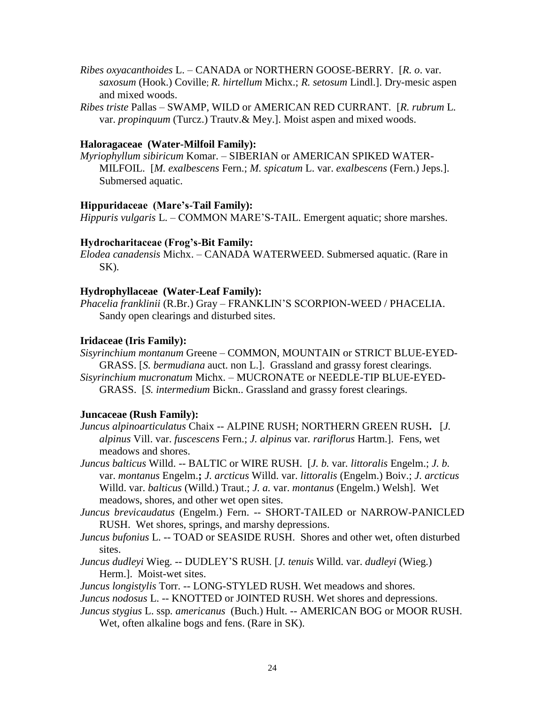- *Ribes oxyacanthoides* L. CANADA or NORTHERN GOOSE-BERRY. [*R. o*. var. *saxosum* (Hook.) Coville; *R. hirtellum* Michx.; *R. setosum* Lindl.]. Dry-mesic aspen and mixed woods.
- *Ribes triste* Pallas SWAMP, WILD or AMERICAN RED CURRANT. [*R. rubrum* L. var. *propinquum* (Turcz.) Trautv.& Mey.]. Moist aspen and mixed woods.

## **Haloragaceae (Water-Milfoil Family):**

*Myriophyllum sibiricum* Komar. – SIBERIAN or AMERICAN SPIKED WATER-MILFOIL.[*M. exalbescens* Fern.; *M. spicatum* L. var. *exalbescens* (Fern.) Jeps.]. Submersed aquatic.

### **Hippuridaceae (Mare's-Tail Family):**

*Hippuris vulgaris* L. – COMMON MARE'S-TAIL. Emergent aquatic; shore marshes.

### **Hydrocharitaceae (Frog's-Bit Family:**

*Elodea canadensis* Michx. – CANADA WATERWEED. Submersed aquatic. (Rare in SK).

### **Hydrophyllaceae (Water-Leaf Family):**

*Phacelia franklinii* (R.Br.) Gray – FRANKLIN'S SCORPION-WEED / PHACELIA. Sandy open clearings and disturbed sites.

### **Iridaceae (Iris Family):**

*Sisyrinchium montanum* Greene – COMMON, MOUNTAIN or STRICT BLUE-EYED-GRASS. [*S. bermudiana* auct. non L.].Grassland and grassy forest clearings. *Sisyrinchium mucronatum* Michx*.* – MUCRONATE or NEEDLE-TIP BLUE-EYED-

## **Juncaceae (Rush Family):**

- *Juncus alpinoarticulatus* Chaix -- ALPINE RUSH; NORTHERN GREEN RUSH**.** [*J. alpinus* Vill. var. *fuscescens* Fern.; *J. alpinus* var*. rariflorus* Hartm.]. Fens, wet meadows and shores.
- *Juncus balticus* Willd. -- BALTIC or WIRE RUSH. [*J. b.* var*. littoralis* Engelm.; *J. b.* var. *montanus* Engelm.**;** *J. arcticus* Willd. var. *littoralis* (Engelm.) Boiv.; *J. arcticus* Willd. var. *balticus* (Willd.) Traut.; *J. a.* var. *montanus* (Engelm.) Welsh]. Wet meadows, shores, and other wet open sites.
- *Juncus brevicaudatus* (Engelm.) Fern. -- SHORT-TAILED or NARROW-PANICLED RUSH. Wet shores, springs, and marshy depressions.
- *Juncus bufonius* L. -- TOAD or SEASIDE RUSH. Shores and other wet, often disturbed sites.
- *Juncus dudleyi* Wieg. -- DUDLEY'S RUSH. [*J. tenuis* Willd. var. *dudleyi* (Wieg.) Herm.]. Moist-wet sites.

*Juncus longistylis* Torr. -- LONG-STYLED RUSH. Wet meadows and shores.

- *Juncus nodosus* L. -- KNOTTED or JOINTED RUSH. Wet shores and depressions.
- *Juncus stygius* L. ssp*. americanus* (Buch.) Hult. -- AMERICAN BOG or MOOR RUSH.
	- Wet, often alkaline bogs and fens. (Rare in SK).

GRASS. [*S. intermedium* Bickn.. Grassland and grassy forest clearings.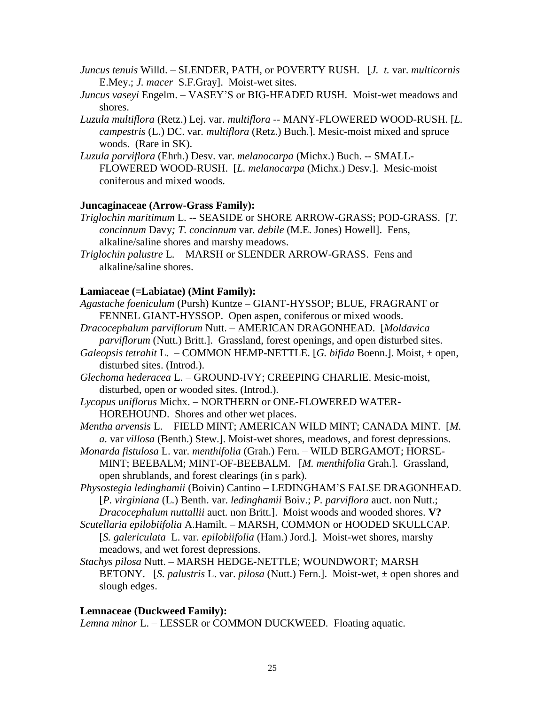- *Juncus tenuis* Willd. SLENDER, PATH, or POVERTY RUSH. [*J. t.* var. *multicornis* E.Mey.; *J. macer* S.F.Gray]. Moist-wet sites.
- *Juncus vaseyi* Engelm. VASEY'S or BIG-HEADED RUSH. Moist-wet meadows and shores.
- *Luzula multiflora* (Retz.) Lej. var. *multiflora* -- MANY-FLOWERED WOOD-RUSH. [*L. campestris* (L.) DC. var*. multiflora* (Retz.) Buch.]. Mesic-moist mixed and spruce woods. (Rare in SK).
- *Luzula parviflora* (Ehrh.) Desv. var. *melanocarpa* (Michx.) Buch. -- SMALL-FLOWERED WOOD-RUSH. [*L. melanocarpa* (Michx.) Desv.]. Mesic-moist coniferous and mixed woods.

## **Juncaginaceae (Arrow-Grass Family):**

- *Triglochin maritimum* L. -- SEASIDE or SHORE ARROW-GRASS; POD-GRASS. [*T. concinnum* Davy*; T. concinnum* var*. debile* (M.E. Jones) Howell]. Fens, alkaline/saline shores and marshy meadows.
- *Triglochin palustre* L. MARSH or SLENDER ARROW-GRASS. Fens and alkaline/saline shores.

### **Lamiaceae (=Labiatae) (Mint Family):**

- *Agastache foeniculum* (Pursh) Kuntze GIANT-HYSSOP; BLUE, FRAGRANT or FENNEL GIANT-HYSSOP. Open aspen, coniferous or mixed woods.
- *Dracocephalum parviflorum* Nutt. AMERICAN DRAGONHEAD. [*Moldavica parviflorum* (Nutt.) Britt.]. Grassland, forest openings, and open disturbed sites.
- *Galeopsis tetrahit* L. *–* COMMON HEMP-NETTLE. [*G. bifida* Boenn.]. Moist, ± open, disturbed sites. (Introd.).
- *Glechoma hederacea* L. GROUND-IVY; CREEPING CHARLIE. Mesic-moist, disturbed, open or wooded sites. (Introd.).
- *Lycopus uniflorus* Michx. *–* NORTHERN or ONE-FLOWERED WATER-HOREHOUND. Shores and other wet places.
- *Mentha arvensis* L. *–* FIELD MINT; AMERICAN WILD MINT; CANADA MINT. [*M. a.* var *villosa* (Benth.) Stew.]. Moist-wet shores, meadows, and forest depressions.
- *Monarda fistulosa* L. var. *menthifolia* (Grah.) Fern. WILD BERGAMOT; HORSE-MINT; BEEBALM; MINT-OF-BEEBALM. [*M. menthifolia* Grah.]. Grassland, open shrublands, and forest clearings (in s park).
- *Physostegia ledinghamii* (Boivin) Cantino LEDINGHAM'S FALSE DRAGONHEAD. [*P. virginiana* (L.) Benth. var. *ledinghamii* Boiv.; *P. parviflora* auct. non Nutt.; *Dracocephalum nuttallii* auct. non Britt.]. Moist woods and wooded shores. **V?**
- *Scutellaria epilobiifolia* A.Hamilt. MARSH, COMMON or HOODED SKULLCAP*.*  [*S. galericulata* L. var*. epilobiifolia* (Ham.) Jord.]. Moist-wet shores, marshy meadows, and wet forest depressions.
- *Stachys pilosa* Nutt. MARSH HEDGE-NETTLE; WOUNDWORT; MARSH BETONY. [*S. palustris* L. var. *pilosa* (Nutt.) Fern.]. Moist-wet, ± open shores and slough edges.

### **Lemnaceae (Duckweed Family):**

*Lemna minor* L. – LESSER or COMMON DUCKWEED*.* Floating aquatic.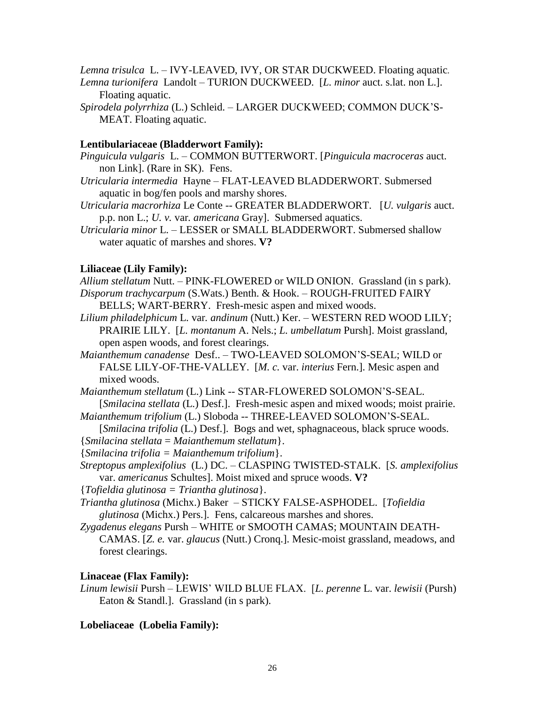*Lemna trisulca* L. – IVY-LEAVED, IVY, OR STAR DUCKWEED. Floating aquatic*.*

- *Lemna turionifera* Landolt TURION DUCKWEED. [*L. minor* auct. s.lat. non L.]. Floating aquatic.
- *Spirodela polyrrhiza* (L.) Schleid. LARGER DUCKWEED; COMMON DUCK'S-MEAT. Floating aquatic.

# **Lentibulariaceae (Bladderwort Family):**

- *Pinguicula vulgaris* L. COMMON BUTTERWORT. [*Pinguicula macroceras* auct. non Link]. (Rare in SK). Fens.
- *Utricularia intermedia* Hayne FLAT-LEAVED BLADDERWORT. Submersed aquatic in bog/fen pools and marshy shores.
- *Utricularia macrorhiza* Le Conte -- GREATER BLADDERWORT.[*U. vulgaris* auct. p.p. non L.; *U. v.* var*. americana* Gray]. Submersed aquatics.
- *Utricularia minor* L. LESSER or SMALL BLADDERWORT. Submersed shallow water aquatic of marshes and shores. **V?**

# **Liliaceae (Lily Family):**

*Allium stellatum* Nutt. – PINK-FLOWERED or WILD ONION. Grassland (in s park). *Disporum trachycarpum* (S.Wats.) Benth. & Hook. – ROUGH-FRUITED FAIRY BELLS; WART-BERRY. Fresh-mesic aspen and mixed woods.

- *Lilium philadelphicum* L. var*. andinum* (Nutt.) Ker. WESTERN RED WOOD LILY; PRAIRIE LILY. [*L. montanum* A. Nels.; *L. umbellatum* Pursh]. Moist grassland, open aspen woods, and forest clearings.
- *Maianthemum canadense* Desf.. TWO-LEAVED SOLOMON'S-SEAL; WILD or FALSE LILY-OF-THE-VALLEY. [*M. c.* var. *interius* Fern.]. Mesic aspen and mixed woods.

*Maianthemum stellatum* (L.) Link *--* STAR-FLOWERED SOLOMON'S-SEAL. [*Smilacina stellata* (L.) Desf.]. Fresh-mesic aspen and mixed woods; moist prairie. *Maianthemum trifolium* (L.) Sloboda -- THREE-LEAVED SOLOMON'S-SEAL.

[*Smilacina trifolia* (L.) Desf.]. Bogs and wet, sphagnaceous, black spruce woods. {*Smilacina stellata* = *Maianthemum stellatum*}.

- {*Smilacina trifolia = Maianthemum trifolium*}.
- *Streptopus amplexifolius* (L.) DC. CLASPING TWISTED-STALK. [*S. amplexifolius*  var. *americanus* Schultes]. Moist mixed and spruce woods. **V?**

{*Tofieldia glutinosa = Triantha glutinosa*}.

- *Triantha glutinosa* (Michx.) Baker STICKY FALSE-ASPHODEL. [*Tofieldia glutinosa* (Michx.) Pers.]. Fens, calcareous marshes and shores.
- *Zygadenus elegans* Pursh WHITE or SMOOTH CAMAS; MOUNTAIN DEATH-CAMAS. [*Z. e.* var. *glaucus* (Nutt.) Cronq.]. Mesic-moist grassland, meadows, and forest clearings.

# **Linaceae (Flax Family):**

*Linum lewisii* Pursh *–* LEWIS' WILD BLUE FLAX. [*L. perenne* L. var. *lewisii* (Pursh) Eaton & Standl.]. Grassland (in s park).

# **Lobeliaceae (Lobelia Family):**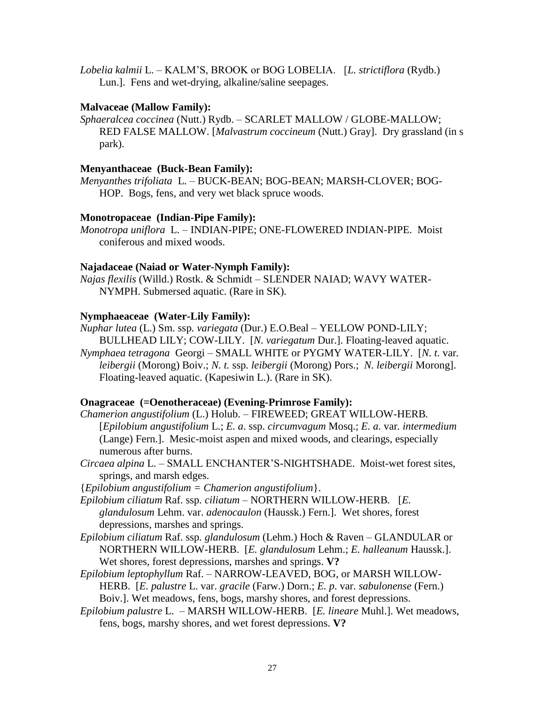*Lobelia kalmii* L. – KALM'S, BROOK or BOG LOBELIA. [*L. strictiflora* (Rydb.) Lun.]. Fens and wet-drying, alkaline/saline seepages.

# **Malvaceae (Mallow Family):**

*Sphaeralcea coccinea* (Nutt.) Rydb. *–* SCARLET MALLOW / GLOBE-MALLOW; RED FALSE MALLOW. [*Malvastrum coccineum* (Nutt.) Gray]. Dry grassland (in s park).

# **Menyanthaceae (Buck-Bean Family):**

*Menyanthes trifoliata* L. – BUCK-BEAN; BOG-BEAN; MARSH-CLOVER; BOG-HOP. Bogs, fens, and very wet black spruce woods.

# **Monotropaceae (Indian-Pipe Family):**

*Monotropa uniflora* L. – INDIAN-PIPE; ONE-FLOWERED INDIAN-PIPE. Moist coniferous and mixed woods.

# **Najadaceae (Naiad or Water-Nymph Family):**

*Najas flexilis* (Willd.) Rostk. & Schmidt – SLENDER NAIAD; WAVY WATER-NYMPH. Submersed aquatic. (Rare in SK).

# **Nymphaeaceae (Water-Lily Family):**

- *Nuphar lutea* (L.) Sm. ssp*. variegata* (Dur.) E.O.Beal YELLOW POND-LILY; BULLHEAD LILY; COW-LILY. [*N. variegatum* Dur.]. Floating-leaved aquatic.
- *Nymphaea tetragona* Georgi SMALL WHITE or PYGMY WATER-LILY. [*N. t.* var*. leibergii* (Morong) Boiv.; *N. t.* ssp*. leibergii* (Morong) Pors.; *N. leibergii* Morong]. Floating-leaved aquatic. (Kapesiwin L.). (Rare in SK).

# **Onagraceae (=Oenotheraceae) (Evening-Primrose Family):**

*Chamerion angustifolium* (L.) Holub. *–* FIREWEED; GREAT WILLOW-HERB*.*  [*Epilobium angustifolium* L.; *E. a*. ssp. *circumvagum* Mosq.; *E. a.* var*. intermedium*  (Lange) Fern.]. Mesic-moist aspen and mixed woods, and clearings, especially numerous after burns.

*Circaea alpina* L. *–* SMALL ENCHANTER'S-NIGHTSHADE. Moist-wet forest sites, springs, and marsh edges.

{*Epilobium angustifolium = Chamerion angustifolium*}.

- *Epilobium ciliatum* Raf. ssp*. ciliatum –* NORTHERN WILLOW-HERB*.* [*E. glandulosum* Lehm. var. *adenocaulon* (Haussk.) Fern.]. Wet shores, forest depressions, marshes and springs.
- *Epilobium ciliatum* Raf. ssp*. glandulosum* (Lehm.) Hoch & Raven GLANDULAR or NORTHERN WILLOW-HERB. [*E. glandulosum* Lehm.; *E. halleanum* Haussk.]. Wet shores, forest depressions, marshes and springs. **V?**
- *Epilobium leptophyllum* Raf. NARROW-LEAVED, BOG, or MARSH WILLOW-HERB. [*E. palustre* L. var. *gracile* (Farw.) Dorn.; *E. p*. var. *sabulonense* (Fern.) Boiv.]. Wet meadows, fens, bogs, marshy shores, and forest depressions.
- *Epilobium palustre* L. MARSH WILLOW-HERB. [*E. lineare* Muhl.]. Wet meadows, fens, bogs, marshy shores, and wet forest depressions. **V?**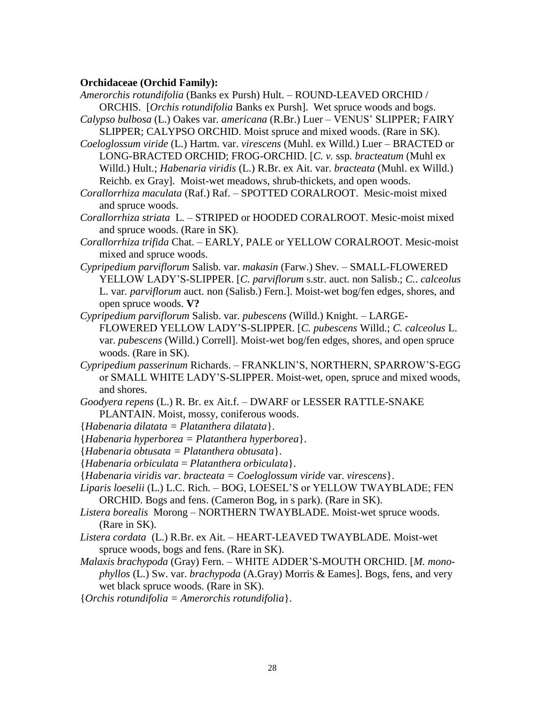### **Orchidaceae (Orchid Family):**

- *Amerorchis rotundifolia* (Banks ex Pursh) Hult. ROUND-LEAVED ORCHID / ORCHIS. [*Orchis rotundifolia* Banks ex Pursh]. Wet spruce woods and bogs.
- *Calypso bulbosa* (L.) Oakes var. *americana* (R.Br.) Luer VENUS' SLIPPER; FAIRY SLIPPER; CALYPSO ORCHID. Moist spruce and mixed woods. (Rare in SK).
- *Coeloglossum viride* (L.) Hartm. var. *virescens* (Muhl. ex Willd.) Luer BRACTED or LONG-BRACTED ORCHID; FROG-ORCHID. [*C. v.* ssp*. bracteatum* (Muhl ex Willd.) Hult.; *Habenaria viridis* (L.) R.Br. ex Ait. var. *bracteata* (Muhl. ex Willd.) Reichb. ex Gray]. Moist-wet meadows, shrub-thickets, and open woods.
- *Corallorrhiza maculata* (Raf.) Raf. *–* SPOTTED CORALROOT. Mesic-moist mixed and spruce woods.
- *Corallorrhiza striata* L. STRIPED or HOODED CORALROOT. Mesic-moist mixed and spruce woods. (Rare in SK).
- *Corallorrhiza trifida* Chat. EARLY, PALE or YELLOW CORALROOT. Mesic-moist mixed and spruce woods.
- *Cypripedium parviflorum* Salisb*.* var. *makasin* (Farw.) Shev*.*  SMALL-FLOWERED YELLOW LADY'S-SLIPPER. [*C. parviflorum* s.str. auct. non Salisb.; *C.*. *calceolus*  L. var*. parviflorum* auct. non (Salisb.) Fern.]. Moist-wet bog/fen edges, shores, and open spruce woods. **V?**
- *Cypripedium parviflorum* Salisb. var*. pubescens* (Willd.) Knight. LARGE-FLOWERED YELLOW LADY'S-SLIPPER. [*C. pubescens* Willd.; *C. calceolus* L. var. *pubescens* (Willd.) Correll]. Moist-wet bog/fen edges, shores, and open spruce woods. (Rare in SK).
- *Cypripedium passerinum* Richards. FRANKLIN'S, NORTHERN, SPARROW'S-EGG or SMALL WHITE LADY'S-SLIPPER. Moist-wet, open, spruce and mixed woods, and shores.
- *Goodyera repens* (L.) R. Br. ex Ait.f. *–* DWARF or LESSER RATTLE-SNAKE PLANTAIN. Moist, mossy, coniferous woods.
- {*Habenaria dilatata = Platanthera dilatata*}.
- {*Habenaria hyperborea = Platanthera hyperborea*}.
- {*Habenaria obtusata = Platanthera obtusata*}.
- {*Habenaria orbiculata* = *Platanthera orbiculata*}.
- {*Habenaria viridis var. bracteata = Coeloglossum viride* var. *virescens*}.
- *Liparis loeselii* (L.) L.C. Rich. BOG, LOESEL'S or YELLOW TWAYBLADE; FEN ORCHID. Bogs and fens. (Cameron Bog, in s park). (Rare in SK).
- *Listera borealis* Morong NORTHERN TWAYBLADE. Moist-wet spruce woods. (Rare in SK).
- *Listera cordata* (L.) R.Br. ex Ait. HEART-LEAVED TWAYBLADE. Moist-wet spruce woods, bogs and fens. (Rare in SK).
- *Malaxis brachypoda* (Gray) Fern. WHITE ADDER'S-MOUTH ORCHID. [*M. monophyllos* (L.) Sw. var. *brachypoda* (A.Gray) Morris & Eames]. Bogs, fens, and very wet black spruce woods. (Rare in SK).
- {*Orchis rotundifolia = Amerorchis rotundifolia*}.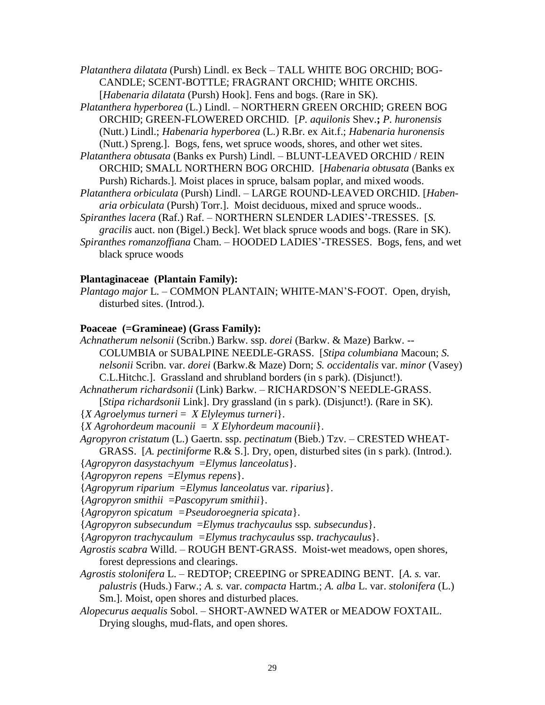*Platanthera dilatata* (Pursh) Lindl. ex Beck *–* TALL WHITE BOG ORCHID; BOG-CANDLE; SCENT-BOTTLE; FRAGRANT ORCHID; WHITE ORCHIS*.*  [*Habenaria dilatata* (Pursh) Hook]. Fens and bogs. (Rare in SK).

*Platanthera hyperborea* (L.) Lindl. *–* NORTHERN GREEN ORCHID; GREEN BOG ORCHID; GREEN-FLOWERED ORCHID*.* [*P. aquilonis* Shev.**;** *P. huronensis*  (Nutt.) Lindl.; *Habenaria hyperborea* (L.) R.Br. ex Ait.f.; *Habenaria huronensis*  (Nutt.) Spreng.]. Bogs, fens, wet spruce woods, shores, and other wet sites.

- *Platanthera obtusata* (Banks ex Pursh) Lindl. BLUNT-LEAVED ORCHID / REIN ORCHID; SMALL NORTHERN BOG ORCHID. [*Habenaria obtusata* (Banks ex Pursh) Richards.]. Moist places in spruce, balsam poplar, and mixed woods.
- *Platanthera orbiculata* (Pursh) Lindl. LARGE ROUND-LEAVED ORCHID. [*Habenaria orbiculata* (Pursh) Torr.]. Moist deciduous, mixed and spruce woods..
- *Spiranthes lacera* (Raf.) Raf. NORTHERN SLENDER LADIES'-TRESSES. [*S. gracilis* auct. non (Bigel.) Beck]. Wet black spruce woods and bogs. (Rare in SK). *Spiranthes romanzoffiana* Cham. – HOODED LADIES'-TRESSES. Bogs, fens, and wet
	- black spruce woods

### **Plantaginaceae (Plantain Family):**

*Plantago major* L. – COMMON PLANTAIN; WHITE-MAN'S-FOOT. Open, dryish, disturbed sites. (Introd.).

### **Poaceae (=Gramineae) (Grass Family):**

- *Achnatherum nelsonii* (Scribn.) Barkw. ssp. *dorei* (Barkw. & Maze) Barkw. -- COLUMBIA or SUBALPINE NEEDLE-GRASS. [*Stipa columbiana* Macoun; *S. nelsonii* Scribn. var. *dorei* (Barkw.& Maze) Dorn; *S. occidentalis* var. *minor* (Vasey) C.L.Hitchc.]. Grassland and shrubland borders (in s park). (Disjunct!).
- *Achnatherum richardsonii* (Link) Barkw. RICHARDSON'S NEEDLE-GRASS.
	- [*Stipa richardsonii* Link]. Dry grassland (in s park). (Disjunct!). (Rare in SK).
- {*X Agroelymus turneri* = *X Elyleymus turneri*}.
- {*X Agrohordeum m*a*counii* = *X Elyhordeum macounii*}.

*Agropyron cristatum* (L.) Gaertn. ssp. *pectinatum* (Bieb.) Tzv. – CRESTED WHEAT-

GRASS. [*A. pectiniforme* R.& S.]. Dry, open, disturbed sites (in s park). (Introd.). {*Agropyron dasystachyum* =*Elymus lanceolatus*}.

{*Agropyron repens* =*Elymus repens*}.

{*Agropyrum riparium* =*Elymus lanceolatus* var*. riparius*}.

{*Agropyron smithii* =*Pascopyrum smithii*}.

{*Agropyron spicatum =Pseudoroegneria spicata*}.

{*Agropyron subsecundum* =*Elymus trachycaulus* ssp*. subsecundus*}.

{*Agropyron trachycaulum =Elymus trachycaulus* ssp. *trachycaulus*}.

- *Agrostis scabra* Willd. *–* ROUGH BENT-GRASS. Moist-wet meadows, open shores, forest depressions and clearings.
- *Agrostis stolonifera* L. REDTOP; CREEPING or SPREADING BENT. [*A. s.* var. *palustris* (Huds.) Farw.; *A. s.* var. *compacta* Hartm.; *A. alba* L. var. *stolonifera* (L.) Sm.]. Moist, open shores and disturbed places.
- *Alopecurus aequalis* Sobol. *–* SHORT-AWNED WATER or MEADOW FOXTAIL. Drying sloughs, mud-flats, and open shores.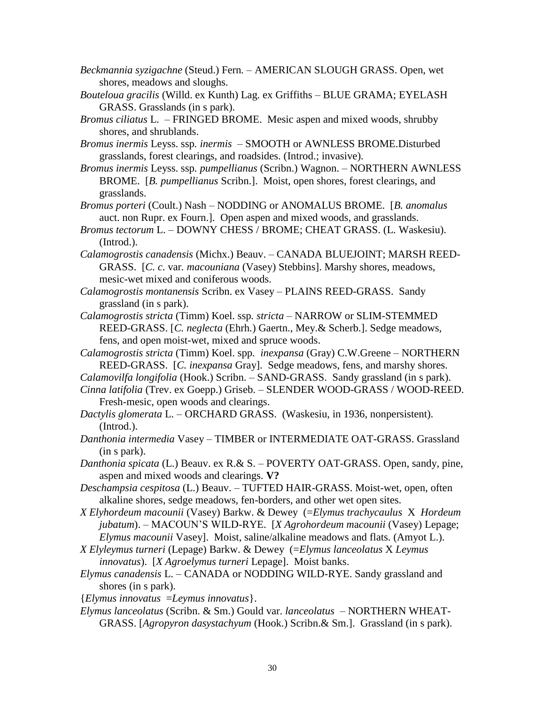- *Beckmannia syzigachne* (Steud.) Fern*. –* AMERICAN SLOUGH GRASS. Open, wet shores, meadows and sloughs.
- *Bouteloua gracilis* (Willd. ex Kunth) Lag. ex Griffiths BLUE GRAMA; EYELASH GRASS. Grasslands (in s park).
- *Bromus ciliatus* L. FRINGED BROME. Mesic aspen and mixed woods, shrubby shores, and shrublands.
- *Bromus inermis* Leyss. ssp*. inermis –* SMOOTH or AWNLESS BROME.Disturbed grasslands, forest clearings, and roadsides. (Introd.; invasive).
- *Bromus inermis* Leyss. ssp*. pumpellianus* (Scribn.) Wagnon. *–* NORTHERN AWNLESS BROME. [*B. pumpellianus* Scribn.]. Moist, open shores, forest clearings, and grasslands.

*Bromus porteri* (Coult.) Nash – NODDING or ANOMALUS BROME. [*B. anomalus*  auct. non Rupr. ex Fourn.]. Open aspen and mixed woods, and grasslands.

- *Bromus tectorum* L. *–* DOWNY CHESS / BROME; CHEAT GRASS. (L. Waskesiu). (Introd.).
- *Calamogrostis canadensis* (Michx.) Beauv. *–* CANADA BLUEJOINT; MARSH REED-GRASS. [*C. c*. var*. macouniana* (Vasey) Stebbins]. Marshy shores, meadows, mesic-wet mixed and coniferous woods.
- *Calamogrostis montanensis* Scribn. ex Vasey PLAINS REED-GRASS. Sandy grassland (in s park).
- *Calamogrostis stricta* (Timm) Koel. ssp*. stricta –* NARROW or SLIM-STEMMED REED-GRASS. [*C. neglecta* (Ehrh.) Gaertn., Mey.& Scherb.]. Sedge meadows, fens, and open moist-wet, mixed and spruce woods.
- *Calamogrostis stricta* (Timm) Koel. spp*. inexpansa* (Gray) C.W.Greene NORTHERN REED-GRASS. [*C. inexpansa* Gray]. Sedge meadows, fens, and marshy shores.
- *Calamovilfa longifolia* (Hook.) Scribn. SAND-GRASS. Sandy grassland (in s park).
- *Cinna latifolia* (Trev. ex Goepp.) Griseb. SLENDER WOOD-GRASS / WOOD-REED. Fresh-mesic, open woods and clearings.
- *Dactylis glomerata* L. ORCHARD GRASS. (Waskesiu, in 1936, nonpersistent). (Introd.).
- *Danthonia intermedia* Vasey TIMBER or INTERMEDIATE OAT-GRASS. Grassland (in s park).
- *Danthonia spicata* (L.) Beauv. ex R.& S. POVERTY OAT-GRASS. Open, sandy, pine, aspen and mixed woods and clearings. **V?**
- *Deschampsia cespitosa* (L.) Beauv. *–* TUFTED HAIR-GRASS. Moist-wet, open, often alkaline shores, sedge meadows, fen-borders, and other wet open sites.
- *X Elyhordeum macounii* (Vasey) Barkw. & Dewey (=*Elymus trachycaulus* X *Hordeum jubatum*). – MACOUN'S WILD-RYE. [*X Agrohordeum m*a*counii* (Vasey) Lepage; *Elymus macounii* Vasey]. Moist, saline/alkaline meadows and flats. (Amyot L.).
- *X Elyleymus turneri* (Lepage) Barkw. & Dewey (=*Elymus lanceolatus* X *Leymus innovatus*). [*X Agroelymus turneri* Lepage]. Moist banks.
- *Elymus canadensis* L. *–* CANADA or NODDING WILD-RYE. Sandy grassland and shores (in s park).
- {*Elymus innovatus* =*Leymus innovatus*}.
- *Elymus lanceolatus* (Scribn. & Sm.) Gould var. *lanceolatus –* NORTHERN WHEAT-GRASS. [*Agropyron dasystachyum* (Hook.) Scribn.& Sm.]. Grassland (in s park).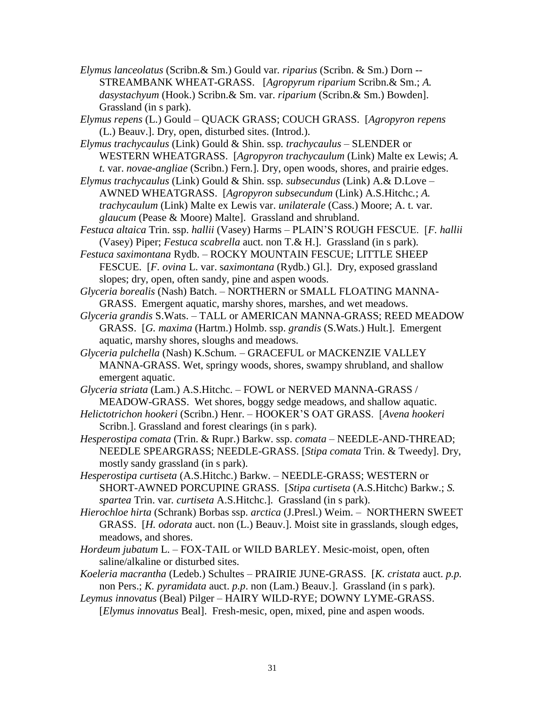- *Elymus lanceolatus* (Scribn.& Sm.) Gould var*. riparius* (Scribn. & Sm.) Dorn -- STREAMBANK WHEAT-GRASS. [*Agropyrum riparium* Scribn.& Sm.; *A. dasystachyum* (Hook.) Scribn.& Sm. var. *riparium* (Scribn.& Sm.) Bowden]. Grassland (in s park).
- *Elymus repens* (L.) Gould *–* QUACK GRASS; COUCH GRASS. [*Agropyron repens* (L.) Beauv.]. Dry, open, disturbed sites. (Introd.).
- *Elymus trachycaulus* (Link) Gould & Shin. ssp*. trachycaulus –* SLENDER or WESTERN WHEATGRASS. [*Agropyron trachycaulum* (Link) Malte ex Lewis; *A. t.* var. *novae-angliae* (Scribn.) Fern.]. Dry, open woods, shores, and prairie edges.
- *Elymus trachycaulus* (Link) Gould & Shin. ssp*. subsecundus* (Link) A.& D.Love AWNED WHEATGRASS. [*Agropyron subsecundum* (Link) A.S.Hitchc*.*; *A. trachycaulum* (Link) Malte ex Lewis var. *unilaterale* (Cass.) Moore; A. t. var. *glaucum* (Pease & Moore) Malte]. Grassland and shrubland.
- *Festuca altaica* Trin. ssp. *hallii* (Vasey) Harms PLAIN'S ROUGH FESCUE. [*F. hallii* (Vasey) Piper; *Festuca scabrella* auct. non T.& H.]. Grassland (in s park).
- *Festuca saximontana* Rydb. ROCKY MOUNTAIN FESCUE; LITTLE SHEEP FESCUE. [*F. ovina* L. var. s*aximontana* (Rydb.) Gl.]. Dry, exposed grassland slopes; dry, open, often sandy, pine and aspen woods.
- *Glyceria borealis* (Nash) Batch. *–* NORTHERN or SMALL FLOATING MANNA-GRASS. Emergent aquatic, marshy shores, marshes, and wet meadows.
- *Glyceria grandis* S.Wats. TALL or AMERICAN MANNA-GRASS; REED MEADOW GRASS. [*G. maxima* (Hartm.) Holmb. ssp. *grandis* (S.Wats.) Hult.]. Emergent aquatic, marshy shores, sloughs and meadows.
- *Glyceria pulchella* (Nash) K.Schum*. –* GRACEFUL or MACKENZIE VALLEY MANNA-GRASS. Wet, springy woods, shores, swampy shrubland, and shallow emergent aquatic.
- *Glyceria striata* (Lam.) A.S.Hitchc. FOWL or NERVED MANNA-GRASS / MEADOW-GRASS. Wet shores, boggy sedge meadows, and shallow aquatic.
- *Helictotrichon hookeri* (Scribn.) Henr. HOOKER'S OAT GRASS. [*Avena hookeri* Scribn.]. Grassland and forest clearings (in s park).
- *Hesperostipa comata* (Trin. & Rupr.) Barkw. ssp. *comata*  NEEDLE-AND-THREAD; NEEDLE SPEARGRASS; NEEDLE-GRASS. [*Stipa comata* Trin. & Tweedy]. Dry, mostly sandy grassland (in s park).
- *Hesperostipa curtiseta* (A.S.Hitchc.) Barkw. NEEDLE-GRASS; WESTERN or SHORT-AWNED PORCUPINE GRASS. [*Stipa curtiseta* (A.S.Hitchc) Barkw.; *S. spartea* Trin. var*. curtiseta* A.S.Hitchc.]. Grassland (in s park).
- *Hierochloe hirta* (Schrank) Borbas ssp. *arctica* (J.Presl.) Weim. NORTHERN SWEET GRASS. [*H. odorata* auct. non (L.) Beauv.]. Moist site in grasslands, slough edges, meadows, and shores.
- *Hordeum jubatum* L. FOX-TAIL or WILD BARLEY. Mesic-moist, open, often saline/alkaline or disturbed sites.
- *Koeleria macrantha* (Ledeb.) Schultes *–* PRAIRIE JUNE-GRASS. [*K. cristata* auct. *p.p.* non Pers.; *K. pyramidata* auct. *p.p*. non (Lam.) Beauv.]. Grassland (in s park).
- *Leymus innovatus* (Beal) Pilger HAIRY WILD-RYE; DOWNY LYME-GRASS. [*Elymus innovatus* Beal]. Fresh-mesic, open, mixed, pine and aspen woods.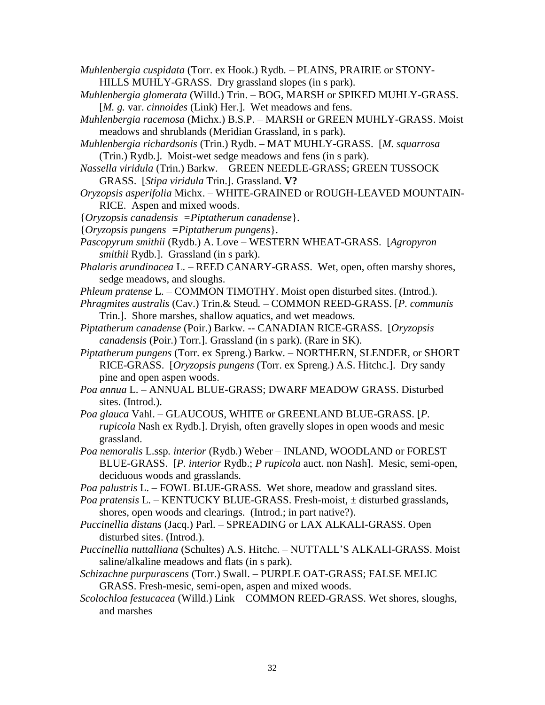- *Muhlenbergia cuspidata* (Torr. ex Hook.) Rydb*. –* PLAINS, PRAIRIE or STONY-HILLS MUHLY-GRASS.Dry grassland slopes (in s park).
- *Muhlenbergia glomerata* (Willd.) Trin. BOG, MARSH or SPIKED MUHLY-GRASS. [*M. g. var. cinnoides* (Link) Her.]. Wet meadows and fens.
- *Muhlenbergia racemosa* (Michx.) B.S.P. MARSH or GREEN MUHLY-GRASS. Moist meadows and shrublands (Meridian Grassland, in s park).
- *Muhlenbergia richardsonis* (Trin.) Rydb. MAT MUHLY-GRASS. [*M. squarrosa* (Trin.) Rydb.]. Moist-wet sedge meadows and fens (in s park).
- *Nassella viridula* (Trin.) Barkw. GREEN NEEDLE-GRASS; GREEN TUSSOCK GRASS. [*Stipa viridula* Trin.]. Grassland. **V?**
- *Oryzopsis asperifolia* Michx. *–* WHITE-GRAINED or ROUGH-LEAVED MOUNTAIN-RICE. Aspen and mixed woods.
- {*Oryzopsis canadensis =Piptatherum canadense*}.
- {*Oryzopsis pungens =Piptatherum pungens*}.
- *Pascopyrum smithii* (Rydb.) A. Love WESTERN WHEAT-GRASS. [*Agropyron smithii* Rydb.]. Grassland (in s park).
- *Phalaris arundinacea* L. REED CANARY-GRASS. Wet, open, often marshy shores, sedge meadows, and sloughs.
- *Phleum pratense* L. *–* COMMON TIMOTHY. Moist open disturbed sites. (Introd.).
- *Phragmites australis* (Cav.) Trin.& Steud*. –* COMMON REED-GRASS. [*P. communis* Trin.]. Shore marshes, shallow aquatics, and wet meadows.
- *Piptatherum canadense* (Poir.) Barkw. -- CANADIAN RICE-GRASS. [*Oryzopsis canadensis* (Poir.) Torr.]. Grassland (in s park). (Rare in SK).
- *Piptatherum pungens* (Torr. ex Spreng.) Barkw. NORTHERN, SLENDER, or SHORT RICE-GRASS. [*Oryzopsis pungens* (Torr. ex Spreng.) A.S. Hitchc.]. Dry sandy pine and open aspen woods.
- *Poa annua* L. ANNUAL BLUE-GRASS; DWARF MEADOW GRASS. Disturbed sites. (Introd.).
- *Poa glauca* Vahl. *–* GLAUCOUS, WHITE or GREENLAND BLUE-GRASS. [*P. rupicola* Nash ex Rydb.]. Dryish, often gravelly slopes in open woods and mesic grassland.
- *Poa nemoralis* L.ssp*. interior* (Rydb.) Weber INLAND, WOODLAND or FOREST BLUE-GRASS. [*P. interior* Rydb.; *P rupicola* auct. non Nash]. Mesic, semi-open, deciduous woods and grasslands.
- *Poa palustris* L. FOWL BLUE-GRASS. Wet shore, meadow and grassland sites.
- *Poa pratensis* L. KENTUCKY BLUE-GRASS. Fresh-moist, ± disturbed grasslands, shores, open woods and clearings. (Introd.; in part native?).
- *Puccinellia distans* (Jacq.) Parl. *–* SPREADING or LAX ALKALI-GRASS. Open disturbed sites. (Introd.).
- *Puccinellia nuttalliana* (Schultes) A.S. Hitchc. *–* NUTTALL'S ALKALI-GRASS. Moist saline/alkaline meadows and flats (in s park).
- *Schizachne purpurascens* (Torr.) Swall. *–* PURPLE OAT-GRASS; FALSE MELIC GRASS. Fresh-mesic, semi-open, aspen and mixed woods.
- *Scolochloa festucacea* (Willd.) Link *–* COMMON REED-GRASS. Wet shores, sloughs, and marshes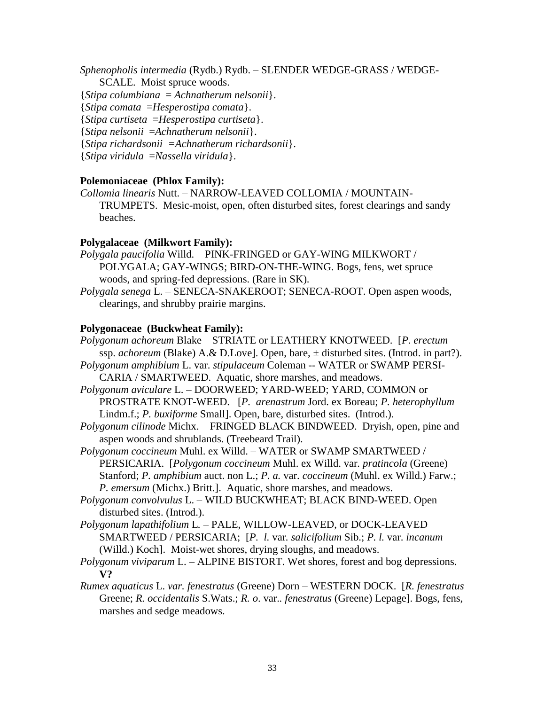*Sphenopholis intermedia* (Rydb.) Rydb. – SLENDER WEDGE-GRASS / WEDGE-

SCALE. Moist spruce woods.

{*Stipa columbiana* = *Achnatherum nelsonii*}.

{*Stipa comata* =*Hesperostipa comata*}.

{*Stipa curtiseta* =*Hesperostipa curtiseta*}.

{*Stipa nelsonii* =*Achnatherum nelsonii*}.

{*Stipa richardsonii =Achnatherum richardsonii*}.

{*Stipa viridula* =*Nassella viridula*}.

# **Polemoniaceae (Phlox Family):**

*Collomia linearis* Nutt. – NARROW-LEAVED COLLOMIA / MOUNTAIN-TRUMPETS. Mesic-moist, open, often disturbed sites, forest clearings and sandy beaches.

# **Polygalaceae (Milkwort Family):**

- *Polygala paucifolia* Willd. *–* PINK-FRINGED or GAY-WING MILKWORT / POLYGALA; GAY-WINGS; BIRD-ON-THE-WING. Bogs, fens, wet spruce woods, and spring-fed depressions. (Rare in SK).
- *Polygala senega* L. *–* SENECA-SNAKEROOT; SENECA-ROOT. Open aspen woods, clearings, and shrubby prairie margins.

# **Polygonaceae (Buckwheat Family):**

*Polygonum achoreum* Blake – STRIATE or LEATHERY KNOTWEED. [*P. erectum* ssp. *achoreum* (Blake) A.& D.Love]. Open, bare, ± disturbed sites. (Introd. in part?). *Polygonum amphibium* L. var. *stipulaceum* Coleman -- WATER or SWAMP PERSI-

CARIA / SMARTWEED. Aquatic, shore marshes, and meadows.

*Polygonum aviculare* L. – DOORWEED; YARD-WEED; YARD, COMMON or PROSTRATE KNOT-WEED. [*P. arenastrum* Jord. ex Boreau; *P. heterophyllum* Lindm.f.; *P. buxiforme* Small]. Open, bare, disturbed sites. (Introd.).

*Polygonum cilinode* Michx. – FRINGED BLACK BINDWEED. Dryish, open, pine and aspen woods and shrublands. (Treebeard Trail).

*Polygonum coccineum* Muhl. ex Willd. *–* WATER or SWAMP SMARTWEED / PERSICARIA. [*Polygonum coccineum* Muhl. ex Willd. var*. pratincola* (Greene) Stanford; *P. amphibium* auct. non L.; *P. a. var. coccineum* (Muhl. ex Willd.) Farw.; *P. emersum* (Michx.) Britt.]. Aquatic, shore marshes, and meadows.

- *Polygonum convolvulus* L. *–* WILD BUCKWHEAT; BLACK BIND-WEED. Open disturbed sites. (Introd.).
- *Polygonum lapathifolium* L*. –* PALE, WILLOW-LEAVED, or DOCK-LEAVED SMARTWEED / PERSICARIA;[*P. l.* var*. salicifolium* Sib.; *P. l.* var. *incanum* (Willd.) Koch]. Moist-wet shores, drying sloughs, and meadows.
- *Polygonum viviparum* L. ALPINE BISTORT. Wet shores, forest and bog depressions. **V?**
- *Rumex aquaticus* L. *var. fenestratus* (Greene) Dorn WESTERN DOCK. [*R. fenestratus* Greene; *R. occidentalis* S.Wats.; *R. o*. var.*. fenestratus* (Greene) Lepage]. Bogs, fens, marshes and sedge meadows.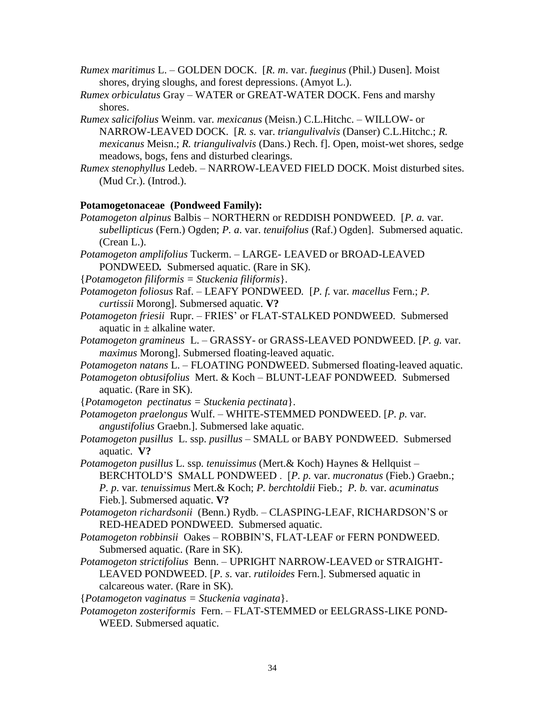- *Rumex maritimus* L. GOLDEN DOCK. [*R. m*. var. *fueginus* (Phil.) Dusen]. Moist shores, drying sloughs, and forest depressions. (Amyot L.).
- *Rumex orbiculatus* Gray *–* WATER or GREAT-WATER DOCK. Fens and marshy shores.
- *Rumex salicifolius* Weinm. var*. mexicanus* (Meisn.) C.L.Hitchc. WILLOW- or NARROW-LEAVED DOCK. [*R. s.* var. *triangulivalvis* (Danser) C.L.Hitchc.; *R. mexicanus* Meisn.; *R. triangulivalvis* (Dans.) Rech. f]. Open, moist-wet shores, sedge meadows, bogs, fens and disturbed clearings.
- *Rumex stenophyllus* Ledeb. *–* NARROW-LEAVED FIELD DOCK. Moist disturbed sites. (Mud Cr.). (Introd.).

## **Potamogetonaceae (Pondweed Family):**

- *Potamogeton alpinus* Balbis NORTHERN or REDDISH PONDWEED. [*P. a.* var. *subellipticus* (Fern.) Ogden; *P. a*. var. *tenuifolius* (Raf.) Ogden]. Submersed aquatic. (Crean L.).
- *Potamogeton amplifolius* Tuckerm. LARGE- LEAVED or BROAD-LEAVED PONDWEED*.* Submersed aquatic. (Rare in SK).
- {*Potamogeton filiformis = Stuckenia filiformis*}.
- *Potamogeton foliosus* Raf. *–* LEAFY PONDWEED*.* [*P. f.* var*. macellus* Fern.; *P. curtissii* Morong]. Submersed aquatic. **V?**
- *Potamogeton friesii* Rupr. FRIES' or FLAT-STALKED PONDWEED. Submersed aquatic in  $\pm$  alkaline water.
- *Potamogeton gramineus* L. GRASSY- or GRASS-LEAVED PONDWEED. [*P. g.* var. *maximus* Morong]. Submersed floating-leaved aquatic.
- *Potamogeton natans* L. FLOATING PONDWEED. Submersed floating-leaved aquatic.
- *Potamogeton obtusifolius* Mert. & Koch BLUNT-LEAF PONDWEED*.* Submersed aquatic. (Rare in SK).
- {*Potamogeton pectinatus = Stuckenia pectinata*}.
- *Potamogeton praelongus* Wulf. WHITE-STEMMED PONDWEED. [*P. p.* var. *angustifolius* Graebn.]. Submersed lake aquatic.
- *Potamogeton pusillus* L. ssp. *pusillus –* SMALL or BABY PONDWEED. Submersed aquatic. **V?**
- *Potamogeton pusillus* L. ssp*. tenuissimus* (Mert.& Koch) Haynes & Hellquist BERCHTOLD'S SMALL PONDWEED . [*P. p.* var. *mucronatus* (Fieb.) Graebn.; *P. p*. var*. tenuissimus* Mert.& Koch; *P. berchtoldii* Fieb.; *P. b.* var. *acuminatus*  Fieb*.*]. Submersed aquatic. **V?**
- *Potamogeton richardsonii* (Benn.) Rydb. CLASPING-LEAF, RICHARDSON'S or RED-HEADED PONDWEED. Submersed aquatic.
- *Potamogeton robbinsii* Oakes ROBBIN'S, FLAT-LEAF or FERN PONDWEED. Submersed aquatic. (Rare in SK).
- *Potamogeton strictifolius* Benn. UPRIGHT NARROW-LEAVED or STRAIGHT-LEAVED PONDWEED. [*P. s*. var. *rutiloides* Fern.]. Submersed aquatic in calcareous water. (Rare in SK).

{*Potamogeton vaginatus = Stuckenia vaginata*}.

*Potamogeton zosteriformis* Fern. – FLAT-STEMMED or EELGRASS-LIKE POND-WEED. Submersed aquatic.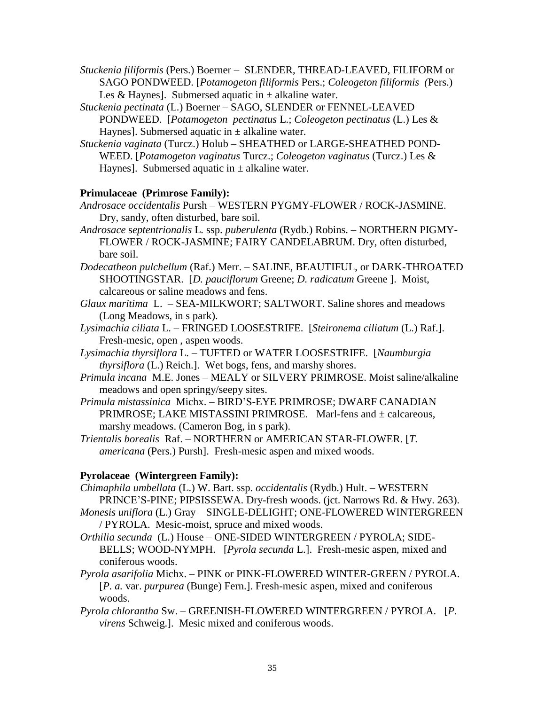*Stuckenia filiformis* (Pers.) Boerner – SLENDER, THREAD-LEAVED, FILIFORM or SAGO PONDWEED. [*Potamogeton filiformis* Pers.; *Coleogeton filiformis (*Pers.) Les & Haynes]. Submersed aquatic in  $\pm$  alkaline water.

- *Stuckenia pectinata* (L.) Boerner SAGO, SLENDER or FENNEL-LEAVED PONDWEED. [*Potamogeton pectinatus* L.; *Coleogeton pectinatus* (L.) Les & Haynes]. Submersed aquatic in  $\pm$  alkaline water.
- *Stuckenia vaginata* (Turcz.) Holub SHEATHED or LARGE-SHEATHED POND-WEED. [*Potamogeton vaginatus* Turcz.; *Coleogeton vaginatus* (Turcz.) Les & Haynes]. Submersed aquatic in  $\pm$  alkaline water.

# **Primulaceae (Primrose Family):**

*Androsace occidentalis* Pursh – WESTERN PYGMY-FLOWER / ROCK-JASMINE. Dry, sandy, often disturbed, bare soil.

- *Androsace* s*eptentrionalis* L*.* ssp. *puberulenta* (Rydb.) Robins. *–* NORTHERN PIGMY-FLOWER / ROCK-JASMINE; FAIRY CANDELABRUM. Dry, often disturbed, bare soil.
- *Dodecatheon pulchellum* (Raf.) Merr. *–* SALINE, BEAUTIFUL, or DARK-THROATED SHOOTINGSTAR. [*D. pauciflorum* Greene; *D. radicatum* Greene ]. Moist, calcareous or saline meadows and fens.
- *Glaux maritima* L. SEA-MILKWORT; SALTWORT. Saline shores and meadows (Long Meadows, in s park).
- *Lysimachia ciliata* L. FRINGED LOOSESTRIFE. [*Steironema ciliatum* (L.) Raf.]. Fresh-mesic, open , aspen woods.
- *Lysimachia thyrsiflora* L. TUFTED or WATER LOOSESTRIFE. [*Naumburgia thyrsiflora* (L.) Reich.]. Wet bogs, fens, and marshy shores.
- *Primula incana* M.E. Jones MEALY or SILVERY PRIMROSE. Moist saline/alkaline meadows and open springy/seepy sites.
- *Primula mistassinica* Michx. *–* BIRD'S-EYE PRIMROSE; DWARF CANADIAN PRIMROSE; LAKE MISTASSINI PRIMROSE*.* Marl-fens and ± calcareous, marshy meadows. (Cameron Bog, in s park).
- *Trientalis borealis* Raf. *–* NORTHERN or AMERICAN STAR-FLOWER. [*T. americana* (Pers.) Pursh]. Fresh-mesic aspen and mixed woods.

# **Pyrolaceae (Wintergreen Family):**

*Chimaphila umbellata* (L.) W. Bart. ssp. *occidentalis* (Rydb.) Hult. – WESTERN PRINCE'S-PINE; PIPSISSEWA. Dry-fresh woods. (jct. Narrows Rd. & Hwy. 263).

- *Monesis uniflora* (L.) Gray *–* SINGLE-DELIGHT; ONE-FLOWERED WINTERGREEN / PYROLA. Mesic-moist, spruce and mixed woods.
- *Orthilia secunda* (L.) House ONE-SIDED WINTERGREEN / PYROLA; SIDE-BELLS; WOOD-NYMPH. [*Pyrola secunda* L.]. Fresh-mesic aspen, mixed and coniferous woods.
- *Pyrola asarifolia* Michx. *–* PINK or PINK-FLOWERED WINTER-GREEN / PYROLA*.*  [*P. a.* var. *purpurea* (Bunge) Fern.]. Fresh-mesic aspen, mixed and coniferous woods.
- *Pyrola chlorantha* Sw. *–* GREENISH-FLOWERED WINTERGREEN / PYROLA. [*P. virens* Schweig.]. Mesic mixed and coniferous woods.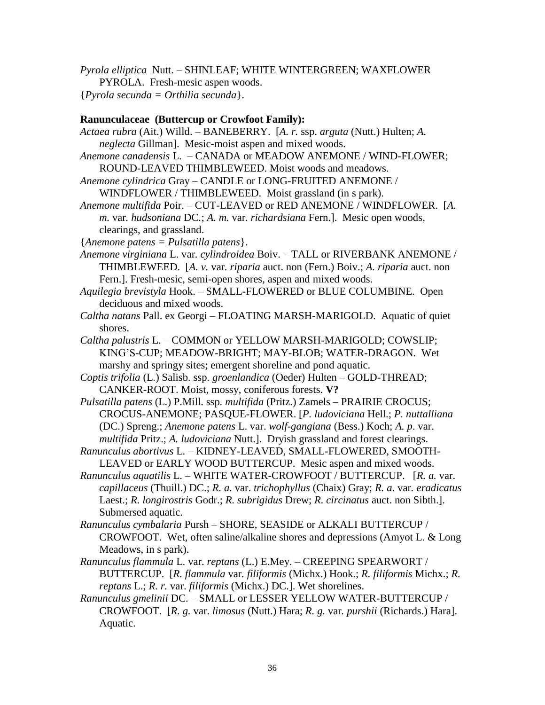*Pyrola elliptica* Nutt. – SHINLEAF; WHITE WINTERGREEN; WAXFLOWER

PYROLA. Fresh-mesic aspen woods.

{*Pyrola secunda = Orthilia secunda*}.

## **Ranunculaceae (Buttercup or Crowfoot Family):**

*Actaea rubra* (Ait.) Willd. *–* BANEBERRY. [*A. r.* ssp. *arguta* (Nutt.) Hulten; *A. neglecta* Gillman]. Mesic-moist aspen and mixed woods.

*Anemone canadensis* L. – CANADA or MEADOW ANEMONE / WIND-FLOWER; ROUND-LEAVED THIMBLEWEED. Moist woods and meadows.

*Anemone cylindrica* Gray – CANDLE or LONG-FRUITED ANEMONE / WINDFLOWER / THIMBLEWEED. Moist grassland (in s park).

*Anemone multifida* Poir. – CUT-LEAVED or RED ANEMONE / WINDFLOWER. [*A. m.* var*. hudsoniana* DC*.*; *A. m.* var*. richardsiana* Fern.]. Mesic open woods, clearings, and grassland.

{*Anemone patens = Pulsatilla patens*}.

- *Anemone virginiana* L. var*. cylindroidea* Boiv. TALL or RIVERBANK ANEMONE / THIMBLEWEED. [*A. v.* var*. riparia* auct. non (Fern.) Boiv.; *A. riparia* auct. non Fern.]. Fresh-mesic, semi-open shores, aspen and mixed woods.
- *Aquilegia brevistyla* Hook. SMALL-FLOWERED or BLUE COLUMBINE. Open deciduous and mixed woods.
- *Caltha natans* Pall. ex Georgi FLOATING MARSH-MARIGOLD. Aquatic of quiet shores.
- *Caltha palustris* L. *–* COMMON or YELLOW MARSH-MARIGOLD; COWSLIP; KING'S-CUP; MEADOW-BRIGHT; MAY-BLOB; WATER-DRAGON. Wet marshy and springy sites; emergent shoreline and pond aquatic.

*Coptis trifolia* (L.) Salisb. ssp. *groenlandica* (Oeder) Hulten *–* GOLD-THREAD; CANKER-ROOT. Moist, mossy, coniferous forests. **V?**

*Pulsatilla patens* (L.) P.Mill. ssp*. multifida* (Pritz.) Zamels – PRAIRIE CROCUS; CROCUS-ANEMONE; PASQUE-FLOWER. [*P. ludoviciana* Hell.; *P. nuttalliana* (DC.) Spreng.; *Anemone patens* L. var. *wolf-gangiana* (Bess.) Koch; *A. p*. var. *multifida* Pritz.; *A. ludoviciana* Nutt.]. Dryish grassland and forest clearings.

*Ranunculus abortivus* L. – KIDNEY-LEAVED, SMALL-FLOWERED, SMOOTH-LEAVED or EARLY WOOD BUTTERCUP. Mesic aspen and mixed woods.

- *Ranunculus aquatilis* L. *–* WHITE WATER-CROWFOOT / BUTTERCUP. [*R. a.* var. *capillaceus* (Thuill.) DC.; *R. a.* var. *trichophyllus* (Chaix) Gray; *R. a*. var*. eradicatus* Laest.; *R. longirostris* Godr.; *R. subrigidus* Drew; *R. circinatus* auct. non Sibth.]. Submersed aquatic.
- *Ranunculus cymbalaria* Pursh *–* SHORE, SEASIDE or ALKALI BUTTERCUP / CROWFOOT. Wet, often saline/alkaline shores and depressions (Amyot L. & Long Meadows, in s park).
- *Ranunculus flammula* L. var. *reptans* (L.) E.Mey. CREEPING SPEARWORT / BUTTERCUP. [*R. flammula* var*. filiformis* (Michx.) Hook.; *R. filiformis* Michx.; *R. reptans* L.; *R. r.* var. *filiformis* (Michx.) DC.]. Wet shorelines.
- *Ranunculus gmelinii* DC. SMALL or LESSER YELLOW WATER-BUTTERCUP / CROWFOOT. [*R. g.* var. *limosus* (Nutt.) Hara; *R. g.* var*. purshii* (Richards.) Hara]. Aquatic.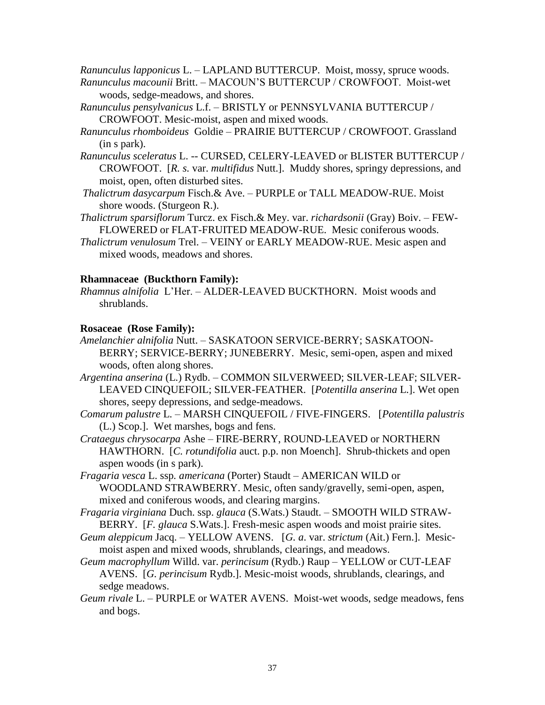*Ranunculus lapponicus* L. – LAPLAND BUTTERCUP. Moist, mossy, spruce woods.

- *Ranunculus macounii* Britt. MACOUN'S BUTTERCUP / CROWFOOT. Moist-wet woods, sedge-meadows, and shores.
- *Ranunculus pensylvanicus* L.f. BRISTLY or PENNSYLVANIA BUTTERCUP / CROWFOOT. Mesic-moist, aspen and mixed woods.
- *Ranunculus rhomboideus* Goldie PRAIRIE BUTTERCUP / CROWFOOT. Grassland (in s park).
- *Ranunculus sceleratus* L. -- CURSED, CELERY-LEAVED or BLISTER BUTTERCUP / CROWFOOT. [*R. s.* var. *multifidus* Nutt.]. Muddy shores, springy depressions, and moist, open, often disturbed sites.
- *Thalictrum dasycarpum* Fisch.& Ave. *–* PURPLE or TALL MEADOW-RUE. Moist shore woods. (Sturgeon R.).
- *Thalictrum sparsiflorum* Turcz. ex Fisch.& Mey. var. *richardsonii* (Gray) Boiv. *–* FEW-FLOWERED or FLAT-FRUITED MEADOW-RUE. Mesic coniferous woods.
- *Thalictrum venulosum* Trel. *–* VEINY or EARLY MEADOW-RUE. Mesic aspen and mixed woods, meadows and shores.

## **Rhamnaceae (Buckthorn Family):**

*Rhamnus alnifolia* L'Her. – ALDER-LEAVED BUCKTHORN. Moist woods and shrublands.

## **Rosaceae (Rose Family):**

- *Amelanchier alnifolia* Nutt. *–* SASKATOON SERVICE-BERRY; SASKATOON-BERRY; SERVICE-BERRY; JUNEBERRY. Mesic, semi-open, aspen and mixed woods, often along shores.
- *Argentina anserina* (L.) Rydb. COMMON SILVERWEED; SILVER-LEAF; SILVER-LEAVED CINQUEFOIL; SILVER-FEATHER. [*Potentilla anserina* L.]. Wet open shores, seepy depressions, and sedge-meadows.
- *Comarum palustre* L. MARSH CINQUEFOIL / FIVE-FINGERS. [*Potentilla palustris* (L.) Scop.]. Wet marshes, bogs and fens.
- *Crataegus chrysocarpa* Ashe FIRE-BERRY, ROUND-LEAVED or NORTHERN HAWTHORN. [*C. rotundifolia* auct. p.p. non Moench]. Shrub-thickets and open aspen woods (in s park).
- *Fragaria vesca* L. ssp*. americana* (Porter) Staudt *–* AMERICAN WILD or WOODLAND STRAWBERRY. Mesic, often sandy/gravelly, semi-open, aspen, mixed and coniferous woods, and clearing margins.
- *Fragaria virginiana* Duch. ssp. *glauca* (S.Wats.) Staudt. SMOOTH WILD STRAW-BERRY. [*F. glauca* S.Wats.]. Fresh-mesic aspen woods and moist prairie sites.
- *Geum aleppicum* Jacq. YELLOW AVENS. [*G. a*. var. *strictum* (Ait.) Fern.]. Mesicmoist aspen and mixed woods, shrublands, clearings, and meadows.
- *Geum macrophyllum* Willd. var. *perincisum* (Rydb.) Raup YELLOW or CUT-LEAF AVENS. [*G. perincisum* Rydb.]. Mesic-moist woods, shrublands, clearings, and sedge meadows.
- *Geum rivale* L. PURPLE or WATER AVENS. Moist-wet woods, sedge meadows, fens and bogs.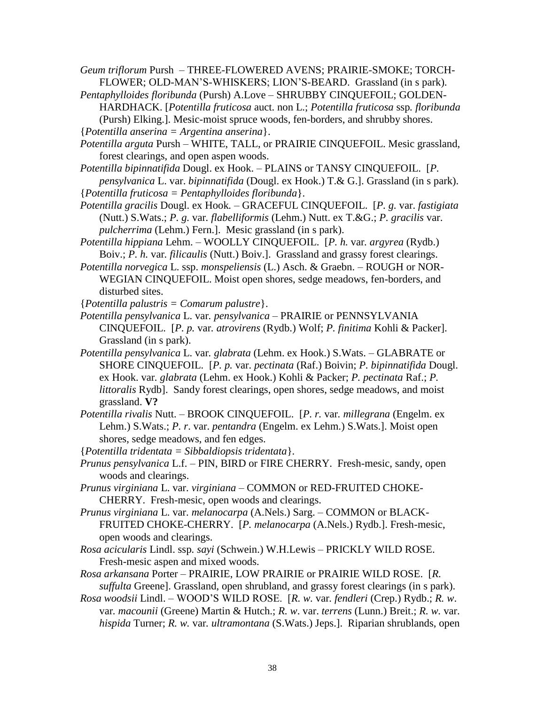*Geum triflorum* Pursh *–* THREE-FLOWERED AVENS; PRAIRIE-SMOKE; TORCH-FLOWER; OLD-MAN'S-WHISKERS; LION'S-BEARD. Grassland (in s park).

*Pentaphylloides floribunda* (Pursh) A.Love – SHRUBBY CINQUEFOIL; GOLDEN-HARDHACK. [*Potentilla fruticosa* auct. non L.; *Potentilla fruticosa* ssp*. floribunda*  (Pursh) Elking.]. Mesic-moist spruce woods, fen-borders, and shrubby shores.

{*Potentilla anserina = Argentina anserina*}.

*Potentilla arguta* Pursh *–* WHITE, TALL, or PRAIRIE CINQUEFOIL. Mesic grassland, forest clearings, and open aspen woods.

*Potentilla bipinnatifida* Dougl. ex Hook. – PLAINS or TANSY CINQUEFOIL. [*P. pensylvanica* L. var. *bipinnatifida* (Dougl. ex Hook.) T.& G.]. Grassland (in s park).

{*Potentilla fruticosa = Pentaphylloides floribunda*}.

*Potentilla gracilis* Dougl. ex Hook*.* – GRACEFUL CINQUEFOIL. [*P. g.* var. *fastigiata*  (Nutt.) S.Wats.; *P. g.* var*. flabelliformis* (Lehm.) Nutt. ex T.&G.; *P. gracilis* var. *pulcherrima* (Lehm.) Fern.]. Mesic grassland (in s park).

*Potentilla hippiana* Lehm. *–* WOOLLY CINQUEFOIL. [*P. h.* var*. argyrea* (Rydb.) Boiv.; *P. h.* var*. filicaulis* (Nutt.) Boiv.]. Grassland and grassy forest clearings.

*Potentilla norvegica* L. ssp. *monspeliensis* (L.) Asch. & Graebn. – ROUGH or NOR-WEGIAN CINQUEFOIL. Moist open shores, sedge meadows, fen-borders, and disturbed sites.

{*Potentilla palustris = Comarum palustre*}.

*Potentilla pensylvanica* L. var*. pensylvanica* – PRAIRIE or PENNSYLVANIA CINQUEFOIL. [*P. p.* var*. atrovirens* (Rydb.) Wolf; *P. finitima* Kohli & Packer]. Grassland (in s park).

*Potentilla pensylvanica* L. var*. glabrata* (Lehm. ex Hook.) S.Wats. – GLABRATE or SHORE CINQUEFOIL.[*P. p.* var. *pectinata* (Raf.) Boivin; *P. bipinnatifida* Dougl. ex Hook. var*. glabrata* (Lehm. ex Hook.) Kohli & Packer; *P. pectinata* Raf.; *P. littoralis* Rydb]. Sandy forest clearings, open shores, sedge meadows, and moist grassland. **V?**

*Potentilla rivalis* Nutt. *–* BROOK CINQUEFOIL. [*P. r.* var*. millegrana* (Engelm. ex Lehm.) S.Wats.; *P. r*. var. *pentandra* (Engelm. ex Lehm.) S.Wats.]. Moist open shores, sedge meadows, and fen edges.

{*Potentilla tridentata = Sibbaldiopsis tridentata*}.

*Prunus pensylvanica* L.f. *–* PIN, BIRD or FIRE CHERRY. Fresh-mesic, sandy, open woods and clearings.

*Prunus virginiana* L. var. *virginiana* – COMMON or RED-FRUITED CHOKE-CHERRY. Fresh-mesic, open woods and clearings.

*Prunus virginiana* L. var. *melanocarpa* (A.Nels.) Sarg. *–* COMMON or BLACK-FRUITED CHOKE-CHERRY. [*P. melanocarpa* (A.Nels.) Rydb.]. Fresh-mesic, open woods and clearings.

*Rosa acicularis* Lindl. ssp*. sayi* (Schwein.) W.H.Lewis – PRICKLY WILD ROSE. Fresh-mesic aspen and mixed woods.

*Rosa arkansana* Porter *–* PRAIRIE, LOW PRAIRIE or PRAIRIE WILD ROSE. [*R. suffulta* Greene]. Grassland, open shrubland, and grassy forest clearings (in s park).

*Rosa woodsii* Lindl. *–* WOOD'S WILD ROSE. [*R. w.* var*. fendleri* (Crep.) Rydb.; *R. w*. var*. macounii* (Greene) Martin & Hutch.; *R. w*. var. *terrens* (Lunn.) Breit.; *R. w.* var. *hispida* Turner; *R. w.* var*. ultramontana* (S.Wats.) Jeps.]. Riparian shrublands, open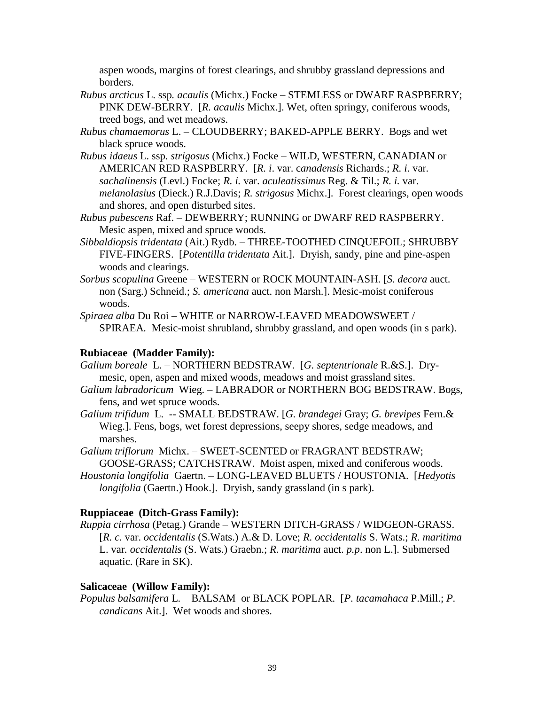aspen woods, margins of forest clearings, and shrubby grassland depressions and borders.

- *Rubus arcticus* L. ssp*. acaulis* (Michx.) Focke STEMLESS or DWARF RASPBERRY; PINK DEW-BERRY. [*R. acaulis* Michx.]. Wet, often springy, coniferous woods, treed bogs, and wet meadows.
- *Rubus chamaemorus* L. CLOUDBERRY; BAKED-APPLE BERRY. Bogs and wet black spruce woods.
- *Rubus idaeus* L. ssp*. strigosus* (Michx.) Focke *–* WILD, WESTERN, CANADIAN or AMERICAN RED RASPBERRY. [*R. i*. var. c*anadensis* Richards.; *R. i*. var*. sachalinensis* (Levl.) Focke; *R. i.* var. *aculeatissimus* Reg. & Til.; *R. i.* var. *melanolasius* (Dieck.) R.J.Davis; *R. strigosus* Michx.]. Forest clearings, open woods and shores, and open disturbed sites.
- *Rubus pubescens* Raf. *–* DEWBERRY; RUNNING or DWARF RED RASPBERRY. Mesic aspen, mixed and spruce woods.
- *Sibbaldiopsis tridentata* (Ait.) Rydb. THREE-TOOTHED CINQUEFOIL; SHRUBBY FIVE-FINGERS. [*Potentilla tridentata* Ait.]. Dryish, sandy, pine and pine-aspen woods and clearings.
- *Sorbus scopulina* Greene WESTERN or ROCK MOUNTAIN-ASH. [*S. decora* auct. non (Sarg.) Schneid.; *S. americana* auct. non Marsh.]. Mesic-moist coniferous woods.

*Spiraea alba* Du Roi *–* WHITE or NARROW-LEAVED MEADOWSWEET / SPIRAEA*.* Mesic-moist shrubland, shrubby grassland, and open woods (in s park).

## **Rubiaceae (Madder Family):**

- *Galium boreale* L. NORTHERN BEDSTRAW. [*G. septentrionale* R.&S.]. Drymesic, open, aspen and mixed woods, meadows and moist grassland sites.
- *Galium labradoricum* Wieg. LABRADOR or NORTHERN BOG BEDSTRAW. Bogs, fens, and wet spruce woods.
- *Galium trifidum* L.-- SMALL BEDSTRAW. [*G. brandegei* Gray; *G. brevipes* Fern.& Wieg.]. Fens, bogs, wet forest depressions, seepy shores, sedge meadows, and marshes.

*Galium triflorum* Michx. – SWEET-SCENTED or FRAGRANT BEDSTRAW; GOOSE-GRASS; CATCHSTRAW. Moist aspen, mixed and coniferous woods.

*Houstonia longifolia* Gaertn. – LONG-LEAVED BLUETS / HOUSTONIA. [*Hedyotis longifolia* (Gaertn.) Hook.]. Dryish, sandy grassland (in s park).

# **Ruppiaceae (Ditch-Grass Family):**

*Ruppia cirrhosa* (Petag.) Grande *–* WESTERN DITCH-GRASS / WIDGEON-GRASS. [*R. c.* var. *occidentalis* (S.Wats.) A.& D. Love; *R. occidentalis* S. Wats.; *R. maritima*  L. var*. occidentalis* (S. Wats.) Graebn.; *R. maritima* auct. *p.p*. non L.]. Submersed aquatic. (Rare in SK).

# **Salicaceae (Willow Family):**

*Populus balsamifera* L. *–* BALSAM or BLACK POPLAR. [*P. tacamahaca* P.Mill.; *P. candicans* Ait.]. Wet woods and shores.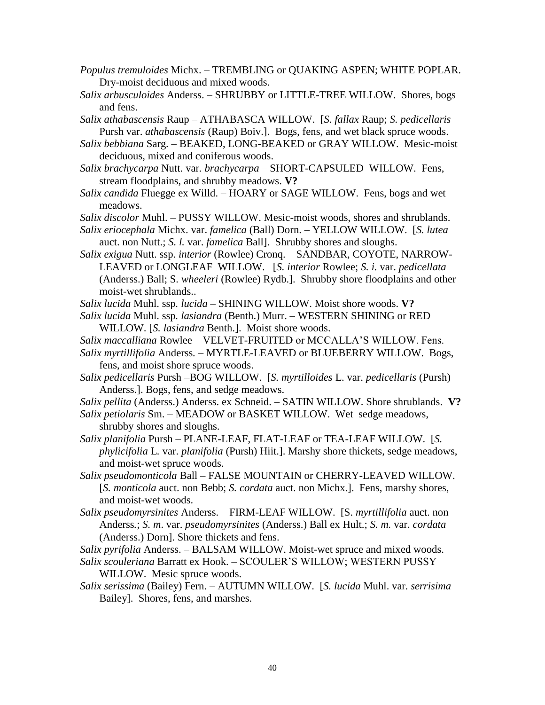- *Populus tremuloides* Michx. *–* TREMBLING or QUAKING ASPEN; WHITE POPLAR*.*  Dry-moist deciduous and mixed woods.
- *Salix arbusculoides* Anderss. SHRUBBY or LITTLE-TREE WILLOW. Shores, bogs and fens.
- *Salix athabascensis* Raup *–* ATHABASCA WILLOW. [*S. fallax* Raup; *S. pedicellaris* Pursh var. *athabascensis* (Raup) Boiv.]. Bogs, fens, and wet black spruce woods.
- *Salix bebbiana* Sarg. BEAKED, LONG-BEAKED or GRAY WILLOW. Mesic-moist deciduous, mixed and coniferous woods.
- *Salix brachycarpa* Nutt. var*. brachycarpa –* SHORT-CAPSULED WILLOW. Fens, stream floodplains, and shrubby meadows. **V?**
- *Salix candida* Fluegge ex Willd. HOARY or SAGE WILLOW. Fens, bogs and wet meadows.
- *Salix discolor* Muhl. PUSSY WILLOW. Mesic-moist woods, shores and shrublands.
- *Salix eriocephala* Michx. var. *famelica* (Ball) Dorn. YELLOW WILLOW. [*S. lutea* auct. non Nutt.; *S. l.* var. *famelica* Ball]. Shrubby shores and sloughs.
- *Salix exigua* Nutt. ssp. *interior* (Rowlee) Cronq. SANDBAR, COYOTE, NARROW-LEAVED or LONGLEAF WILLOW. [*S. interior* Rowlee; *S. i.* var. *pedicellata*  (Anderss.) Ball; S*. wheeleri* (Rowlee) Rydb.]. Shrubby shore floodplains and other moist-wet shrublands..
- *Salix lucida* Muhl. ssp*. lucida –* SHINING WILLOW. Moist shore woods. **V?**
- *Salix lucida* Muhl. ssp*. lasiandra* (Benth.) Murr. *–* WESTERN SHINING or RED WILLOW. [*S. lasiandra* Benth.]. Moist shore woods.
- *Salix maccalliana* Rowlee VELVET-FRUITED or MCCALLA'S WILLOW. Fens.
- *Salix myrtillifolia* Anderss*. –* MYRTLE-LEAVED or BLUEBERRY WILLOW. Bogs, fens, and moist shore spruce woods.
- *Salix pedicellaris* Pursh –BOG WILLOW. [*S. myrtilloides* L. var. *pedicellaris* (Pursh) Anderss.]. Bogs, fens, and sedge meadows.
- *Salix pellita* (Anderss.) Anderss. ex Schneid. SATIN WILLOW. Shore shrublands. **V?**
- *Salix petiolaris* Sm. MEADOW or BASKET WILLOW. Wet sedge meadows, shrubby shores and sloughs.
- *Salix planifolia* Pursh *–* PLANE-LEAF, FLAT-LEAF or TEA-LEAF WILLOW. [*S. phylicifolia* L*.* var. *planifolia* (Pursh) Hiit.]. Marshy shore thickets, sedge meadows, and moist-wet spruce woods.
- *Salix pseudomonticola* Ball FALSE MOUNTAIN or CHERRY-LEAVED WILLOW. [*S. monticola* auct. non Bebb; *S. cordata* auct. non Michx.]. Fens, marshy shores, and moist-wet woods.
- *Salix pseudomyrsinites* Anderss. FIRM-LEAF WILLOW. [S. *myrtillifolia* auct. non Anderss*.*; *S. m*. var. *pseudomyrsinites* (Anderss.) Ball ex Hult.; *S. m.* var. *cordata* (Anderss.) Dorn]. Shore thickets and fens.

*Salix pyrifolia* Anderss. – BALSAM WILLOW. Moist-wet spruce and mixed woods.

- *Salix scouleriana* Barratt ex Hook. SCOULER'S WILLOW; WESTERN PUSSY WILLOW. Mesic spruce woods.
- *Salix serissima* (Bailey) Fern. AUTUMN WILLOW. [*S. lucida* Muhl. var. *serrisima* Bailey]. Shores, fens, and marshes.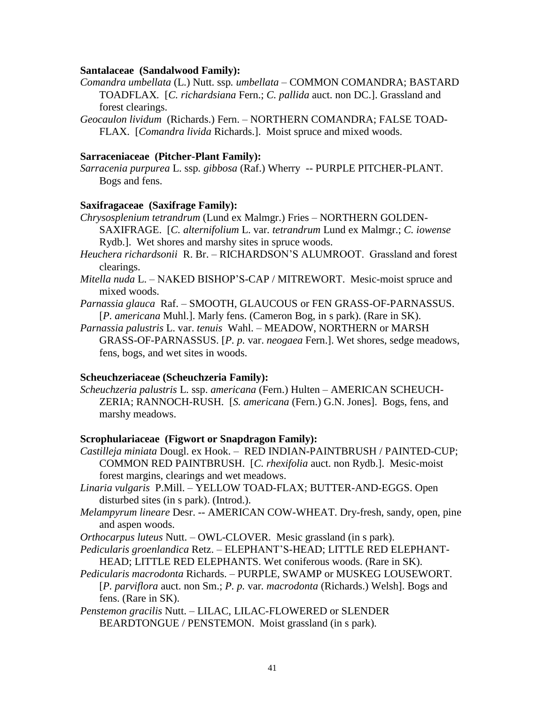#### **Santalaceae (Sandalwood Family):**

- *Comandra umbellata* (L.) Nutt. ssp*. umbellata –* COMMON COMANDRA; BASTARD TOADFLAX*.* [*C. richardsiana* Fern.; *C. pallida* auct. non DC.]. Grassland and forest clearings.
- *Geocaulon lividum* (Richards.) Fern. NORTHERN COMANDRA; FALSE TOAD-FLAX. [*Comandra livida* Richards.]. Moist spruce and mixed woods.

### **Sarraceniaceae (Pitcher-Plant Family):**

*Sarracenia purpurea* L. ssp*. gibbosa* (Raf.) Wherry *--* PURPLE PITCHER-PLANT. Bogs and fens.

## **Saxifragaceae (Saxifrage Family):**

*Chrysosplenium tetrandrum* (Lund ex Malmgr.) Fries – NORTHERN GOLDEN-SAXIFRAGE. [*C. alternifolium* L. var*. tetrandrum* Lund ex Malmgr.; *C. iowense*  Rydb.]. Wet shores and marshy sites in spruce woods.

*Heuchera richardsonii* R. Br. – RICHARDSON'S ALUMROOT. Grassland and forest clearings.

*Mitella nuda* L. – NAKED BISHOP'S-CAP / MITREWORT. Mesic-moist spruce and mixed woods.

*Parnassia glauca* Raf. – SMOOTH, GLAUCOUS or FEN GRASS-OF-PARNASSUS. [*P. americana* Muhl.]. Marly fens. (Cameron Bog, in s park). (Rare in SK).

*Parnassia palustris* L. var. *tenuis* Wahl. – MEADOW, NORTHERN or MARSH GRASS-OF-PARNASSUS. [*P. p.* var. *neogaea* Fern.]. Wet shores, sedge meadows, fens, bogs, and wet sites in woods.

## **Scheuchzeriaceae (Scheuchzeria Family):**

*Scheuchzeria palustris* L. ssp. *americana* (Fern.) Hulten – AMERICAN SCHEUCH-ZERIA; RANNOCH-RUSH. [*S. americana* (Fern.) G.N. Jones]. Bogs, fens, and marshy meadows.

#### **Scrophulariaceae (Figwort or Snapdragon Family):**

- *Castilleja miniata* Dougl. ex Hook. *–* RED INDIAN-PAINTBRUSH / PAINTED-CUP; COMMON RED PAINTBRUSH. [*C. rhexifolia* auct. non Rydb.]. Mesic-moist forest margins, clearings and wet meadows.
- *Linaria vulgaris* P.Mill. *–* YELLOW TOAD-FLAX; BUTTER-AND-EGGS. Open disturbed sites (in s park). (Introd.).
- *Melampyrum lineare* Desr. *--* AMERICAN COW-WHEAT. Dry-fresh, sandy, open, pine and aspen woods.

*Orthocarpus luteus* Nutt. – OWL-CLOVER. Mesic grassland (in s park).

- *Pedicularis groenlandica* Retz. *–* ELEPHANT'S-HEAD; LITTLE RED ELEPHANT-HEAD; LITTLE RED ELEPHANTS. Wet coniferous woods. (Rare in SK).
- *Pedicularis macrodonta* Richards. PURPLE, SWAMP or MUSKEG LOUSEWORT. [*P. parviflora* auct. non Sm.; *P. p.* var*. macrodonta* (Richards.) Welsh]. Bogs and fens. (Rare in SK).

*Penstemon gracilis* Nutt. *–* LILAC, LILAC-FLOWERED or SLENDER BEARDTONGUE / PENSTEMON. Moist grassland (in s park).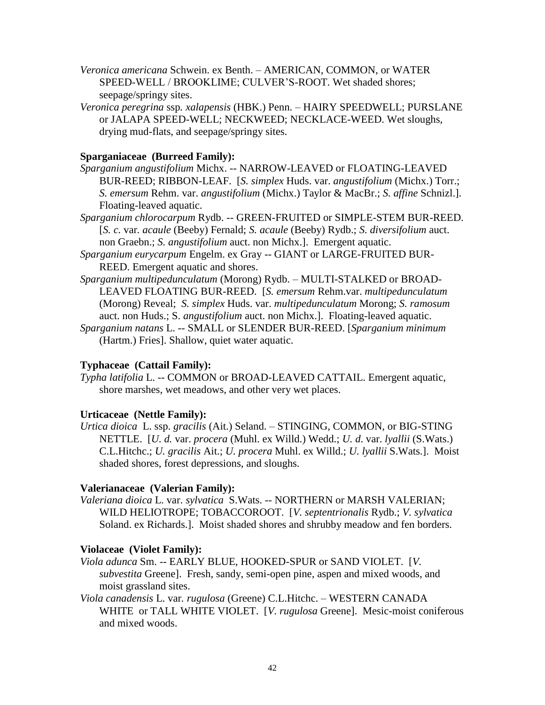- *Veronica americana* Schwein. ex Benth. AMERICAN, COMMON, or WATER SPEED-WELL / BROOKLIME; CULVER'S-ROOT. Wet shaded shores; seepage/springy sites.
- *Veronica peregrina* ssp*. xalapensis* (HBK.) Penn. HAIRY SPEEDWELL; PURSLANE or JALAPA SPEED-WELL; NECKWEED; NECKLACE-WEED. Wet sloughs, drying mud-flats, and seepage/springy sites.

# **Sparganiaceae (Burreed Family):**

- *Sparganium angustifolium* Michx. -- NARROW-LEAVED or FLOATING-LEAVED BUR-REED; RIBBON-LEAF. [*S. simplex* Huds. var. *angustifolium* (Michx.) Torr.; *S. emersum* Rehm. var. *angustifolium* (Michx.) Taylor & MacBr.; *S. affine* Schnizl.]. Floating-leaved aquatic.
- *Sparganium chlorocarpum* Rydb. -- GREEN-FRUITED or SIMPLE-STEM BUR-REED. [*S. c.* var*. acaule* (Beeby) Fernald; *S. acaule* (Beeby) Rydb.; *S. diversifolium* auct. non Graebn.; *S. angustifolium* auct. non Michx.]. Emergent aquatic.
- *Sparganium eurycarpum* Engelm. ex Gray -- GIANT or LARGE-FRUITED BUR-REED. Emergent aquatic and shores.
- *Sparganium multipedunculatum* (Morong) Rydb. MULTI-STALKED or BROAD-LEAVED FLOATING BUR-REED. [*S. emersum* Rehm.var. *multipedunculatum*  (Morong) Reveal; *S. simplex* Huds. var. *multipedunculatum* Morong; *S. ramosum* auct. non Huds.; S. *angustifolium* auct. non Michx.]. Floating-leaved aquatic.
- *Sparganium natans* L. -- SMALL or SLENDER BUR-REED. [*Sparganium minimum* (Hartm.) Fries]. Shallow, quiet water aquatic.

## **Typhaceae (Cattail Family):**

*Typha latifolia* L. -- COMMON or BROAD-LEAVED CATTAIL. Emergent aquatic, shore marshes, wet meadows, and other very wet places.

## **Urticaceae (Nettle Family):**

*Urtica dioica* L. ssp. *gracilis* (Ait.) Seland. *–* STINGING, COMMON, or BIG-STING NETTLE. [*U. d.* var. *procera* (Muhl. ex Willd.) Wedd.; *U. d*. var. *lyallii* (S.Wats.) C.L.Hitchc.; *U. gracilis* Ait.; *U. procera* Muhl. ex Willd.; *U. lyallii* S.Wats.]. Moist shaded shores, forest depressions, and sloughs.

## **Valerianaceae (Valerian Family):**

*Valeriana dioica* L. var. *sylvatica* S.Wats. -- NORTHERN or MARSH VALERIAN; WILD HELIOTROPE; TOBACCOROOT. [*V. septentrionalis* Rydb.; *V. sylvatica*  Soland. ex Richards.]. Moist shaded shores and shrubby meadow and fen borders.

## **Violaceae (Violet Family):**

- *Viola adunca* Sm. *--* EARLY BLUE, HOOKED-SPUR or SAND VIOLET. [*V. subvestita* Greene]. Fresh, sandy, semi-open pine, aspen and mixed woods, and moist grassland sites.
- *Viola canadensis* L. var*. rugulosa* (Greene) C.L.Hitchc. WESTERN CANADA WHITE or TALL WHITE VIOLET. [*V. rugulosa* Greene]. Mesic-moist coniferous and mixed woods.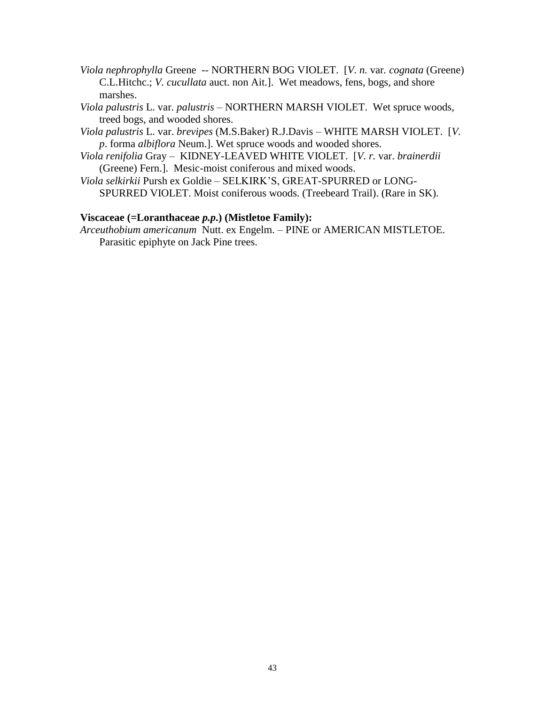- *Viola nephrophylla* Greene *--* NORTHERN BOG VIOLET. [*V. n.* var*. cognata* (Greene) C.L.Hitchc.; *V. cucullata* auct. non Ait.]. Wet meadows, fens, bogs, and shore marshes.
- *Viola palustris* L. var*. palustris –* NORTHERN MARSH VIOLET. Wet spruce woods, treed bogs, and wooded shores.
- *Viola palustris* L. var. *brevipes* (M.S.Baker) R.J.Davis WHITE MARSH VIOLET. [*V. p*. forma *albiflora* Neum.]. Wet spruce woods and wooded shores.
- *Viola renifolia* Gray *–* KIDNEY-LEAVED WHITE VIOLET. [*V. r.* var. *brainerdii* (Greene) Fern.]. Mesic-moist coniferous and mixed woods.
- *Viola selkirkii* Pursh ex Goldie *–* SELKIRK'S, GREAT-SPURRED or LONG-SPURRED VIOLET. Moist coniferous woods. (Treebeard Trail). (Rare in SK).

# **Viscaceae (=Loranthaceae** *p.p***.) (Mistletoe Family):**

*Arceuthobium americanum* Nutt. ex Engelm. – PINE or AMERICAN MISTLETOE. Parasitic epiphyte on Jack Pine trees.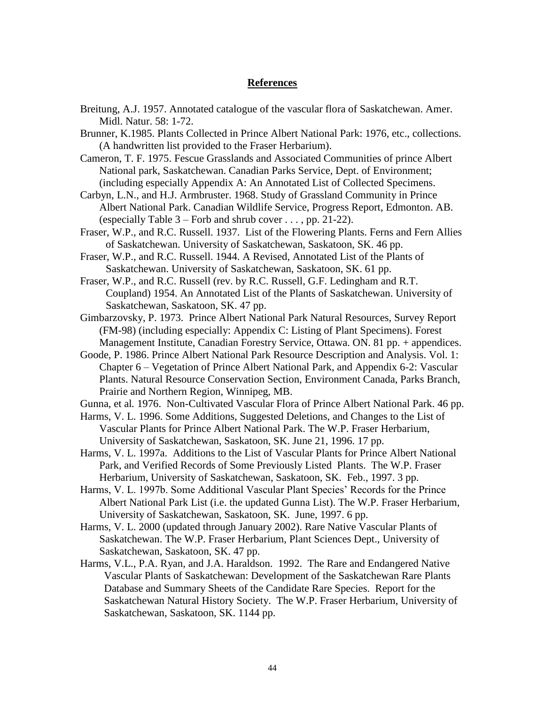### **References**

- Breitung, A.J. 1957. Annotated catalogue of the vascular flora of Saskatchewan. Amer. Midl. Natur. 58: 1-72.
- Brunner, K.1985. Plants Collected in Prince Albert National Park: 1976, etc., collections. (A handwritten list provided to the Fraser Herbarium).
- Cameron, T. F. 1975. Fescue Grasslands and Associated Communities of prince Albert National park, Saskatchewan. Canadian Parks Service, Dept. of Environment; (including especially Appendix A: An Annotated List of Collected Specimens.
- Carbyn, L.N., and H.J. Armbruster. 1968. Study of Grassland Community in Prince Albert National Park. Canadian Wildlife Service, Progress Report, Edmonton. AB. (especially Table  $3$  – Forb and shrub cover ..., pp. 21-22).
- Fraser, W.P., and R.C. Russell. 1937. List of the Flowering Plants. Ferns and Fern Allies of Saskatchewan. University of Saskatchewan, Saskatoon, SK. 46 pp.
- Fraser, W.P., and R.C. Russell. 1944. A Revised, Annotated List of the Plants of Saskatchewan. University of Saskatchewan, Saskatoon, SK. 61 pp.
- Fraser, W.P., and R.C. Russell (rev. by R.C. Russell, G.F. Ledingham and R.T. Coupland) 1954. An Annotated List of the Plants of Saskatchewan. University of Saskatchewan, Saskatoon, SK. 47 pp.
- Gimbarzovsky, P. 1973. Prince Albert National Park Natural Resources, Survey Report (FM-98) (including especially: Appendix C: Listing of Plant Specimens). Forest Management Institute, Canadian Forestry Service, Ottawa. ON. 81 pp. + appendices.
- Goode, P. 1986. Prince Albert National Park Resource Description and Analysis. Vol. 1: Chapter 6 – Vegetation of Prince Albert National Park, and Appendix 6-2: Vascular Plants. Natural Resource Conservation Section, Environment Canada, Parks Branch, Prairie and Northern Region, Winnipeg, MB.
- Gunna, et al*.* 1976. Non-Cultivated Vascular Flora of Prince Albert National Park. 46 pp.
- Harms, V. L. 1996. Some Additions, Suggested Deletions, and Changes to the List of Vascular Plants for Prince Albert National Park. The W.P. Fraser Herbarium, University of Saskatchewan, Saskatoon, SK. June 21, 1996. 17 pp.
- Harms, V. L. 1997a. Additions to the List of Vascular Plants for Prince Albert National Park, and Verified Records of Some Previously Listed Plants. The W.P. Fraser Herbarium, University of Saskatchewan, Saskatoon, SK. Feb., 1997. 3 pp.
- Harms, V. L. 1997b. Some Additional Vascular Plant Species' Records for the Prince Albert National Park List (i.e. the updated Gunna List). The W.P. Fraser Herbarium, University of Saskatchewan, Saskatoon, SK. June, 1997. 6 pp.
- Harms, V. L. 2000 (updated through January 2002). Rare Native Vascular Plants of Saskatchewan. The W.P. Fraser Herbarium, Plant Sciences Dept., University of Saskatchewan, Saskatoon, SK. 47 pp.
- Harms, V.L., P.A. Ryan, and J.A. Haraldson. 1992. The Rare and Endangered Native Vascular Plants of Saskatchewan: Development of the Saskatchewan Rare Plants Database and Summary Sheets of the Candidate Rare Species. Report for the Saskatchewan Natural History Society. The W.P. Fraser Herbarium, University of Saskatchewan, Saskatoon, SK. 1144 pp.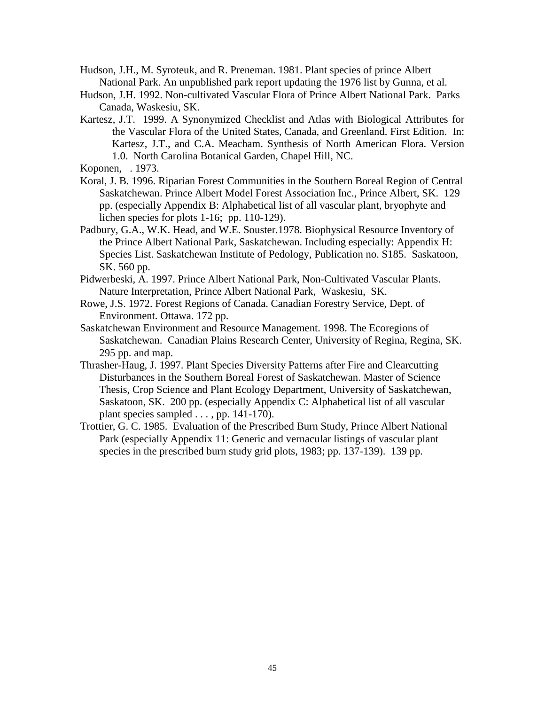- Hudson, J.H., M. Syroteuk, and R. Preneman. 1981. Plant species of prince Albert National Park. An unpublished park report updating the 1976 list by Gunna, et al.
- Hudson, J.H. 1992. Non-cultivated Vascular Flora of Prince Albert National Park. Parks Canada, Waskesiu, SK.
- Kartesz, J.T. 1999. A Synonymized Checklist and Atlas with Biological Attributes for the Vascular Flora of the United States, Canada, and Greenland. First Edition. In: Kartesz, J.T., and C.A. Meacham. Synthesis of North American Flora. Version 1.0. North Carolina Botanical Garden, Chapel Hill, NC.

- Koral, J. B. 1996. Riparian Forest Communities in the Southern Boreal Region of Central Saskatchewan. Prince Albert Model Forest Association Inc., Prince Albert, SK. 129 pp. (especially Appendix B: Alphabetical list of all vascular plant, bryophyte and lichen species for plots 1-16; pp. 110-129).
- Padbury, G.A., W.K. Head, and W.E. Souster.1978. Biophysical Resource Inventory of the Prince Albert National Park, Saskatchewan. Including especially: Appendix H: Species List. Saskatchewan Institute of Pedology, Publication no. S185. Saskatoon, SK. 560 pp.
- Pidwerbeski, A. 1997. Prince Albert National Park, Non-Cultivated Vascular Plants. Nature Interpretation, Prince Albert National Park, Waskesiu, SK.
- Rowe, J.S. 1972. Forest Regions of Canada. Canadian Forestry Service, Dept. of Environment. Ottawa. 172 pp.
- Saskatchewan Environment and Resource Management. 1998. The Ecoregions of Saskatchewan. Canadian Plains Research Center, University of Regina, Regina, SK. 295 pp. and map.
- Thrasher-Haug, J. 1997. Plant Species Diversity Patterns after Fire and Clearcutting Disturbances in the Southern Boreal Forest of Saskatchewan. Master of Science Thesis, Crop Science and Plant Ecology Department, University of Saskatchewan, Saskatoon, SK. 200 pp. (especially Appendix C: Alphabetical list of all vascular plant species sampled  $\dots$ , pp. 141-170).
- Trottier, G. C. 1985. Evaluation of the Prescribed Burn Study, Prince Albert National Park (especially Appendix 11: Generic and vernacular listings of vascular plant species in the prescribed burn study grid plots, 1983; pp. 137-139). 139 pp.

Koponen, . 1973.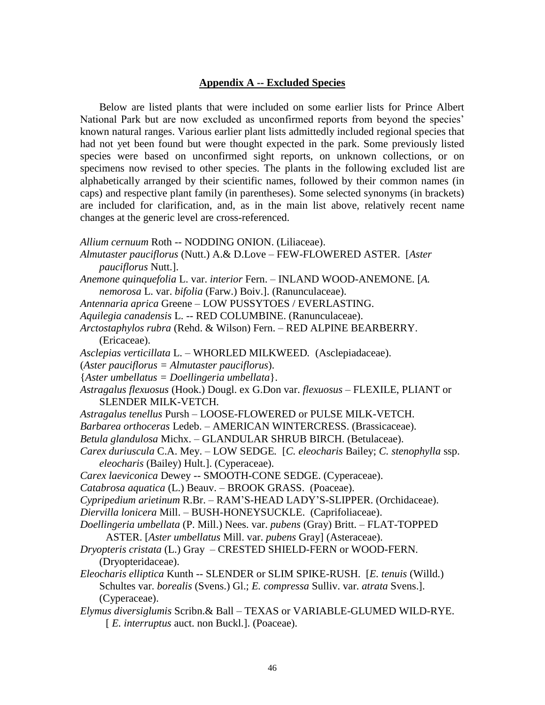### **Appendix A -- Excluded Species**

Below are listed plants that were included on some earlier lists for Prince Albert National Park but are now excluded as unconfirmed reports from beyond the species' known natural ranges. Various earlier plant lists admittedly included regional species that had not yet been found but were thought expected in the park. Some previously listed species were based on unconfirmed sight reports, on unknown collections, or on specimens now revised to other species. The plants in the following excluded list are alphabetically arranged by their scientific names, followed by their common names (in caps) and respective plant family (in parentheses). Some selected synonyms (in brackets) are included for clarification, and, as in the main list above, relatively recent name changes at the generic level are cross-referenced.

- *Allium cernuum* Roth -- NODDING ONION. (Liliaceae).
- *Almutaster pauciflorus* (Nutt.) A.& D.Love FEW-FLOWERED ASTER. [*Aster pauciflorus* Nutt.].
- *Anemone quinquefolia* L. var. *interior* Fern. INLAND WOOD-ANEMONE. [*A. nemorosa* L. var. *bifolia* (Farw.) Boiv.]. (Ranunculaceae).
- *Antennaria aprica* Greene LOW PUSSYTOES / EVERLASTING.
- *Aquilegia canadensis* L. -- RED COLUMBINE. (Ranunculaceae).
- *Arctostaphylos rubra* (Rehd. & Wilson) Fern. RED ALPINE BEARBERRY. (Ericaceae).
- *Asclepias verticillata* L. WHORLED MILKWEED*.* (Asclepiadaceae).
- (*Aster pauciflorus = Almutaster pauciflorus*).
- {*Aster umbellatus = Doellingeria umbellata*}.
- *Astragalus flexuosus* (Hook.) Dougl. ex G.Don var. *flexuosus –* FLEXILE, PLIANT or SLENDER MILK-VETCH*.*
- *Astragalus tenellus* Pursh LOOSE-FLOWERED or PULSE MILK-VETCH.
- *Barbarea orthoceras* Ledeb. AMERICAN WINTERCRESS. (Brassicaceae).
- *Betula glandulosa* Michx. GLANDULAR SHRUB BIRCH. (Betulaceae).
- *Carex duriuscula* C.A. Mey. *–* LOW SEDGE*.* [*C. eleocharis* Bailey; *C. stenophylla* ssp. *eleocharis* (Bailey) Hult.]. (Cyperaceae).
- *Carex laeviconica* Dewey -- SMOOTH-CONE SEDGE. (Cyperaceae).
- *Catabrosa aquatica* (L.) Beauv. BROOK GRASS. (Poaceae).
- *Cypripedium arietinum* R.Br. RAM'S-HEAD LADY'S-SLIPPER. (Orchidaceae).
- *Diervilla lonicera* Mill. BUSH-HONEYSUCKLE. (Caprifoliaceae).
- *Doellingeria umbellata* (P. Mill.) Nees. var. *pubens* (Gray) Britt. FLAT-TOPPED ASTER. [*Aster umbellatus* Mill. var. *pubens* Gray] (Asteraceae).
- *Dryopteris cristata* (L.) Gray CRESTED SHIELD-FERN or WOOD-FERN. (Dryopteridaceae).
- *Eleocharis elliptica* Kunth *--* SLENDER or SLIM SPIKE-RUSH. [*E. tenuis* (Willd.) Schultes var. *borealis* (Svens.) Gl.; *E. compressa* Sulliv. var. *atrata* Svens.]. (Cyperaceae).
- *Elymus diversiglumis* Scribn.& Ball TEXAS or VARIABLE-GLUMED WILD-RYE. [ *E. interruptus* auct. non Buckl.]. (Poaceae).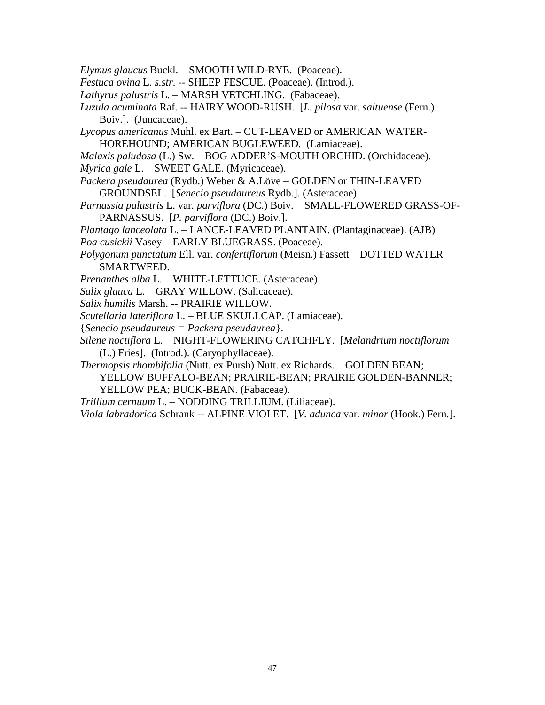- *Elymus glaucus* Buckl. SMOOTH WILD-RYE. (Poaceae).
- *Festuca ovina* L. *s.str*. -- SHEEP FESCUE. (Poaceae). (Introd.).
- *Lathyrus palustris* L. MARSH VETCHLING. (Fabaceae).
- *Luzula acuminata* Raf. *--* HAIRY WOOD-RUSH. [*L. pilosa* var. *saltuense* (Fern.) Boiv.]. (Juncaceae).
- *Lycopus americanus* Muhl. ex Bart. *–* CUT-LEAVED or AMERICAN WATER-HOREHOUND; AMERICAN BUGLEWEED*.* (Lamiaceae).
- *Malaxis paludosa* (L.) Sw. BOG ADDER'S-MOUTH ORCHID. (Orchidaceae). *Myrica gale* L. – SWEET GALE. (Myricaceae).
- *Packera pseudaurea* (Rydb.) Weber & A.Löve GOLDEN or THIN-LEAVED GROUNDSEL. [*Senecio pseudaureus* Rydb.]. (Asteraceae).
- *Parnassia palustris* L. var*. parviflora* (DC.) Boiv. SMALL-FLOWERED GRASS-OF-PARNASSUS. [*P. parviflora* (DC.) Boiv.].
- *Plantago lanceolata* L. LANCE-LEAVED PLANTAIN. (Plantaginaceae). (AJB)
- *Poa cusickii* Vasey EARLY BLUEGRASS. (Poaceae).
- *Polygonum punctatum* Ell. var. *confertiflorum* (Meisn.) Fassett *–* DOTTED WATER SMARTWEED.
- *Prenanthes alba* L. WHITE-LETTUCE. (Asteraceae).
- *Salix glauca* L. GRAY WILLOW. (Salicaceae).
- *Salix humilis* Marsh. *--* PRAIRIE WILLOW.
- *Scutellaria lateriflora* L. BLUE SKULLCAP. (Lamiaceae).
- {*Senecio pseudaureus = Packera pseudaurea*}.
- *Silene noctiflora* L. NIGHT-FLOWERING CATCHFLY. [*Melandrium noctiflorum* (L.) Fries]. (Introd.). (Caryophyllaceae).
- *Thermopsis rhombifolia* (Nutt. ex Pursh) Nutt. ex Richards. GOLDEN BEAN;
	- YELLOW BUFFALO-BEAN; PRAIRIE-BEAN; PRAIRIE GOLDEN-BANNER; YELLOW PEA; BUCK-BEAN. (Fabaceae).
- *Trillium cernuum* L. NODDING TRILLIUM. (Liliaceae).
- *Viola labradorica* Schrank -- ALPINE VIOLET. [*V. adunca* var*. minor* (Hook.) Fern*.*].